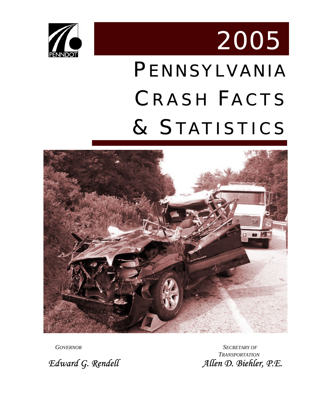<span id="page-0-0"></span>

# PENNSYLVANIA CRASH FACTS & STATISTICS 2005



*GOVERNOR SECRETARY OF TRANSPORTATION Edward G. Rendell Allen D. Biehler, P.E.*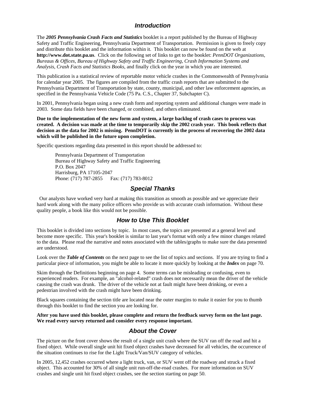#### *Introduction*

<span id="page-1-0"></span>The *2005 Pennsylvania Crash Facts and Statistics* booklet is a report published by the Bureau of Highway Safety and Traffic Engineering, Pennsylvania Department of Transportation. Permission is given to freely copy and distribute this booklet and the information within it. This booklet can now be found on the web at **http://www.dot.state.pa.us**. Click on the following set of links to get to the booklet: *PennDOT Organizations, Bureaus & Offices, Bureau of Highway Safety and Traffic Engineering, Crash Information Systems and Analysis, Crash Facts and Statistics Books*, and finally click on the year in which you are interested.

This publication is a statistical review of reportable motor vehicle crashes in the Commonwealth of Pennsylvania for calendar year 2005. The figures are compiled from the traffic crash reports that are submitted to the Pennsylvania Department of Transportation by state, county, municipal, and other law enforcement agencies, as specified in the Pennsylvania Vehicle Code (75 Pa. C.S., Chapter 37, Subchapter C).

In 2001, Pennsylvania began using a new crash form and reporting system and additional changes were made in 2003. Some data fields have been changed, or combined, and others eliminated.

**Due to the implementation of the new form and system, a large backlog of crash cases to process was created. A decision was made at the time to temporarily skip the 2002 crash year. This book reflects that decision as the data for 2002 is missing. PennDOT is currently in the process of recovering the 2002 data which will be published in the future upon completion.** 

Specific questions regarding data presented in this report should be addressed to:

Pennsylvania Department of Transportation Bureau of Highway Safety and Traffic Engineering P.O. Box 2047 Harrisburg, PA 17105-2047 Phone: (717) 787-2855 Fax: (717) 783-8012

#### *Special Thanks*

 Our analysts have worked very hard at making this transition as smooth as possible and we appreciate their hard work along with the many police officers who provide us with accurate crash information. Without these quality people, a book like this would not be possible.

#### *How to Use This Booklet*

This booklet is divided into sections by topic. In most cases, the topics are presented at a general level and become more specific. This year's booklet is similar to last year's format with only a few minor changes related to the data. Please read the narrative and notes associated with the tables/graphs to make sure the data presented are understood.

Look over the *Table of Contents* on the next page to see the list of topics and sections. If you are trying to find a particular piece of information, you might be able to locate it more quickly by looking at the *Index* on page 70.

Skim through the Definitions beginning on page 4. Some terms can be misleading or confusing, even to experienced readers. For example, an "alcohol-related" crash does not necessarily mean the driver of the vehicle causing the crash was drunk. The driver of the vehicle not at fault might have been drinking, or even a pedestrian involved with the crash might have been drinking.

Black squares containing the section title are located near the outer margins to make it easier for you to thumb through this booklet to find the section you are looking for.

**After you have used this booklet, please complete and return the feedback survey form on the last page. We read every survey returned and consider every response important.** 

#### *About the Cover*

The picture on the front cover shows the result of a single unit crash where the SUV ran off the road and hit a fixed object. While overall single unit hit fixed object crashes have decreased for all vehicles, the occurrence of the situation continues to rise for the Light Truck/Van/SUV category of vehicles.

In 2005, 12,452 crashes occurred where a light truck, van, or SUV went off the roadway and struck a fixed object. This accounted for 30% of all single unit run-off-the-road crashes. For more information on SUV crashes and single unit hit fixed object crashes, see the section starting on page 50.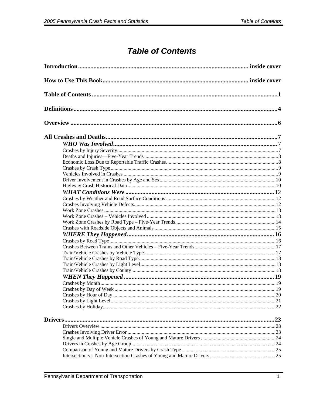# **Table of Contents**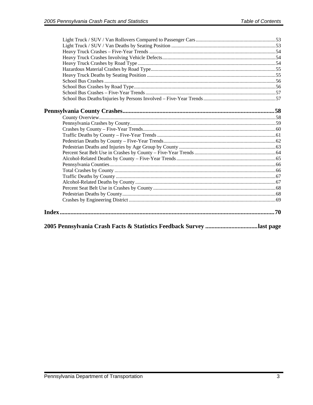| 2005 Pennsylvania Crash Facts & Statistics Feedback Survey last page |  |
|----------------------------------------------------------------------|--|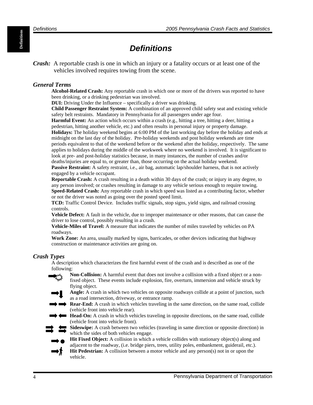# *Definitions*

<span id="page-5-0"></span>*Crash:* A reportable crash is one in which an injury or a fatality occurs or at least one of the vehicles involved requires towing from the scene.

#### *General Terms*

**Alcohol-Related Crash:** Any reportable crash in which one or more of the drivers was reported to have been drinking, or a drinking pedestrian was involved.

**DUI:** Driving Under the Influence – specifically a driver was drinking.

**Child Passenger Restraint System:** A combination of an approved child safety seat and existing vehicle safety belt restraints. Mandatory in Pennsylvania for all passengers under age four.

**Harmful Event:** An action which occurs within a crash (e.g., hitting a tree, hitting a deer, hitting a pedestrian, hitting another vehicle, etc.) and often results in personal injury or property damage. **Holidays:** The holiday weekend begins at 6:00 PM of the last working day before the holiday and ends at midnight on the last day of the holiday. Pre-holiday weekends and post holiday weekends are time periods equivalent to that of the weekend before or the weekend after the holiday, respectively. The same applies to holidays during the middle of the workweek where no weekend is involved. It is significant to look at pre- and post-holiday statistics because, in many instances, the number of crashes and/or deaths/injuries are equal to, or greater than, those occurring on the actual holiday weekend.

**Passive Restraint:** A safety restraint, i.e., air bag, automatic lap/shoulder harness, that is not actively engaged by a vehicle occupant.

**Reportable Crash:** A crash resulting in a death within 30 days of the crash; or injury in any degree, to any person involved; or crashes resulting in damage to any vehicle serious enough to require towing. **Speed-Related Crash:** Any reportable crash in which speed was listed as a contributing factor, whether or not the driver was noted as going over the posted speed limit.

**TCD:** Traffic Control Device. Includes traffic signals, stop signs, yield signs, and railroad crossing controls.

**Vehicle Defect:** A fault in the vehicle, due to improper maintenance or other reasons, that can cause the driver to lose control, possibly resulting in a crash.

**Vehicle-Miles of Travel:** A measure that indicates the number of miles traveled by vehicles on PA roadways.

**Work Zone:** An area, usually marked by signs, barricades, or other devices indicating that highway construction or maintenance activities are going on.

#### *Crash Types*

 A description which characterizes the first harmful event of the crash and is described as one of the following:

- **Non-Collision:** A harmful event that does not involve a collision with a fixed object or a non fixed object. These events include explosion, fire, overturn, immersion and vehicle struck by flying object.
- **Angle:** A crash in which two vehicles on opposite roadways collide at a point of junction, such as a road intersection, driveway, or entrance ramp.
- **Rear-End:** A crash in which vehicles traveling in the same direction, on the same road, collide (vehicle front into vehicle rear).
- Head-On: A crash in which vehicles traveling in opposite directions, on the same road, collide (vehicle front into vehicle front).

**Sideswipe:** A crash between two vehicles (traveling in same direction or opposite direction) in which the sides of both vehicles engage.



- Hit Fixed Object: A collision in which a vehicle collides with stationary object(s) along and adjacent to the roadway, (i.e. bridge piers, trees, utility poles, embankment, guiderail, etc.).
- **Hit Pedestrian:** A collision between a motor vehicle and any person(s) not in or upon the vehicle.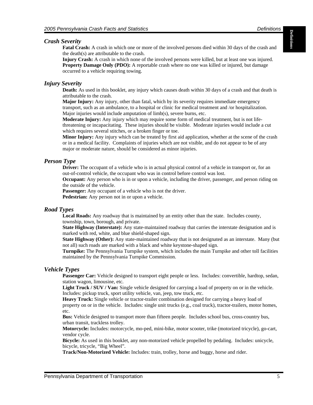**Definitions** Definitions

#### *Crash Severity*

**Fatal Crash:** A crash in which one or more of the involved persons died within 30 days of the crash and the death(s) are attributable to the crash.

**Injury Crash:** A crash in which none of the involved persons were killed, but at least one was injured. **Property Damage Only (PDO):** A reportable crash where no one was killed or injured, but damage occurred to a vehicle requiring towing.

#### *Injury Severity*

**Death:** As used in this booklet, any injury which causes death within 30 days of a crash and that death is attributable to the crash.

**Major Injury:** Any injury, other than fatal, which by its severity requires immediate emergency transport, such as an ambulance, to a hospital or clinic for medical treatment and /or hospitalization. Major injuries would include amputation of limb(s), severe burns, etc.

**Moderate Injury:** Any injury which may require some form of medical treatment, but is not lifethreatening or incapacitating. These injuries should be visible. Moderate injuries would include a cut which requires several stitches, or a broken finger or toe.

**Minor Injury:** Any injury which can be treated by first aid application, whether at the scene of the crash or in a medical facility. Complaints of injuries which are not visible, and do not appear to be of any major or moderate nature, should be considered as minor injuries.

#### *Person Type*

**Driver:** The occupant of a vehicle who is in actual physical control of a vehicle in transport or, for an out-of-control vehicle, the occupant who was in control before control was lost.

**Occupant:** Any person who is in or upon a vehicle, including the driver, passenger, and person riding on the outside of the vehicle.

**Passenger:** Any occupant of a vehicle who is not the driver.

**Pedestrian:** Any person not in or upon a vehicle.

#### *Road Types*

**Local Roads:** Any roadway that is maintained by an entity other than the state. Includes county, township, town, borough, and private.

**State Highway (Interstate):** Any state-maintained roadway that carries the interstate designation and is marked with red, white, and blue shield-shaped sign.

**State Highway (Other):** Any state-maintained roadway that is not designated as an interstate. Many (but not all) such roads are marked with a black and white keystone-shaped sign.

**Turnpike:** The Pennsylvania Turnpike system, which includes the main Turnpike and other toll facilities maintained by the Pennsylvania Turnpike Commission.

#### *Vehicle Types*

**Passenger Car:** Vehicle designed to transport eight people or less. Includes: convertible, hardtop, sedan, station wagon, limousine, etc.

**Light Truck / SUV / Van:** Single vehicle designed for carrying a load of property on or in the vehicle. Includes: pickup truck, sport utility vehicle, van, jeep, tow truck, etc.

**Heavy Truck:** Single vehicle or tractor-trailer combination designed for carrying a heavy load of property on or in the vehicle. Includes: single unit trucks (e.g., coal truck), tractor-trailers, motor homes, etc.

**Bus:** Vehicle designed to transport more than fifteen people. Includes school bus, cross-country bus, urban transit, trackless trolley.

**Motorcycle:** Includes: motorcycle, mo-ped, mini-bike, motor scooter, trike (motorized tricycle), go-cart, vendor cycle.

**Bicycle:** As used in this booklet, any non-motorized vehicle propelled by pedaling. Includes: unicycle, bicycle, tricycle, "Big Wheel".

**Track/Non-Motorized Vehicle:** Includes: train, trolley, horse and buggy, horse and rider.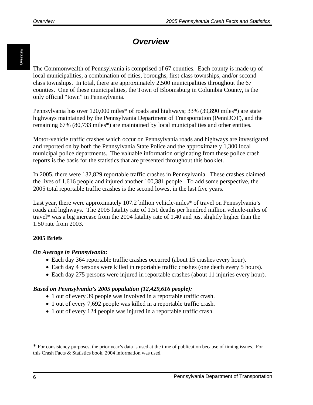# *Overview*

<span id="page-7-0"></span>The Commonwealth of Pennsylvania is comprised of 67 counties. Each county is made up of local municipalities, a combination of cities, boroughs, first class townships, and/or second class townships. In total, there are approximately 2,500 municipalities throughout the 67 counties. One of these municipalities, the Town of Bloomsburg in Columbia County, is the only official "town" in Pennsylvania.

Pennsylvania has over 120,000 miles\* of roads and highways; 33% (39,890 miles\*) are state highways maintained by the Pennsylvania Department of Transportation (PennDOT), and the remaining 67% (80,733 miles\*) are maintained by local municipalities and other entities.

Motor-vehicle traffic crashes which occur on Pennsylvania roads and highways are investigated and reported on by both the Pennsylvania State Police and the approximately 1,300 local municipal police departments. The valuable information originating from these police crash reports is the basis for the statistics that are presented throughout this booklet.

In 2005, there were 132,829 reportable traffic crashes in Pennsylvania. These crashes claimed the lives of 1,616 people and injured another 100,381 people. To add some perspective, the 2005 total reportable traffic crashes is the second lowest in the last five years.

Last year, there were approximately 107.2 billion vehicle-miles\* of travel on Pennsylvania's roads and highways. The 2005 fatality rate of 1.51 deaths per hundred million vehicle-miles of travel\* was a big increase from the 2004 fatality rate of 1.40 and just slightly higher than the 1.50 rate from 2003.

#### **2005 Briefs**

#### *On Average in Pennsylvania:*

- Each day 364 reportable traffic crashes occurred (about 15 crashes every hour).
- Each day 4 persons were killed in reportable traffic crashes (one death every 5 hours).
- Each day 275 persons were injured in reportable crashes (about 11 injuries every hour).

#### *Based on Pennsylvania's 2005 population (12,429,616 people):*

- 1 out of every 39 people was involved in a reportable traffic crash.
- 1 out of every 7,692 people was killed in a reportable traffic crash.
- 1 out of every 124 people was injured in a reportable traffic crash.

\* For consistency purposes, the prior year's data is used at the time of publication because of timing issues. For this Crash Facts & Statistics book, 2004 information was used.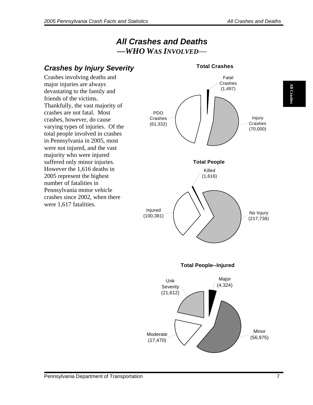**All Crashes All Crashes** 

# *All Crashes and Deaths —WHO WAS INVOLVED*—

<span id="page-8-0"></span>

#### **Total Crashes**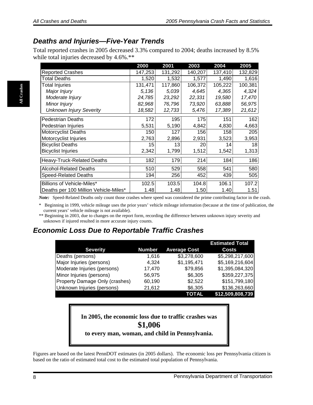# <span id="page-9-0"></span>*Deaths and Injuries—Five-Year Trends*

Total reported crashes in 2005 decreased 3.3% compared to 2004; deaths increased by 8.5% while total injuries decreased by 4.6%.\*\*

|                                       | 2000    | 2001    | 2003    | 2004    | 2005    |
|---------------------------------------|---------|---------|---------|---------|---------|
| <b>Reported Crashes</b>               | 147,253 | 131,292 | 140,207 | 137,410 | 132,829 |
| Total Deaths                          | 1,520   | 1,532   | 1,577   | 1,490   | 1,616   |
| <b>Total Injuries</b>                 | 131,471 | 117,860 | 106,372 | 105,222 | 100,381 |
| Major Injury                          | 5,136   | 5,039   | 4,645   | 4,365   | 4,324   |
| Moderate Injury                       | 24,785  | 23,292  | 22,331  | 19,580  | 17,470  |
| Minor Injury                          | 82,968  | 76,796  | 73,920  | 63,888  | 56,975  |
| <b>Unknown Injury Severity</b>        | 18,582  | 12,733  | 5,476   | 17,389  | 21,612  |
| <b>Pedestrian Deaths</b>              | 172     | 195     | 175     | 151     | 162     |
| Pedestrian Injuries                   | 5,531   | 5,190   | 4,842   | 4,830   | 4,663   |
| <b>Motorcyclist Deaths</b>            | 150     | 127     | 156     | 158     | 205     |
| Motorcyclist Injuries                 | 2,763   | 2,896   | 2,931   | 3,523   | 3,953   |
| <b>Bicyclist Deaths</b>               | 15      | 13      | 20      | 14      | 18      |
| <b>Bicyclist Injuries</b>             | 2,342   | 1,799   | 1,512   | 1,542   | 1,313   |
| Heavy-Truck-Related Deaths            | 182     | 179     | 214     | 184     | 186     |
| <b>Alcohol-Related Deaths</b>         | 510     | 529     | 558     | 541     | 580     |
| <b>Speed-Related Deaths</b>           | 194     | 256     | 452     | 439     | 505     |
| Billions of Vehicle-Miles*            | 102.5   | 103.5   | 104.8   | 106.1   | 107.2   |
| Deaths per 100 Million Vehicle-Miles* | 1.48    | 1.48    | 1.50    | 1.40    | 1.51    |

*Note:* Speed-Related Deaths only count those crashes where speed was considered the prime contributing factor in the crash.

\* Beginning in 1999, vehicle mileage uses the prior years' vehicle mileage information (because at the time of publication, the current years' vehicle mileage is not available).

\*\* Beginning in 2003, due to changes on the report form, recording the difference between unknown injury severity and unknown if injured resulted in more accurate injury counts.

### *Economic Loss Due to Reportable Traffic Crashes*

|                                |               |                     | <b>Estimated Total</b> |
|--------------------------------|---------------|---------------------|------------------------|
| <b>Severity</b>                | <b>Number</b> | <b>Average Cost</b> | <b>Costs</b>           |
| Deaths (persons)               | 1,616         | \$3,278,600         | \$5,298,217,600        |
| Major Injuries (persons)       | 4.324         | \$1,195,471         | \$5,169,216,604        |
| Moderate Injuries (persons)    | 17,470        | \$79,856            | \$1,395,084,320        |
| Minor Injuries (persons)       | 56,975        | \$6,305             | \$359,227,375          |
| Property Damage Only (crashes) | 60,190        | \$2,522             | \$151,799,180          |
| Unknown Injuries (persons)     | 21,612        | \$6,305             | \$136,263,660          |
|                                |               | TOTAL               | \$12,509,808,739       |

**In 2005, the economic loss due to traffic crashes was \$1,006 to every man, woman, and child in Pennsylvania.** 

Figures are based on the latest PennDOT estimates (in 2005 dollars). The economic loss per Pennsylvania citizen is based on the ratio of estimated total cost to the estimated total population of Pennsylvania.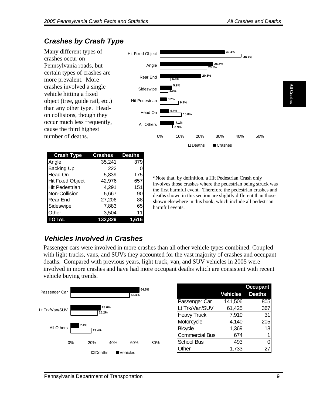**All Crashes** 

**All Crashe** 

# <span id="page-10-0"></span>*Crashes by Crash Type*

Many different types of crashes occur on Pennsylvania roads, but certain types of crashes are more prevalent. More crashes involved a single vehicle hitting a fixed object (tree, guide rail, etc.) than any other type. Headon collisions, though they occur much less frequently, cause the third highest number of deaths.

| <b>Crash Type</b>       | <b>Crashes</b> | <b>Deaths</b> |
|-------------------------|----------------|---------------|
| Angle                   | 35,241         | 379           |
| <b>Backing Up</b>       | 222            |               |
| <b>Head On</b>          | 5,839          | 175           |
| <b>Hit Fixed Object</b> | 42,976         | 6571          |
| <b>Hit Pedestrian</b>   | 4,291          | 151           |
| Non-Collision           | 5,667          | 90            |
| Rear End                | 27,206         | 88            |
| Sideswipe               | 7,883          | 65            |
| Other                   | 3,504          | 11            |
| <b>TOTAL</b>            | 132.829        |               |



\*Note that, by definition, a Hit Pedestrian Crash only involves those crashes where the pedestrian being struck was the first harmful event. Therefore the pedestrian crashes and deaths shown in this section are slightly different than those shown elsewhere in this book, which include all pedestrian harmful events.

# *Vehicles Involved in Crashes*

Passenger cars were involved in more crashes than all other vehicle types combined. Coupled with light trucks, vans, and SUVs they accounted for the vast majority of crashes and occupant deaths. Compared with previous years, light truck, van, and SUV vehicles in 2005 were involved in more crashes and have had more occupant deaths which are consistent with recent vehicle buying trends.

| Passenger Car  |      |                  |           | 64.5%<br>55.4% |     |                                 |
|----------------|------|------------------|-----------|----------------|-----|---------------------------------|
| Lt Trk/Van/SUV |      | 28.0%            |           |                |     | Passenger Car<br>Lt Trk/Van/SUV |
|                |      | 25.2%            |           |                |     | <b>Heavy Truck</b>              |
|                | 7.4% |                  |           |                |     | Motorcycle                      |
| All Others     |      | 19.4%            |           |                |     | Bicycle                         |
|                |      |                  |           |                |     | <b>Commercial Bus</b>           |
|                | 0%   | 20%              | 40%       | 60%            | 80% | <b>School Bus</b>               |
|                |      | $\square$ Deaths | ∎Vehicles |                |     | Other                           |
|                |      |                  |           |                |     |                                 |

|                       |          | <b>Occupant</b> |
|-----------------------|----------|-----------------|
|                       | Vehicles | <b>Deaths</b>   |
| Passenger Car         | 141,506  | 805             |
| Lt Trk/Van/SUV        | 61,425   | 367             |
| <b>Heavy Truck</b>    | 7,910    | 31              |
| Motorcycle            | 4,140    | 205             |
| Bicycle               | 1,369    | 18              |
| <b>Commercial Bus</b> | 674      |                 |
| <b>School Bus</b>     | 493      |                 |
| <b>ther</b>           | 1,733    | 27              |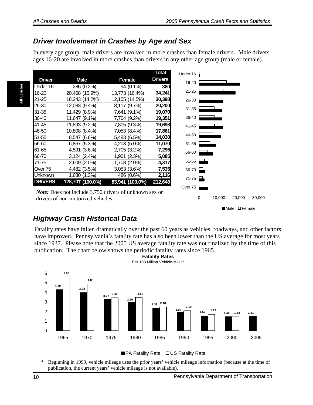### <span id="page-11-0"></span>*Driver Involvement in Crashes by Age and Sex*

In every age group, male drivers are involved in more crashes than female drivers. Male drivers ages 16-20 are involved in more crashes than drivers in any other age group (male or female).

|                |                  |                 | Total          |
|----------------|------------------|-----------------|----------------|
| <b>Driver</b>  | <b>Male</b>      | Female          | <b>Drivers</b> |
| Under 16       | 286 (0.2%)       | 94 (0.1%)       | 380            |
| 16-20          | 20,468 (15.9%)   | 13,773 (16.4%)  | 34,241         |
| $21 - 25$      | 18,243 (14.2%)   | 12,155 (14.5%)  | 30,398         |
| 26-30          | 12,083 (9.4%)    | 8,117 (9.7%)    | 20,200         |
| $31 - 35$      | 11,429 (8.9%)    | 7,641 (9.1%)    | 19,070         |
| 36-40          | 11,647 (9.1%)    | 7,704 (9.2%)    | 19,351         |
| 41-45          | 11,893 (9.2%)    | 7,805 (9.3%)    | 19,698         |
| 46-50          | 10,808 (8.4%)    | 7,053 (8.4%)    | 17,861         |
| 51-55          | 8,547 (6.6%)     | 5,483 (6.5%)    | 14,030         |
| 56-60          | 6,867 (5.3%)     | 4,203 (5.0%)    | 11,070         |
| 61-65          | 4,591 (3.6%)     | 2,705 (3.2%)    | 7,296          |
| 66-70          | $3,124(2.4\%)$   | 1,961 (2.3%)    | 5,085          |
| 71-75          | 2,609 (2.0%)     | 1,708 (2.0%)    | 4,317          |
| Over 75        | 4,482 (3.5%)     | 3,053 (3.6%)    | 7,535          |
| Unknown        | 1,630 (1.3%)     | 486 (0.6%)      | 2,116          |
| <b>DRIVERS</b> | 128,707 (100.0%) | 83,941 (100.0%) | 212,648        |
|                |                  |                 |                |

*Note:* Does not include 3,750 drivers of unknown sex or drivers of non-motorized vehicles.

Male **O**Female

0 10,000 20,000 30,000

### *Highway Crash Historical Data*

Fatality rates have fallen dramatically over the past 60 years as vehicles, roadways, and other factors have improved. Pennsylvania's fatality rate has also been lower than the US average for most years since 1937. Please note that the 2005 US average fatality rate was not finalized by the time of this publication. The chart below shows the periodic fatality rates since 1965. **Fatality Rates**



■ PA Fatality Rate □ US Fatality Rate

\* Beginning in 1999, vehicle mileage uses the prior years' vehicle mileage information (because at the time of publication, the current years' vehicle mileage is not available).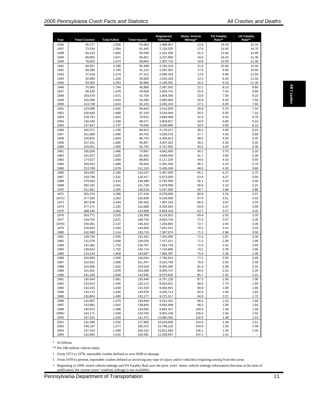| Year        | <b>Total Crashes</b>                                                                                                                            | <b>Total Killed</b> | <b>Total Injured</b> | Registered<br><b>Vehicles</b> | <b>Motor Vehicle</b><br>Mileage*                                                                                                   | <b>PA Fatality</b><br>Rate** | <b>US Fatality</b><br>Rate** |  |
|-------------|-------------------------------------------------------------------------------------------------------------------------------------------------|---------------------|----------------------|-------------------------------|------------------------------------------------------------------------------------------------------------------------------------|------------------------------|------------------------------|--|
| 1936        | 55,727                                                                                                                                          | 2,426               | 50,854               | 1,989,507                     | 12.6                                                                                                                               | 19.20                        | 15.10                        |  |
| 1937        | 73,534                                                                                                                                          | 2,564               | 61,445               | 2,124,525                     | 17.6                                                                                                                               | 14.60                        | 14.70                        |  |
| 1938        | 93,153                                                                                                                                          | 1,892               | 50,598               | 2,101,299                     | 16.3                                                                                                                               | 11.60                        | 12.00                        |  |
| 1939        | 69,950                                                                                                                                          | 1,871               | 55,821               | 2.237.960                     | 18.5                                                                                                                               | 10.10                        | 11.30                        |  |
| 1940        | 78,625                                                                                                                                          | 2,074               | 58,664               | 2,307,723                     | 19.8                                                                                                                               | 10.50                        | 11.40                        |  |
| 1941        | 83,507                                                                                                                                          | 2,298               | 60,499               | 2,432,319                     | 21.3                                                                                                                               | 10.80                        | 12.00                        |  |
| 1942        | 59,280                                                                                                                                          | 1,745               | 41,122               | 2,267,301                     | 17.6                                                                                                                               | 9.90                         | 10.60                        |  |
| 1943        | 37,419                                                                                                                                          | 1,374               | 27,312               | 2,084,332                     | 13.9                                                                                                                               | 9.90                         | 11.50                        |  |
| 1944        | 42,699                                                                                                                                          | 1,328               | 29,928               | 2,010,163                     | 14.4                                                                                                                               | 9.20                         | 11.50                        |  |
| 1945        | 53,304                                                                                                                                          | 1,453               | 35,686               | 2,145,452                     | 16.0                                                                                                                               | 9.10                         | 11.30                        |  |
| 1946        | 70,065                                                                                                                                          | 1,794               | 45,889               | 2,387,542                     | 22.1                                                                                                                               | 8.10                         | 9.80                         |  |
| 1947        | 89,190                                                                                                                                          | 1,678               | 49,938               | 2,604,741                     | 22.4                                                                                                                               | 7.50                         | 8.80                         |  |
| 1948        | 103,478                                                                                                                                         | 1,671               | 52,709               | 2,804,056                     | 23.9                                                                                                                               | 7.00                         | 8.10                         |  |
| 1949        | 102,098                                                                                                                                         | 1,624               | 54,290               | 2,993,903                     | 25.8                                                                                                                               | 6.30                         | 7.50                         |  |
| 1950        | 113,748                                                                                                                                         | 1,624               | 62,103               | 3,262,243                     | 27.1                                                                                                                               | 6.00                         | 7.60                         |  |
| 1951        | 123,088                                                                                                                                         | 1,642               | 65,643               | 3,413,836                     | 28.8                                                                                                                               | 5.70                         | 7.10                         |  |
| 1952        | 126,820                                                                                                                                         | 1,680               | 67,143               | 3,510,064                     | 30.5                                                                                                                               | 5.50                         | 7.10                         |  |
| 1953        | 129,791                                                                                                                                         | 1,643               | 70,531               | 3,684,468                     | 31.6                                                                                                                               | 5.20                         | 6.70                         |  |
| 1954        | 130,326                                                                                                                                         | 1,538               | 68,571               | 3,903,917                     | 32.0                                                                                                                               | 4.80                         | 6.10                         |  |
|             |                                                                                                                                                 |                     |                      |                               |                                                                                                                                    |                              |                              |  |
| 1955        | 147,837                                                                                                                                         | 1,737               | 76,836               | 4,045,995                     | 34.5                                                                                                                               | 5.00                         | 6.10                         |  |
| 1956        | 160,371                                                                                                                                         | 1,790               | 84,813               | 4,175,217                     | 36.5                                                                                                                               | 4.90                         | 6.10                         |  |
| 1957        | 161,080                                                                                                                                         | 1,698               | 84,755               | 4,250,576                     | 37.7                                                                                                                               | 4.50                         | 5.80                         |  |
| 1958        | 156,825                                                                                                                                         | 1,654               | 86,733               | 4,355,813                     | 38.5                                                                                                                               | 4.30                         | 5.40                         |  |
| 1959        | 157,191                                                                                                                                         | 1,685               | 90,807               | 4,507,262                     | 39.2                                                                                                                               | 4.30                         | 5.40                         |  |
| 1960        | 159,051                                                                                                                                         | 1,609               | 92,792               | 4,707,055                     | 40.2                                                                                                                               | 4.00                         | 5.30                         |  |
| 1961        | 156,559                                                                                                                                         | 1,486               | 73,997               | 4,842,400                     | 40.2                                                                                                                               | 3.70                         | 5.20                         |  |
| 1962        | 161,557                                                                                                                                         | 1,625               | 81,936               | 4,849,400                     | 41.7                                                                                                                               | 3.90                         | 5.30                         |  |
| 1963        | 174,527                                                                                                                                         | 1,830               | 86,892               | 5,117,229                     | 44.6                                                                                                                               | 4.10                         | 5.50                         |  |
| 1964        | 183,910                                                                                                                                         | 1,889               | 93,564               | 5,351,350                     | 46.1                                                                                                                               | 4.10                         | 5.70                         |  |
| 1965        | 213,769                                                                                                                                         | 2,079               | 111,123              | 5,436,349                     | 48.3                                                                                                                               | 4.30                         | 5.60                         |  |
| 1966        | 254,450                                                                                                                                         | 2,180               | 116,537              | 5,497,000                     | 55.1                                                                                                                               | 4.27                         | 5.70                         |  |
| 1967        | 243,798                                                                                                                                         | 2,331               | 126,417              | 5,673,000                     | 53.4                                                                                                                               | 4.37                         | 5.50                         |  |
| 1968        | 279,663                                                                                                                                         | 2,410               | 138,389              | 5,791,000                     | 56.1                                                                                                                               | 4.29                         | 5.40                         |  |
| 1969        | 292,192                                                                                                                                         | 2,401               | 141,728              | 5,879,000                     | 58.6                                                                                                                               | 4.10                         | 5.21                         |  |
| 1970        | 311,981                                                                                                                                         | 2,255               | 136,518              | 5,947,000                     | 56.7                                                                                                                               | 3.98                         | 4.88                         |  |
| 1971        | 301,374                                                                                                                                         | 2,299               | 127,318              | 6,079,000                     | 60.9                                                                                                                               | 3.78                         | 4.57                         |  |
| 1972†       | 277,556                                                                                                                                         | 2,352               | 135,938              | 6,244,000                     | 67.0                                                                                                                               | 3.51                         | 4.43                         |  |
| 1973        | 307,648                                                                                                                                         | 2,444               | 145,452              | 7,007,192                     | 66.5                                                                                                                               | 3.67                         | 4.24                         |  |
| 1974        | 277,271                                                                                                                                         | 2,155               | 132,689              | 8,354,063                     | 63.9                                                                                                                               | 3.37                         | 3.59                         |  |
| 1975        | 288,245                                                                                                                                         | 2,082               | 134,969              | 8,654,333                     | 63.7                                                                                                                               | 3.27                         | 3.45                         |  |
| 1976        | 303,771                                                                                                                                         | 2,025               | 135,308              | 9,124,915                     | 69.4                                                                                                                               | 2.92                         | 3.33                         |  |
| 1977        | 234,702                                                                                                                                         | 2,071               | 148,725              | 8,833,745                     | 72.3                                                                                                                               | 2.87                         | 3.35                         |  |
| 1978‡       | 158,361                                                                                                                                         | 2,137               | 146,403              | 7,254,893                     | 72.7                                                                                                                               | 2.94                         | 3.39                         |  |
| 1979        | 156,622                                                                                                                                         | 2,204               | 144,300              | 7,451,021                     | 70.3                                                                                                                               | 3.14                         | 3.50                         |  |
| 1980        | 142.489                                                                                                                                         | 2,114               | 133,716              | 7,307,974                     | 71.3                                                                                                                               | 2.96                         | 3.50                         |  |
| 1981        | 138.764                                                                                                                                         | 2,049               | 131,301              | 7.252.836                     | 71.5                                                                                                                               | 2.87                         | 3.30                         |  |
| 1982        | 131,579                                                                                                                                         | 1,848               | 126,026              | 7,417,311                     | 71.3                                                                                                                               | 2.59                         | 2.88                         |  |
| 1983        | 131,081                                                                                                                                         | 1,752               | 126,707              | 7,562,726                     | 72.3                                                                                                                               | 2.42                         | 2.69                         |  |
| 1984        | 139,914                                                                                                                                         | 1,752               | 134,714              | 7,724,686                     | 74.1                                                                                                                               | 2.36                         | 2.68                         |  |
| 1985        | 143,244                                                                                                                                         | 1,809               | 140,067              | 7,860,497                     | 75.6                                                                                                                               | 2.39                         | 2.48                         |  |
| 1986        | 150,683                                                                                                                                         | 1,928               | 148,044              | 7,793,921                     | 77.2                                                                                                                               | 2.50                         | 2.48                         |  |
| 1987        | 152,631                                                                                                                                         | 2,006               | 151,457              | 8,313,799                     | 78.9                                                                                                                               | 2.54                         | 2.40                         |  |
| 1988        | 152,906                                                                                                                                         | 1,932               | 154,018              | 8,452,365                     | 81.3                                                                                                                               | 2.38                         | 2.32                         |  |
| 1989        | 151,461                                                                                                                                         | 1,878               | 152,589              | 8,605,747                     | 84.5                                                                                                                               | 2.22                         | 2.20                         |  |
| 1990        | 141,340                                                                                                                                         | 1,646               | 142,945              | 8,675,835                     | 85.7                                                                                                                               | 1.92                         | 2.10                         |  |
| 1991        | 130,404                                                                                                                                         | 1,661               | 130,446              | 8,757,129                     | 87.3                                                                                                                               | 1.90                         | 1.90                         |  |
| 1992        | 133,913                                                                                                                                         | 1,545               | 133,113              | 8,915,621                     | 89.0                                                                                                                               | 1.74                         | 1.80                         |  |
| 1993        | 134,315                                                                                                                                         | 1,530               | 131,503              | 9,044,901                     | 90.8                                                                                                                               | 1.68                         | 1.80                         |  |
| 1994        | 134,171                                                                                                                                         | 1,440               | 130,678              | 9,255,714                     | 92.3                                                                                                                               | 1.56                         | 1.83                         |  |
| 1995        | 136,804                                                                                                                                         | 1,480               | 133,177              | 9,271,517                     | 94.5                                                                                                                               | 1.57                         | 1.72                         |  |
| 1996        | 142,867                                                                                                                                         | 1,470               | 136,949              | 9,411,261                     | 96.4                                                                                                                               | 1.53                         | 1.69                         |  |
| 1997        | 143,981                                                                                                                                         | 1,562               | 138,820              | 9,692,499                     | 98.3                                                                                                                               | 1.59                         | 1.64                         |  |
| 1998        | 140,972                                                                                                                                         | 1,486               | 134,092              | 9,842,427                     | 100.4                                                                                                                              | 1.48                         | 1.58                         |  |
| 1999+       | 144,171                                                                                                                                         | 1,549               | 133,783              | 9,901,148                     | 100.4                                                                                                                              | 1.54                         | 1.55                         |  |
| 2000        | 147,253                                                                                                                                         | 1,520               | 131,471              | 10,085,392                    | 102.5                                                                                                                              | 1.48                         | 1.53                         |  |
| 2001        | 131,358                                                                                                                                         | 1,532               | 117,860              | 10,629,896                    | 103.5                                                                                                                              | 1.48                         | 1.51                         |  |
| 2003        | 140,197                                                                                                                                         | 1,577               | 106,372              | 10,768,222                    | 104.8                                                                                                                              | 1.50                         | 1.48                         |  |
| 2004        | 137,410                                                                                                                                         | 1,490               | 105,222              | 10,921,683                    | 106.1                                                                                                                              | 1.40                         | 1.46                         |  |
| 2005        | 132,840                                                                                                                                         | 1,616               | 100,381              | 11,058,567                    | 107.2                                                                                                                              | 1.51                         | Ξ.                           |  |
| In billions | ** Per 100 million vehicle-miles<br>From 1972 to 1978, reportable crashes defined as over \$200 in damage                                       |                     |                      |                               |                                                                                                                                    |                              |                              |  |
|             | + Beginning in 1999, motor vehicle mileage and PA Fatality Rate uses the prior years' motor vehicle mileage information (because at the time of |                     |                      |                               | From 1978 to present, reportable crashes defined as involving any type of injury and/or vehicle(s) requiring towing from the scene |                              |                              |  |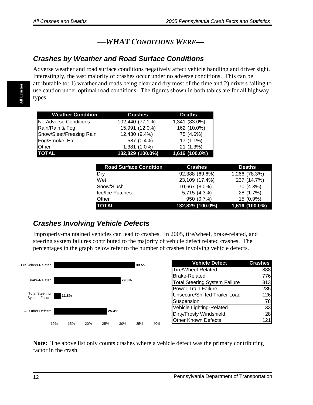# —*WHAT CONDITIONS WERE—*

### <span id="page-13-0"></span>*Crashes by Weather and Road Surface Conditions*

Adverse weather and road surface conditions negatively affect vehicle handling and driver sight. Interestingly, the vast majority of crashes occur under no adverse conditions. This can be attributable to: 1) weather and roads being clear and dry most of the time and 2) drivers failing to use caution under optimal road conditions. The figures shown in both tables are for all highway types.

| <b>Weather Condition</b> | <b>Crashes</b>   | <b>Deaths</b>  |
|--------------------------|------------------|----------------|
| No Adverse Conditions    | 102,440 (77.1%)  | 1,341 (83.0%)  |
| Rain/Rain & Fog          | 15,991 (12.0%)   | 162 (10.0%)    |
| Snow/Sleet/Freezing Rain | 12,430 (9.4%)    | 75 (4.6%)      |
| Fog/Smoke, Etc.          | 587 (0.4%)       | $17(1.1\%)$    |
| <b>Other</b>             | 1,381 (1.0%)     | 21 (1.3%)      |
| <b>TOTAL</b>             | 132,829 (100.0%) | 1,616 (100.0%) |

| <b>Road Surface Condition</b> | <b>Crashes</b>   | <b>Deaths</b>  |
|-------------------------------|------------------|----------------|
| Dry                           | 92,388 (69.6%)   | 1,266 (78.3%)  |
| Wet                           | 23,109 (17.4%)   | 237 (14.7%)    |
| Snow/Slush                    | 10,667 (8.0%)    | 70 (4.3%)      |
| Ice/Ice Patches               | 5,715 (4.3%)     | 28 (1.7%)      |
| <b>Other</b>                  | 950 (0.7%)       | 15 (0.9%)      |
| <b>TOTAL</b>                  | 132,829 (100.0%) | 1,616 (100.0%) |

# *Crashes Involving Vehicle Defects*

Improperly-maintained vehicles can lead to crashes. In 2005, tire/wheel, brake-related, and steering system failures contributed to the majority of vehicle defect related crashes. The percentages in the graph below refer to the number of crashes involving vehicle defects.



**Note:** The above list only counts crashes where a vehicle defect was the primary contributing factor in the crash.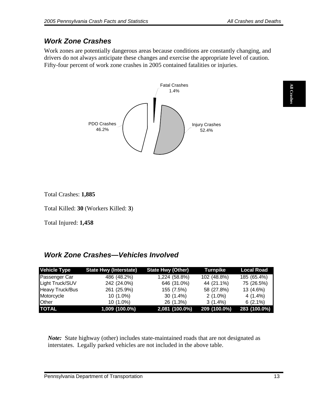# <span id="page-14-0"></span>*Work Zone Crashes*

Work zones are potentially dangerous areas because conditions are constantly changing, and drivers do not always anticipate these changes and exercise the appropriate level of caution. Fifty-four percent of work zone crashes in 2005 contained fatalities or injuries.



Total Crashes: **1,885** 

Total Killed: **30** (Workers Killed: **3**)

Total Injured: **1,458**

# *Work Zone Crashes—Vehicles Involved*

| <b>Vehicle Type</b> | <b>State Hwy (Interstate)</b> | <b>State Hwy (Other)</b> | <b>Turnpike</b> | Local Road   |
|---------------------|-------------------------------|--------------------------|-----------------|--------------|
| Passenger Car       | 486 (48.2%)                   | 1,224 (58.8%)            | 102 (48.8%)     | 185 (65.4%)  |
| Light Truck/SUV     | 242 (24.0%)                   | 646 (31.0%)              | 44 (21.1%)      | 75 (26.5%)   |
| Heavy Truck/Bus     | 261 (25.9%)                   | 155 (7.5%)               | 58 (27.8%)      | 13 (4.6%)    |
| Motorcycle          | $10(1.0\%)$                   | $30(1.4\%)$              | $2(1.0\%)$      | 4 (1.4%)     |
| <b>Other</b>        | $10(1.0\%)$                   | 26 (1.3%)                | $3(1.4\%)$      | $6(2.1\%)$   |
| <b>TOTAL</b>        | 1,009 (100.0%)                | 2,081 (100.0%)           | 209 (100.0%)    | 283 (100.0%) |

*Note:* State highway (other) includes state-maintained roads that are not designated as interstates. Legally parked vehicles are not included in the above table.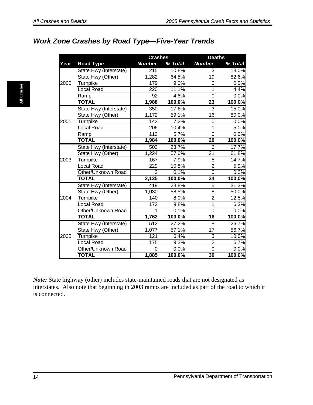# <span id="page-15-0"></span>*Work Zone Crashes by Road Type—Five-Year Trends*

|      |                        | <b>Crashes</b>   |         | <b>Deaths</b>   |         |
|------|------------------------|------------------|---------|-----------------|---------|
| Year | <b>Road Type</b>       | <b>Number</b>    | % Total | <b>Number</b>   | % Total |
|      | State Hwy (Interstate) | 215              | 10.8%   | 3               | 13.0%   |
|      | State Hwy (Other)      | 1,282            | 64.5%   | 19              | 82.6%   |
| 2000 | Turnpike               | 179              | 9.0%    | 0               | 0.0%    |
|      | <b>Local Road</b>      | 220              | 11.1%   | 1               | 4.4%    |
|      | Ramp                   | 92               | 4.6%    | $\overline{0}$  | 0.0%    |
|      | <b>TOTAL</b>           | 1,988            | 100.0%  | 23              | 100.0%  |
|      | State Hwy (Interstate) | 350              | 17.6%   | 3               | 15.0%   |
|      | State Hwy (Other)      | 1,172            | 59.1%   | $\overline{16}$ | 80.0%   |
| 2001 | Turnpike               | $\overline{143}$ | 7.2%    | $\overline{0}$  | 0.0%    |
|      | <b>Local Road</b>      | 206              | 10.4%   | 1               | 5.0%    |
|      | Ramp                   | $\overline{113}$ | 5.7%    | $\overline{0}$  | 0.0%    |
|      | <b>TOTAL</b>           | 1,984            | 100.0%  | $\overline{2}0$ | 100.0%  |
|      | State Hwy (Interstate) | 503              | 23.7%   | 6               | 17.7%   |
|      | State Hwy (Other)      | 1,224            | 57.6%   | $\overline{21}$ | 61.8%   |
| 2003 | Turnpike               | 167              | 7.9%    | 5               | 14.7%   |
|      | <b>Local Road</b>      | 229              | 10.8%   | $\overline{2}$  | 5.9%    |
|      | Other/Unknown Road     | $\overline{2}$   | 0.1%    | $\Omega$        | 0.0%    |
|      | <b>TOTAL</b>           | 2,125            | 100.0%  | 34              | 100.0%  |
|      | State Hwy (Interstate) | 419              | 23.8%   | 5               | 31.3%   |
|      | State Hwy (Other)      | 1,030            | 58.5%   | 8               | 50.0%   |
| 2004 | Turnpike               | 140              | 8.0%    | $\overline{2}$  | 12.5%   |
|      | <b>Local Road</b>      | 172              | 9.8%    | 1               | 6.3%    |
|      | Other/Unknown Road     | 1                | 0.1%    | $\overline{0}$  | 0.0%    |
|      | <b>TOTAL</b>           | 1,762            | 100.0%  | 16              | 100.0%  |
|      | State Hwy (Interstate) | 512              | 27.2%   | 8               | 26.7%   |
|      | State Hwy (Other)      | 1,077            | 57.1%   | $\overline{17}$ | 56.7%   |
| 2005 | Turnpike               | 121              | 6.4%    | 3               | 10.0%   |
|      | <b>Local Road</b>      | 175              | 9.3%    | $\overline{2}$  | 6.7%    |
|      | Other/Unknown Road     | $\Omega$         | 0.0%    | $\overline{0}$  | 0.0%    |
|      | <b>TOTAL</b>           | 1,885            | 100.0%  | 30              | 100.0%  |

*Note:* State highway (other) includes state-maintained roads that are not designated as interstates. Also note that beginning in 2003 ramps are included as part of the road to which it is connected.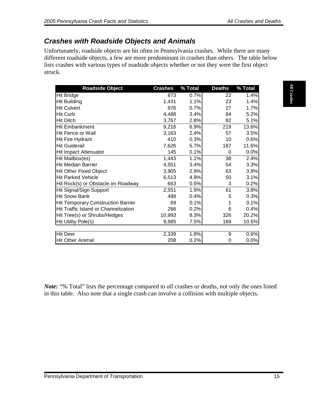# <span id="page-16-0"></span>*Crashes with Roadside Objects and Animals*

Unfortunately, roadside objects are hit often in Pennsylvania crashes. While there are many different roadside objects, a few are more predominant in crashes than others. The table below lists crashes with various types of roadside objects whether or not they were the first object struck.

| <b>Hit Bridge</b><br>23<br><b>Hit Building</b><br>1,431<br>1.1%<br>1.4%<br>976<br>0.7%<br><b>Hit Culvert</b><br>27<br>1.7%<br>3.4%<br>5.2%<br>Hit Curb<br>4,488<br>84<br>82<br>3,767<br>2.8%<br>5.1%<br>6.9%<br>9,216<br>219<br>13.6%<br>3,163<br>2.4%<br>57<br>3.5%<br>410<br>0.3%<br>10<br>0.6%<br>5.7%<br>7,626<br>187<br>11.6%<br>145<br>0.1%<br>0.0%<br>0<br>1.1%<br>1,443<br>38<br>2.4%<br>4,551<br>3.4%<br>54<br>3.3%<br>3,905<br>2.9%<br>63<br>3.9%<br>6,513<br>4.9%<br>50<br>3.1%<br>663<br>0.5%<br>0.2%<br>3<br>1.9%<br>61<br>2,551<br>3.8%<br>0.4%<br>488<br>0.3%<br>5<br>0.1%<br>69<br>0.1%<br>0.2%<br>266<br>0.4%<br>6<br>8.3%<br>20.2%<br>10,993<br>326<br>7.5%<br>9,985<br>169<br>10.5%<br>1.8%<br>0.6%<br>2,339<br>9<br>208<br>0.2%<br>0.0%<br>0 | in this table. Also note that a single crash can involve a collision with multiple objects. | <b>Note:</b> "% Total" lists the percentage compared to all crashes or deaths, not only the ones listed | <b>Roadside Object</b> | <b>Crashes</b> | % Total | <b>Deaths</b> | % Total |
|------------------------------------------------------------------------------------------------------------------------------------------------------------------------------------------------------------------------------------------------------------------------------------------------------------------------------------------------------------------------------------------------------------------------------------------------------------------------------------------------------------------------------------------------------------------------------------------------------------------------------------------------------------------------------------------------------------------------------------------------------------------|---------------------------------------------------------------------------------------------|---------------------------------------------------------------------------------------------------------|------------------------|----------------|---------|---------------|---------|
|                                                                                                                                                                                                                                                                                                                                                                                                                                                                                                                                                                                                                                                                                                                                                                  |                                                                                             |                                                                                                         |                        | 873            | 0.7%    | 22            | 1.4%    |
|                                                                                                                                                                                                                                                                                                                                                                                                                                                                                                                                                                                                                                                                                                                                                                  |                                                                                             |                                                                                                         |                        |                |         |               |         |
| <b>Hit Ditch</b><br>Hit Embankment                                                                                                                                                                                                                                                                                                                                                                                                                                                                                                                                                                                                                                                                                                                               |                                                                                             |                                                                                                         |                        |                |         |               |         |
|                                                                                                                                                                                                                                                                                                                                                                                                                                                                                                                                                                                                                                                                                                                                                                  |                                                                                             |                                                                                                         |                        |                |         |               |         |
| Hit Fence or Wall<br>Hit Fire Hydrant                                                                                                                                                                                                                                                                                                                                                                                                                                                                                                                                                                                                                                                                                                                            |                                                                                             |                                                                                                         |                        |                |         |               |         |
|                                                                                                                                                                                                                                                                                                                                                                                                                                                                                                                                                                                                                                                                                                                                                                  |                                                                                             |                                                                                                         |                        |                |         |               |         |
| <b>Hit Guiderail</b><br><b>Hit Impact Attenuator</b><br>Hit Mailbox(es)<br><b>Hit Median Barrier</b><br><b>Hit Other Fixed Object</b><br><b>Hit Parked Vehicle</b><br>Hit Rock(s) or Obstacle on Roadway<br>Hit Signal/Sign Support<br><b>Hit Snow Bank</b><br><b>Hit Temporary Construction Barrier</b><br>Hit Traffic Island or Channelization<br>Hit Tree(s) or Shrubs/Hedges<br>Hit Utility Pole(s)<br><b>Hit Deer</b><br><b>Hit Other Animal</b>                                                                                                                                                                                                                                                                                                            |                                                                                             |                                                                                                         |                        |                |         |               |         |
|                                                                                                                                                                                                                                                                                                                                                                                                                                                                                                                                                                                                                                                                                                                                                                  |                                                                                             |                                                                                                         |                        |                |         |               |         |
|                                                                                                                                                                                                                                                                                                                                                                                                                                                                                                                                                                                                                                                                                                                                                                  |                                                                                             |                                                                                                         |                        |                |         |               |         |
|                                                                                                                                                                                                                                                                                                                                                                                                                                                                                                                                                                                                                                                                                                                                                                  |                                                                                             |                                                                                                         |                        |                |         |               |         |
|                                                                                                                                                                                                                                                                                                                                                                                                                                                                                                                                                                                                                                                                                                                                                                  |                                                                                             |                                                                                                         |                        |                |         |               |         |
|                                                                                                                                                                                                                                                                                                                                                                                                                                                                                                                                                                                                                                                                                                                                                                  |                                                                                             |                                                                                                         |                        |                |         |               |         |
|                                                                                                                                                                                                                                                                                                                                                                                                                                                                                                                                                                                                                                                                                                                                                                  |                                                                                             |                                                                                                         |                        |                |         |               |         |
|                                                                                                                                                                                                                                                                                                                                                                                                                                                                                                                                                                                                                                                                                                                                                                  |                                                                                             |                                                                                                         |                        |                |         |               |         |
|                                                                                                                                                                                                                                                                                                                                                                                                                                                                                                                                                                                                                                                                                                                                                                  |                                                                                             |                                                                                                         |                        |                |         |               |         |
|                                                                                                                                                                                                                                                                                                                                                                                                                                                                                                                                                                                                                                                                                                                                                                  |                                                                                             |                                                                                                         |                        |                |         |               |         |
|                                                                                                                                                                                                                                                                                                                                                                                                                                                                                                                                                                                                                                                                                                                                                                  |                                                                                             |                                                                                                         |                        |                |         |               |         |
|                                                                                                                                                                                                                                                                                                                                                                                                                                                                                                                                                                                                                                                                                                                                                                  |                                                                                             |                                                                                                         |                        |                |         |               |         |
|                                                                                                                                                                                                                                                                                                                                                                                                                                                                                                                                                                                                                                                                                                                                                                  |                                                                                             |                                                                                                         |                        |                |         |               |         |
|                                                                                                                                                                                                                                                                                                                                                                                                                                                                                                                                                                                                                                                                                                                                                                  |                                                                                             |                                                                                                         |                        |                |         |               |         |
|                                                                                                                                                                                                                                                                                                                                                                                                                                                                                                                                                                                                                                                                                                                                                                  |                                                                                             |                                                                                                         |                        |                |         |               |         |
|                                                                                                                                                                                                                                                                                                                                                                                                                                                                                                                                                                                                                                                                                                                                                                  |                                                                                             |                                                                                                         |                        |                |         |               |         |
|                                                                                                                                                                                                                                                                                                                                                                                                                                                                                                                                                                                                                                                                                                                                                                  |                                                                                             |                                                                                                         |                        |                |         |               |         |
|                                                                                                                                                                                                                                                                                                                                                                                                                                                                                                                                                                                                                                                                                                                                                                  |                                                                                             |                                                                                                         |                        |                |         |               |         |
|                                                                                                                                                                                                                                                                                                                                                                                                                                                                                                                                                                                                                                                                                                                                                                  |                                                                                             |                                                                                                         |                        |                |         |               |         |
|                                                                                                                                                                                                                                                                                                                                                                                                                                                                                                                                                                                                                                                                                                                                                                  |                                                                                             |                                                                                                         |                        |                |         |               |         |
|                                                                                                                                                                                                                                                                                                                                                                                                                                                                                                                                                                                                                                                                                                                                                                  |                                                                                             |                                                                                                         |                        |                |         |               |         |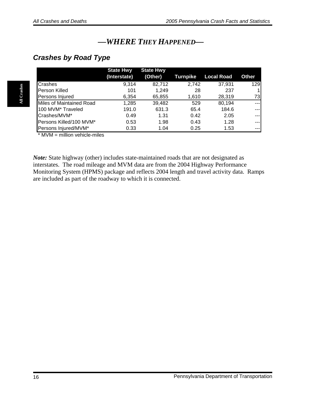# *—WHERE THEY HAPPENED—*

### <span id="page-17-0"></span>*Crashes by Road Type*

|                               | <b>State Hwy</b> | <b>State Hwy</b> |          |                   |              |
|-------------------------------|------------------|------------------|----------|-------------------|--------------|
|                               | (Interstate)     | (Other)          | Turnpike | <b>Local Road</b> | Other        |
| <b>Crashes</b>                | 9,314            | 82,712           | 2,742    | 37,931            | 129          |
| <b>Person Killed</b>          | 101              | 1.249            | 28       | 237               | $\mathbf{1}$ |
| Persons Injured               | 6,354            | 65,855           | 1,610    | 28,319            | 73I          |
| Miles of Maintained Road      | 1,285            | 39,482           | 529      | 80,194            | ---I         |
| 100 MVM <sup>*</sup> Traveled | 191.0            | 631.3            | 65.4     | 184.6             | ---1         |
| Crashes/MVM*                  | 0.49             | 1.31             | 0.42     | 2.05              | --- I        |
| Persons Killed/100 MVM*       | 0.53             | 1.98             | 0.43     | 1.28              | ---1         |
| Persons Injured/MVM*          | 0.33             | 1.04             | 0.25     | 1.53              | --- I        |

 $*$  MVM = million vehicle-miles

*Note:* State highway (other) includes state-maintained roads that are not designated as interstates. The road mileage and MVM data are from the 2004 Highway Performance Monitoring System (HPMS) package and reflects 2004 length and travel activity data. Ramps are included as part of the roadway to which it is connected.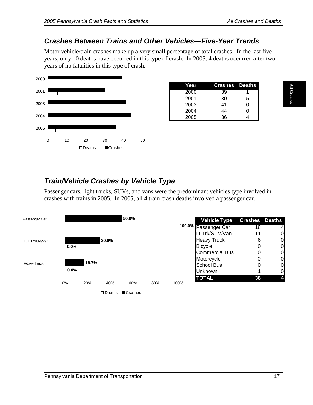#### <span id="page-18-0"></span>*Crashes Between Trains and Other Vehicles—Five-Year Trends*

Motor vehicle/train crashes make up a very small percentage of total crashes. In the last five years, only 10 deaths have occurred in this type of crash. In 2005, 4 deaths occurred after two years of no fatalities in this type of crash.



| Year | <b>Crashes</b> Deaths |   |
|------|-----------------------|---|
| 2000 | 39                    |   |
| 2001 | 30                    | 5 |
| 2003 | 41                    | 0 |
| 2004 | 44                    | 0 |
| 2005 | 36                    |   |

# *Train/Vehicle Crashes by Vehicle Type*

Passenger cars, light trucks, SUVs, and vans were the predominant vehicles type involved in crashes with trains in 2005. In 2005, all 4 train crash deaths involved a passenger car.

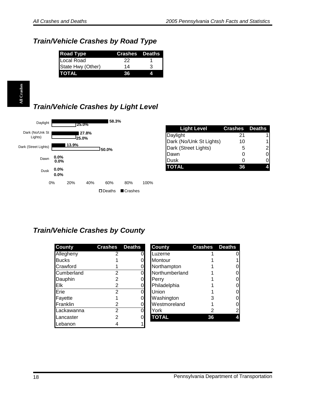# <span id="page-19-0"></span>*Train/Vehicle Crashes by Road Type*

| <b>Road Type</b>  | <b>Crashes</b> Deaths |   |
|-------------------|-----------------------|---|
| Local Road        | 22                    |   |
| State Hwy (Other) | 14                    | ર |
| <b>ITOTAL</b>     | 36                    |   |

# *Train/Vehicle Crashes by Light Level*



| <b>Light Level</b>      | <b>Crashes</b> Deaths |                |
|-------------------------|-----------------------|----------------|
| <b>Daylight</b>         | 21                    |                |
| Dark (No/Unk St Lights) | 10                    |                |
| Dark (Street Lights)    | 5                     | $\overline{c}$ |
| Dawn                    |                       | $\overline{0}$ |
| <b>Dusk</b>             |                       |                |
| <b>TOTAL</b>            | 36                    |                |

## *Train/Vehicle Crashes by County*

| <b>County</b> | <b>Crashes</b> | <b>Deaths</b> | <b>County</b>  | <b>Crashes</b> | <b>Deaths</b> |
|---------------|----------------|---------------|----------------|----------------|---------------|
| Allegheny     |                |               | Luzerne        |                |               |
| <b>Bucks</b>  |                |               | Montour        |                |               |
| Crawford      |                |               | Northampton    |                |               |
| Cumberland    | 2              |               | Northumberland |                | 0             |
| Dauphin       |                |               | Perry          |                | 0             |
| Elk           | 2              |               | Philadelphia   |                | 0             |
| Erie          | $\overline{2}$ |               | Union          |                | 0             |
| Fayette       |                |               | Washington     |                | 0             |
| Franklin      |                |               | Westmoreland   |                | 0             |
| Lackawanna    | 2              |               | York           |                | 2             |
| Lancaster     |                |               | <b>TOTAL</b>   | 36             | 4             |
| Lebanon       |                |               |                |                |               |

| <b>County</b>  | <b>Crashes</b> Deaths |                |
|----------------|-----------------------|----------------|
| Luzerne        |                       |                |
| Montour        |                       |                |
| Northampton    |                       |                |
| Northumberland |                       |                |
| Perry          |                       |                |
| Philadelphia   |                       |                |
| Union          |                       |                |
| Washington     | 3                     |                |
| Westmoreland   |                       |                |
| York           | 2                     | $\overline{2}$ |
| <b>TOTAL</b>   | 36                    |                |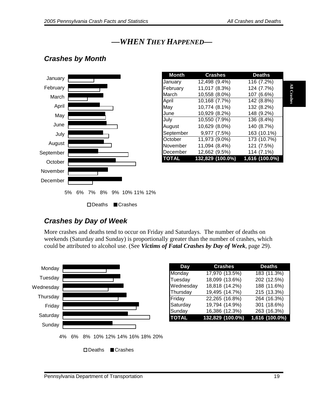# *—WHEN THEY HAPPENED—*

### <span id="page-20-0"></span>*Crashes by Month*



| <b>Month</b> | <b>Crashes</b>   | <b>Deaths</b>           |
|--------------|------------------|-------------------------|
| January      | 12,498 (9.4%)    | $\overline{116}$ (7.2%) |
| February     | 11,017 (8.3%)    | 124 (7.7%)              |
| March        | 10,558 (8.0%)    | 107 (6.6%)              |
| April        | 10,168 (7.7%)    | 142 (8.8%)              |
| May          | 10,774 (8.1%)    | 132 (8.2%)              |
| June         | 10,929 (8.2%)    | 148 (9.2%)              |
| July         | 10,550 (7.9%)    | 136 (8.4%)              |
| August       | 10,629 (8.0%)    | 140 (8.7%)              |
| September    | 9,977 (7.5%)     | 163 (10.1%)             |
| October      | 11,973 (9.0%)    | 173 (10.7%)             |
| November     | 11,094 (8.4%)    | 121 (7.5%)              |
| December     | 12,662 (9.5%)    | 114 (7.1%)              |
| TOTAL        | 132,829 (100.0%) | 1,616 (100.0%)          |

## *Crashes by Day of Week*

More crashes and deaths tend to occur on Friday and Saturdays. The number of deaths on weekends (Saturday and Sunday) is proportionally greater than the number of crashes, which could be attributed to alcohol use. (See *Victims of Fatal Crashes by Day of Week*, page 29).



| <b>Day</b>   | <b>Crashes</b>   | <b>Deaths</b>    |
|--------------|------------------|------------------|
| Monday       | 17,970 (13.5%)   | 183 (11.3%)      |
| Tuesday      | 18,099 (13.6%)   | 202 (12.5%)      |
| Wednesday    | 18,818 (14.2%)   | 188 (11.6%)      |
| Thursday     | 19,495 (14.7%)   | 215 (13.3%)      |
| Friday       | 22,265 (16.8%)   | 264 (16.3%)      |
| Saturday     | 19,794 (14.9%)   | 301 (18.6%)      |
| Sunday       | 16,386 (12.3%)   | 263 (16.3%)      |
| <b>TOTAL</b> | 132,829 (100.0%) | $1,616$ (100.0%) |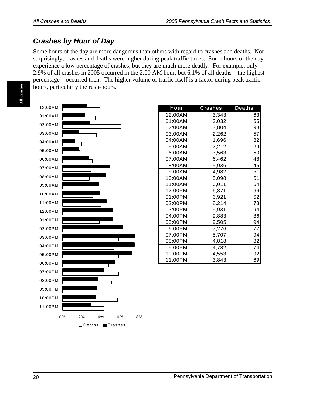### <span id="page-21-0"></span>*Crashes by Hour of Day*

Some hours of the day are more dangerous than others with regard to crashes and deaths. Not surprisingly, crashes and deaths were higher during peak traffic times. Some hours of the day experience a low percentage of crashes, but they are much more deadly. For example, only 2.9% of all crashes in 2005 occurred in the 2:00 AM hour, but 6.1% of all deaths—the highest percentage—occurred then. The higher volume of traffic itself is a factor during peak traffic hours, particularly the rush-hours.



| <b>Hour</b> | <b>Crashes</b> | <b>Deaths</b>   |
|-------------|----------------|-----------------|
| 12:00AM     | 3.343          | 63              |
| 01:00AM     | 3,032          | 55              |
| 02:00AM     | 3,804          | 98              |
| 03:00AM     | 2,262          | $\overline{57}$ |
| 04:00AM     | 1,696          | 32              |
| 05:00AM     | 2,212          | 29              |
| 06:00AM     | 3,563          | 50              |
| 07:00AM     | 6,462          | 48              |
| 08:00AM     | 5,936          | 45              |
| 09:00AM     | 4,982          | 51              |
| 10:00AM     | 5,098          | 51              |
| 11:00AM     | 6,011          | 64              |
| 12:00PM     | 6.871          | 66              |
| 01:00PM     | 6,921          | 62              |
| 02:00PM     | 8,214          | 73              |
| 03:00PM     | 9,931          | 94              |
| 04:00PM     | 9,883          | 86              |
| 05:00PM     | 9,505          | 94              |
| 06:00PM     | 7,276          | 77              |
| 07:00PM     | 5,707          | 94              |
| 08:00PM     | 4,818          | 82              |
| 09:00PM     | 4,782          | 74              |
| 10:00PM     | 4,553          | 92              |
| 11:00PM     | 3,843          | 69              |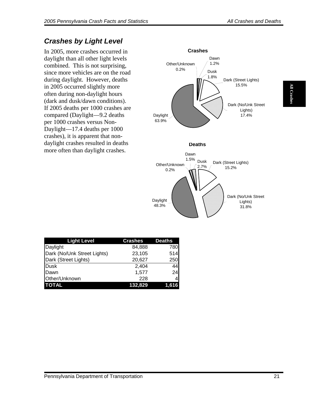# <span id="page-22-0"></span>*Crashes by Light Level*

In 2005, more crashes occurred in daylight than all other light levels combined. This is not surprising, since more vehicles are on the road during daylight. However, deaths in 2005 occurred slightly more often during non-daylight hours (dark and dusk/dawn conditions). If 2005 deaths per 1000 crashes are compared (Daylight—9.2 deaths per 1000 crashes versus Non-Daylight—17.4 deaths per 1000 crashes), it is apparent that nondaylight crashes resulted in deaths more often than daylight crashes.



| <b>Light Level</b>          | <b>Crashes</b> | <b>Deaths</b> |
|-----------------------------|----------------|---------------|
| Daylight                    | 84,888         | 780           |
| Dark (No/Unk Street Lights) | 23,105         | 514           |
| Dark (Street Lights)        | 20,627         | 250           |
| Dusk                        | 2,404          | 44            |
| <b>IDawn</b>                | 1,577          | 24            |
| Other/Unknown               | 228            |               |
| <b>TOTAL</b>                | <u>132,829</u> | 1,616         |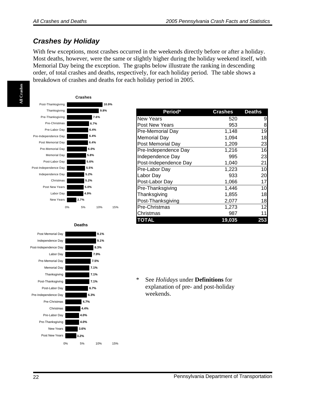### <span id="page-23-0"></span>*Crashes by Holiday*

With few exceptions, most crashes occurred in the weekends directly before or after a holiday. Most deaths, however, were the same or slightly higher during the holiday weekend itself, with Memorial Day being the exception. The graphs below illustrate the ranking in descending order, of total crashes and deaths, respectively, for each holiday period. The table shows a breakdown of crashes and deaths for each holiday period in 2005.







| Period*               | Crashes | <b>Deaths</b> |
|-----------------------|---------|---------------|
| <b>New Years</b>      | 520     | 9             |
| <b>Post New Years</b> | 953     | 8             |
| Pre-Memorial Day      | 1,148   | 19            |
| <b>Memorial Day</b>   | 1,094   | 18            |
| Post Memorial Day     | 1,209   | 23            |
| Pre-Independence Day  | 1,216   | 16            |
| Independence Day      | 995     | 23            |
| Post-Independence Day | 1,040   | 21            |
| Pre-Labor Day         | 1,223   | 10            |
| Labor Day             | 933     | 20            |
| Post-Labor Day        | 1,066   | 17            |
| Pre-Thanksgiving      | 1,446   | 10            |
| Thanksgiving          | 1,855   | 18            |
| Post-Thanksgiving     | 2,077   | 18            |
| Pre-Christmas         | 1,273   | 12            |
| Christmas             | 987     | 11            |
| TOTAL                 | 19,035  | 253           |

\* See *Holidays* under **Definitions** for explanation of pre- and post-holiday weekends.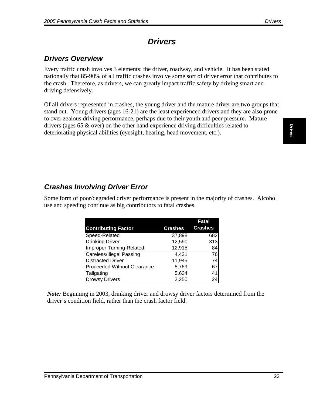# *Drivers*

### <span id="page-24-0"></span>*Drivers Overview*

Every traffic crash involves 3 elements: the driver, roadway, and vehicle. It has been stated nationally that 85-90% of all traffic crashes involve some sort of driver error that contributes to the crash. Therefore, as drivers, we can greatly impact traffic safety by driving smart and driving defensively.

Of all drivers represented in crashes, the young driver and the mature driver are two groups that stand out. Young drivers (ages 16-21) are the least experienced drivers and they are also prone to over zealous driving performance, perhaps due to their youth and peer pressure. Mature drivers (ages 65 & over) on the other hand experience driving difficulties related to deteriorating physical abilities (eyesight, hearing, head movement, etc.).

## *Crashes Involving Driver Error*

Some form of poor/degraded driver performance is present in the majority of crashes. Alcohol use and speeding continue as big contributors to fatal crashes.

|                             |                | Fatal          |
|-----------------------------|----------------|----------------|
| <b>Contributing Factor</b>  | <b>Crashes</b> | <b>Crashes</b> |
| Speed-Related               | 37,898         | 682            |
| <b>Drinking Driver</b>      | 12,590         | 313            |
| Improper Turning-Related    | 12,915         | 84             |
| Careless/Illegal Passing    | 4.431          | 76             |
| <b>Distracted Driver</b>    | 11,945         | 74             |
| Proceeded Without Clearance | 8,769          | 67             |
| Tailgating                  | 5,634          | 41             |
| <b>Drowsy Drivers</b>       | 2,250          | 24             |

*Note:* Beginning in 2003, drinking driver and drowsy driver factors determined from the driver's condition field, rather than the crash factor field.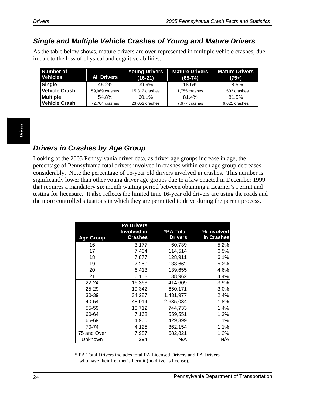### <span id="page-25-0"></span>*Single and Multiple Vehicle Crashes of Young and Mature Drivers*

As the table below shows, mature drivers are over-represented in multiple vehicle crashes, due in part to the loss of physical and cognitive abilities.

| Number of<br><b>Vehicles</b> | <b>All Drivers</b> | <b>Young Drivers</b><br>$(16-21)$ | <b>Mature Drivers</b><br>$(65-74)$ | <b>Mature Drivers</b><br>$(75+)$ |
|------------------------------|--------------------|-----------------------------------|------------------------------------|----------------------------------|
| Single                       | 45.2%              | 39.9%                             | 18.6%                              | 18.5%                            |
| Vehicle Crash                | 59,969 crashes     | 15,312 crashes                    | 1,755 crashes                      | 1,502 crashes                    |
| <b>Multiple</b>              | 54.8%              | 60.1%                             | 81.4%                              | 81.5%                            |
| <b>Vehicle Crash</b>         | 72,704 crashes     | 23,052 crashes                    | 7,677 crashes                      | 6,621 crashes                    |

## *Drivers in Crashes by Age Group*

Looking at the 2005 Pennsylvania driver data, as driver age groups increase in age, the percentage of Pennsylvania total drivers involved in crashes within each age group decreases considerably. Note the percentage of 16-year old drivers involved in crashes. This number is significantly lower than other young driver age groups due to a law enacted in December 1999 that requires a mandatory six month waiting period between obtaining a Learner's Permit and testing for licensure. It also reflects the limited time 16-year old drivers are using the roads and the more controlled situations in which they are permitted to drive during the permit process.

|                  | <b>PA Drivers</b>             |                             |                          |
|------------------|-------------------------------|-----------------------------|--------------------------|
| <b>Age Group</b> | Involved in<br><b>Crashes</b> | *PA Total<br><b>Drivers</b> | % Involved<br>in Crashes |
| 16               | 3,177                         | 60,739                      | 5.2%                     |
| 17               | 7,404                         | 114,514                     | 6.5%                     |
| 18               | 7,877                         | 128,911                     | 6.1%                     |
| 19               | 7,250                         | 138,662                     | 5.2%                     |
| 20               | 6,413                         | 139,655                     | 4.6%                     |
| 21               | 6,158                         | 138,962                     | 4.4%                     |
| $22 - 24$        | 16,363                        | 414,609                     | 3.9%                     |
| 25-29            | 19,342                        | 650,171                     | 3.0%                     |
| 30-39            | 34,287                        | 1,431,977                   | 2.4%                     |
| 40-54            | 48,014                        | 2,635,034                   | 1.8%                     |
| 55-59            | 10,712                        | 744,733                     | 1.4%                     |
| 60-64            | 7,168                         | 559,551                     | 1.3%                     |
| 65-69            | 4,900                         | 429,399                     | 1.1%                     |
| 70-74            | 4,125                         | 362,154                     | 1.1%                     |
| 75 and Over      | 7,987                         | 682,821                     | 1.2%                     |
| Unknown          | 294                           | N/A                         | N/A                      |

\* PA Total Drivers includes total PA Licensed Drivers and PA Drivers who have their Learner's Permit (no driver's license).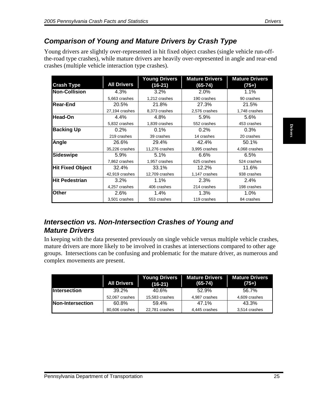### <span id="page-26-0"></span>*Comparison of Young and Mature Drivers by Crash Type*

Young drivers are slightly over-represented in hit fixed object crashes (single vehicle run-offthe-road type crashes), while mature drivers are heavily over-represented in angle and rear-end crashes (multiple vehicle interaction type crashes).

| <b>Crash Type</b><br><b>Non-Collision</b><br><b>Rear-End</b> | <b>All Drivers</b>      | $(16-21)$               | $(65 - 74)$                                                                                                                                                                                                                                                   | $(75+)$                |
|--------------------------------------------------------------|-------------------------|-------------------------|---------------------------------------------------------------------------------------------------------------------------------------------------------------------------------------------------------------------------------------------------------------|------------------------|
|                                                              |                         |                         |                                                                                                                                                                                                                                                               |                        |
|                                                              | 4.3%                    | 3.2%                    | 2.0%                                                                                                                                                                                                                                                          | 1.1%                   |
|                                                              | 5,663 crashes           | 1,212 crashes           | 190 crashes                                                                                                                                                                                                                                                   | 90 crashes             |
|                                                              | 20.5%                   | 21.8%                   | 27.3%                                                                                                                                                                                                                                                         | 21.5%                  |
|                                                              | 27,194 crashes          | 8,373 crashes           | 2,576 crashes                                                                                                                                                                                                                                                 | 1,748 crashes          |
| <b>Head-On</b>                                               | 4.4%                    | 4.8%                    | 5.9%                                                                                                                                                                                                                                                          | 5.6%                   |
|                                                              | 5,832 crashes           | 1,839 crashes           | 552 crashes                                                                                                                                                                                                                                                   | 453 crashes            |
| <b>Backing Up</b>                                            | 0.2%                    | 0.1%                    | 0.2%                                                                                                                                                                                                                                                          | 0.3%                   |
|                                                              | 219 crashes             | 39 crashes              | 14 crashes                                                                                                                                                                                                                                                    | 20 crashes             |
| Angle                                                        | 26.6%                   | 29.4%                   | 42.4%                                                                                                                                                                                                                                                         | 50.1%                  |
|                                                              | 35,226 crashes          | 11,276 crashes          | 3,995 crashes                                                                                                                                                                                                                                                 | 4,068 crashes          |
| <b>Sideswipe</b>                                             | 5.9%                    | 5.1%                    | 6.6%                                                                                                                                                                                                                                                          | 6.5%                   |
|                                                              | 7,862 crashes           | 1,957 crashes           | 625 crashes                                                                                                                                                                                                                                                   | 524 crashes            |
| <b>Hit Fixed Object</b>                                      | 32.4%                   | 33.1%                   | 12.2%                                                                                                                                                                                                                                                         | 11.6%                  |
|                                                              | 42,919 crashes          | 12,709 crashes          | 1,147 crashes                                                                                                                                                                                                                                                 | 938 crashes            |
| <b>Hit Pedestrian</b>                                        | 3.2%                    | 1.1%                    | 2.3%                                                                                                                                                                                                                                                          | 2.4%                   |
|                                                              | 4,257 crashes           | 406 crashes             | 214 crashes                                                                                                                                                                                                                                                   | 198 crashes            |
| <b>Other</b>                                                 | 2.6%                    | 1.4%                    | 1.3%                                                                                                                                                                                                                                                          | 1.0%                   |
|                                                              | 3,501 crashes           | 553 crashes             | 119 crashes                                                                                                                                                                                                                                                   | 84 crashes             |
|                                                              |                         |                         | Intersection vs. Non-Intersection Crashes of Young and<br>In keeping with the data presented previously on single vehicle versus multiple vehicle crashes,<br>mature drivers are more likely to be involved in crashes at intersections compared to other age |                        |
| <b>Mature Drivers</b><br>complex movements are present.      |                         |                         | groups. Intersections can be confusing and problematic for the mature driver, as numerous and                                                                                                                                                                 |                        |
|                                                              |                         | <b>Young Drivers</b>    | <b>Mature Drivers</b>                                                                                                                                                                                                                                         | <b>Mature Drivers</b>  |
|                                                              | <b>All Drivers</b>      | $(16-21)$               | $(65 - 74)$                                                                                                                                                                                                                                                   | $(75+)$                |
|                                                              | 39.2%                   | 40.6%                   | 52.9%                                                                                                                                                                                                                                                         | 56.7%                  |
|                                                              | 52,067 crashes          | 15,583 crashes          | 4,987 crashes                                                                                                                                                                                                                                                 | 4,609 crashes          |
| <b>Intersection</b><br><b>Non-Intersection</b>               | 60.8%<br>80,606 crashes | 59.4%<br>22,781 crashes | 47.1%<br>4,445 crashes                                                                                                                                                                                                                                        | 43.3%<br>3,514 crashes |

#### *Intersection vs. Non-Intersection Crashes of Young and Mature Drivers*

|                     | <b>All Drivers</b> | <b>Young Drivers</b><br>$(16-21)$ | <b>Mature Drivers</b><br>$(65-74)$ | <b>Mature Drivers</b><br>$(75+)$ |
|---------------------|--------------------|-----------------------------------|------------------------------------|----------------------------------|
| <b>Intersection</b> | 39.2%              | 40.6%                             | 52.9%                              | 56.7%                            |
|                     | 52,067 crashes     | 15,583 crashes                    | 4,987 crashes                      | 4,609 crashes                    |
| Non-Intersection    | 60.8%              | 59.4%                             | 47.1%                              | 43.3%                            |
|                     | 80,606 crashes     | 22.781 crashes                    | 4,445 crashes                      | 3,514 crashes                    |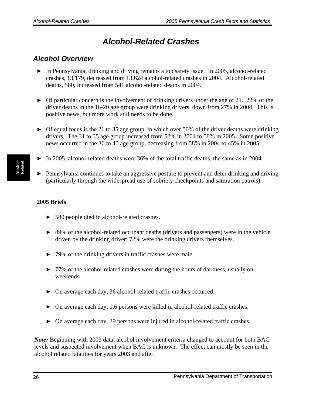# *Alcohol-Related Crashes*

### <span id="page-27-0"></span>*Alcohol Overview*

- $\triangleright$  In Pennsylvania, drinking and driving remains a top safety issue. In 2005, alcohol-related crashes, 13,179, decreased from 13,624 alcohol-related crashes in 2004. Alcohol-related deaths, 580, increased from 541 alcohol-related deaths in 2004.
- $\triangleright$  Of particular concern is the involvement of drinking drivers under the age of 21. 22% of the driver deaths in the 16-20 age group were drinking drivers, down from 27% in 2004. This is positive news, but more work still needs to be done.
- $\triangleright$  Of equal focus is the 21 to 35 age group, in which over 50% of the driver deaths were drinking drivers. The 31 to 35 age group increased from 52% in 2004 to 58% in 2005. Some positive news occurred in the 36 to 40 age group, decreasing from 58% in 2004 to 45% in 2005.
- ▶ In 2005, alcohol-related deaths were 36% of the total traffic deaths, the same as in 2004.
- ▶ Pennsylvania continues to take an aggressive posture to prevent and deter drinking and driving (particularly through the widespread use of sobriety checkpoints and saturation patrols).

#### **2005 Briefs**

- ▶ 580 people died in alcohol-related crashes.
- ▶ 89% of the alcohol-related occupant deaths (drivers and passengers) were in the vehicle driven by the drinking driver; 72% were the drinking drivers themselves.
- ▶ 79% of the drinking drivers in traffic crashes were male.
- ▶ 77% of the alcohol-related crashes were during the hours of darkness, usually on weekends.
- ▶ On average each day, 36 alcohol-related traffic crashes occurred.
- $\triangleright$  On average each day, 1.6 persons were killed in alcohol-related traffic crashes.
- ▶ On average each day, 29 persons were injured in alcohol-related traffic crashes.

*Note:* Beginning with 2003 data, alcohol involvement criteria changed to account for both BAC levels and suspected involvement when BAC is unknown. The effect can mostly be seen in the alcohol related fatalities for years 2003 and after.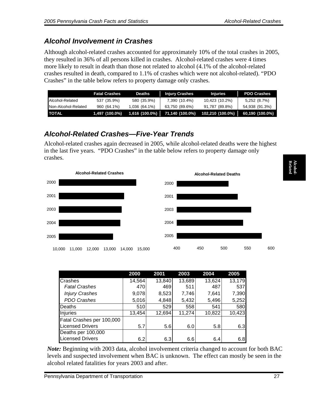# <span id="page-28-0"></span>*Alcohol Involvement in Crashes*

Although alcohol-related crashes accounted for approximately 10% of the total crashes in 2005, they resulted in 36% of all persons killed in crashes. Alcohol-related crashes were 4 times more likely to result in death than those not related to alcohol (4.1% of the alcohol-related crashes resulted in death, compared to 1.1% of crashes which were not alcohol-related). "PDO Crashes" in the table below refers to property damage only crashes.

|                      | <b>Fatal Crashes</b> | Deaths        | <b>Injury Crashes</b>              | <b>Injuries</b>  | <b>PDO Crashes</b> |
|----------------------|----------------------|---------------|------------------------------------|------------------|--------------------|
| Alcohol-Related      | 537 (35.9%)          | 580 (35.9%)   | 7,390 (10.4%)                      | 10,423 (10.2%)   | 5,252(8.7%)        |
| INon-Alcohol-Related | 960 (64.1%)          | 1,036 (64.1%) | 63,750 (89.6%)                     | 91,787 (89.8%)   | 54,938 (91.3%)     |
| <b>TOTAL</b>         | $1,497$ (100.0%)     |               | $1,616$ (100.0%)   71,140 (100.0%) | 102,210 (100.0%) | 60,190 (100.0%)    |

# *Alcohol-Related Crashes—Five-Year Trends*

Alcohol-related crashes again decreased in 2005, while alcohol-related deaths were the highest in the last five years. "PDO Crashes" in the table below refers to property damage only crashes.



|                           | 2000   | 2001   | 2003   | 2004   | 2005   |
|---------------------------|--------|--------|--------|--------|--------|
| <b>Crashes</b>            | 14,564 | 13,840 | 13,689 | 13,624 | 13,179 |
| <b>Fatal Crashes</b>      | 470    | 469    | 511    | 487    | 537    |
| <b>Injury Crashes</b>     | 9,078  | 8,523  | 7,746  | 7,641  | 7,390  |
| PDO Crashes               | 5,016  | 4,848  | 5,432  | 5,496  | 5,252  |
| <b>Deaths</b>             | 510    | 529    | 558    | 541    | 580    |
| Injuries                  | 13,454 | 12,694 | 11,274 | 10,822 | 10,423 |
| Fatal Crashes per 100,000 |        |        |        |        |        |
| <b>Licensed Drivers</b>   | 5.7    | 5.6    | 6.0    | 5.8    | 6.3    |
| Deaths per 100,000        |        |        |        |        |        |
| <b>Licensed Drivers</b>   | 6.2    | 6.3    | 6.6    | 6.4    | 6.8    |

*Note:* Beginning with 2003 data, alcohol involvement criteria changed to account for both BAC levels and suspected involvement when BAC is unknown. The effect can mostly be seen in the alcohol related fatalities for years 2003 and after.

**Related Alcohol-**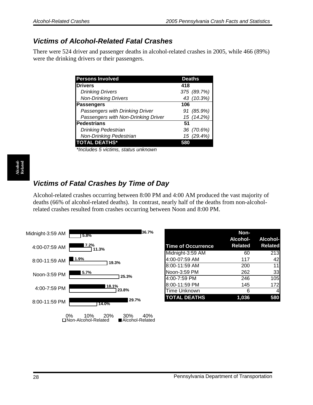### <span id="page-29-0"></span>*Victims of Alcohol-Related Fatal Crashes*

There were 524 driver and passenger deaths in alcohol-related crashes in 2005, while 466 (89%) were the drinking drivers or their passengers.

| <b>Persons Involved</b>             | <b>Deaths</b> |
|-------------------------------------|---------------|
| <b>Drivers</b>                      | 418           |
| <b>Drinking Drivers</b>             | 375 (89.7%)   |
| <b>Non-Drinking Drivers</b>         | 43 (10.3%)    |
| <b>Passengers</b>                   | 106           |
| Passengers with Drinking Driver     | 91 (85.9%)    |
| Passengers with Non-Drinking Driver | 15 (14.2%)    |
| Pedestrians                         | 51            |
| <b>Drinking Pedestrian</b>          | 36 (70.6%)    |
| <b>Non-Drinking Pedestrian</b>      | 15 (29.4%)    |
| <b>TOTAL DEATHS*</b>                |               |
|                                     |               |

*\*Includes 5 victims, status unknown*

# *Victims of Fatal Crashes by Time of Day*

Alcohol-related crashes occurring between 8:00 PM and 4:00 AM produced the vast majority of deaths (66% of alcohol-related deaths). In contrast, nearly half of the deaths from non-alcoholrelated crashes resulted from crashes occurring between Noon and 8:00 PM.



|                           | Non-           |                   |
|---------------------------|----------------|-------------------|
|                           |                | Alcohol- Alcohol- |
| <b>Time of Occurrence</b> | <b>Related</b> | <b>Related</b>    |
| Midnight-3:59 AM          | 60             | 213               |
| 4:00-07:59 AM             | 117            | 42                |
| 8:00-11:59 AM             | 200            | 11                |
| Noon-3:59 PM              | 262            | 33                |
| 4:00-7:59 PM              | 246            | 105               |
| 8:00-11:59 PM             | 145            | 172               |
| <b>Time Unknown</b>       | 6              |                   |
| <b>TOTAL DEATHS</b>       | 1,036          | 580               |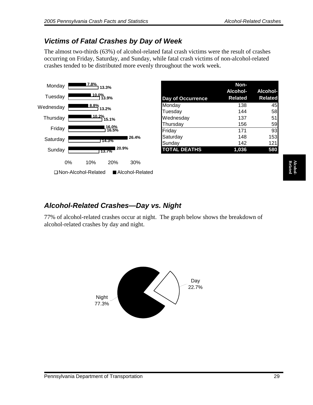# <span id="page-30-0"></span>*Victims of Fatal Crashes by Day of Week*

The almost two-thirds (63%) of alcohol-related fatal crash victims were the result of crashes occurring on Friday, Saturday, and Sunday, while fatal crash victims of non-alcohol-related crashes tended to be distributed more evenly throughout the work week.



|                          | Non-           |                 |
|--------------------------|----------------|-----------------|
|                          | Alcohol-       | <b>Alcohol-</b> |
| <b>Day of Occurrence</b> | <b>Related</b> | <b>Related</b>  |
| Monday                   | 138            | 45              |
| Tuesday                  | 144            | 58              |
| Wednesday                | 137            | 51              |
| Thursday                 | 156            | 59              |
| Friday                   | 171            | 93              |
| Saturday                 | 148            | 153             |
| Sunday                   | 142            | 121             |
| <b>TOTAL DEATHS</b>      | 1,036          | 580             |

# *Alcohol-Related Crashes—Day vs. Night*

77% of alcohol-related crashes occur at night. The graph below shows the breakdown of alcohol-related crashes by day and night.

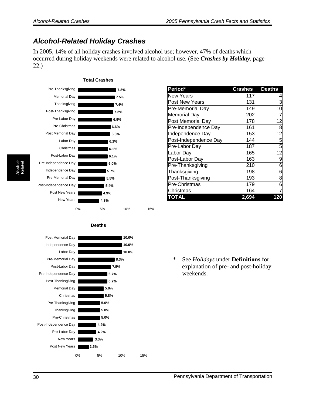## <span id="page-31-0"></span>*Alcohol-Related Holiday Crashes*

In 2005, 14% of all holiday crashes involved alcohol use; however, 47% of deaths which occurred during holiday weekends were related to alcohol use. (See *Crashes by Holiday*, page 22.)



| Period*               | <b>Crashes</b> | <b>Deaths</b>  |
|-----------------------|----------------|----------------|
| <b>New Years</b>      | 117            | 4              |
| Post New Years        | 131            | 3              |
| Pre-Memorial Day      | 149            | 10             |
| <b>Memorial Day</b>   | 202            | 7              |
| Post Memorial Day     | 178            | 12             |
| Pre-Independence Day  | 161            | 8              |
| Independence Day      | 153            | 12             |
| Post-Independence Day | 144            | $\overline{5}$ |
| Pre-Labor Day         | 187            | $\overline{5}$ |
| Labor Day             | 165            | 12             |
| Post-Labor Day        | 163            | 9              |
| Pre-Thanksgiving      | 210            | 6              |
| Thanksgiving          | 198            | 6              |
| Post-Thanksgiving     | 193            | 8              |
| Pre-Christmas         | 179            | 6              |
| Christmas             | 164            | 7              |
| TOTAL                 | 2,694          | 120            |

**4.2% 4.2% 5.0% 5.0% 5.0% 5.8% 5.8% 6.7% 6.7% 7.5% 8.3% 10.0% 10.0% 10.0% 2.5% 3.3%** 0% 5% 10% 15% Post New Years New Years | Pre-Labor Day Post-Independence Day Pre-Christmas Thanksgiving Pre-Thanksgiving Christmas Memorial Day Post-Thanksgiving Pre-Independence Day Post-Labor Day Pre-Memorial Day Labor Day Independence Day Post Memorial Day

**Deaths**

\* See *Holidays* under **Definitions** for explanation of pre- and post-holiday weekends.

| $\mu$ and $\mu$ and $\mu$ are $\mu$ and $\mu$ are $\mu$ and $\mu$ are $\mu$ and $\mu$ are $\mu$ |         |
|-------------------------------------------------------------------------------------------------|---------|
|                                                                                                 |         |
| Period*                                                                                         | Crashes |
| <b>New Years</b>                                                                                | 117     |
| <b>Post New Years</b>                                                                           | 131     |
| Pre-Memorial Day                                                                                | 149     |
| Memorial Day                                                                                    | 202     |
| Post Memorial Day                                                                               | 178     |
| Pre-Independence Day                                                                            | 161     |
| Independence Day                                                                                | 153     |
| Post-Independence Day                                                                           | 144     |
| Pre-Labor Day                                                                                   | 187     |
| Labor Day                                                                                       | 165     |
|                                                                                                 |         |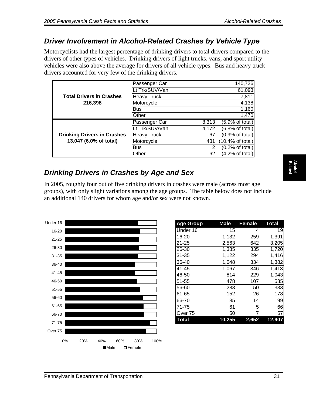### <span id="page-32-0"></span>*Driver Involvement in Alcohol-Related Crashes by Vehicle Type*

Motorcyclists had the largest percentage of drinking drivers to total drivers compared to the drivers of other types of vehicles. Drinking drivers of light trucks, vans, and sport utility vehicles were also above the average for drivers of all vehicle types. Bus and heavy truck drivers accounted for very few of the drinking drivers.

|                                    | Passenger Car      |                | 140,726                     |
|------------------------------------|--------------------|----------------|-----------------------------|
|                                    | Lt Trk/SUV/Van     |                | 61,093                      |
| <b>Total Drivers in Crashes</b>    | <b>Heavy Truck</b> |                | 7,811                       |
| 216,398                            | Motorcycle         |                | 4,138                       |
|                                    | <b>Bus</b>         |                | 1,160                       |
|                                    | Other              |                | 1,470                       |
|                                    | Passenger Car      | 8,313          | (5.9% of total)             |
|                                    | Lt Trk/SUV/Van     | 4,172          | (6.8% of total)             |
| <b>Drinking Drivers in Crashes</b> | <b>Heavy Truck</b> | 67             | (0.9% of total)             |
| 13,047 (6.0% of total)             | Motorcycle         | 431            | $(10.4\% \text{ of total})$ |
|                                    |                    |                |                             |
|                                    | <b>Bus</b>         | $\overline{2}$ | (0.2% of total)             |

# *Drinking Drivers in Crashes by Age and Sex*

In 2005, roughly four out of five drinking drivers in crashes were male (across most age groups), with only slight variations among the age groups. The table below does not include an additional 140 drivers for whom age and/or sex were not known.



| <b>Age Group</b> | <b>Male</b> | <b>Female</b> | <b>Total</b>  |
|------------------|-------------|---------------|---------------|
| Under 16         | 15          | 4             | 19            |
| $16 - 20$        | 1,132       | 259           | 1,391         |
| 21-25            | 2,563       | 642           | 3,205         |
| 26-30            | 1,385       | 335           | 1,720         |
| 31-35            | 1,122       | 294           | 1,416         |
| 36-40            | 1,048       | 334           | 1,382         |
| 41-45            | 1,067       | 346           | 1,413         |
| 46-50            | 814         | 229           | 1,043         |
| 51-55            | 478         | 107           | 585           |
| 56-60            | 283         | 50            | 333           |
| 61-65            | 152         | 26            | 178           |
| 66-70            | 85          | 14            | 99            |
| $71 - 75$        | 61          | 5             | 66            |
| Over 75          | 50          |               | 57            |
| <b>otal</b>      | 0.255       | 2.652         | <u>12,907</u> |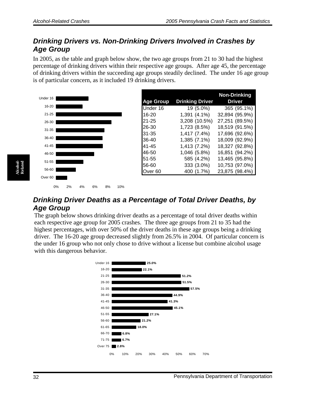### <span id="page-33-0"></span>*Drinking Drivers vs. Non-Drinking Drivers Involved in Crashes by Age Group*

In 2005, as the table and graph below show, the two age groups from 21 to 30 had the highest percentage of drinking drivers within their respective age groups. After age 45, the percentage of drinking drivers within the succeeding age groups steadily declined. The under 16 age group is of particular concern, as it included 19 drinking drivers.



0% 2% 4% 6% 8% 10%

|                    |                        | <b>Non-Drinking</b> |
|--------------------|------------------------|---------------------|
| <b>Age Group</b>   | <b>Drinking Driver</b> | <b>Driver</b>       |
| Under 16           | 19 (5.0%)              | 365 (95.1%)         |
| 16-20              | 1,391 (4.1%)           | 32,894 (95.9%)      |
| 21-25              | 3,208 (10.5%)          | 27,251 (89.5%)      |
| 26-30              | 1,723 (8.5%)           | 18,519 (91.5%)      |
| 31-35              | 1,417 (7.4%)           | 17,696 (92.6%)      |
| 36-40              | 1,385 (7.1%)           | 18,009 (92.9%)      |
| 41-45              | 1,413 (7.2%)           | 18,327 (92.8%)      |
| 46-50              | 1,046 (5.8%)           | 16,851 (94.2%)      |
| 51-55              | 585 (4.2%)             | 13,465 (95.8%)      |
| 56-60              | 333 (3.0%)             | 10,753 (97.0%)      |
| Over <sub>60</sub> | 400 (1.7%)             | 23,875 (98.4%)      |

### *Drinking Driver Deaths as a Percentage of Total Driver Deaths, by Age Group*

The graph below shows drinking driver deaths as a percentage of total driver deaths within each respective age group for 2005 crashes. The three age groups from 21 to 35 had the highest percentages, with over 50% of the driver deaths in these age groups being a drinking driver. The 16-20 age group decreased slightly from 26.5% in 2004. Of particular concern is the under 16 group who not only chose to drive without a license but combine alcohol usage with this dangerous behavior.



**Alcohol-Related**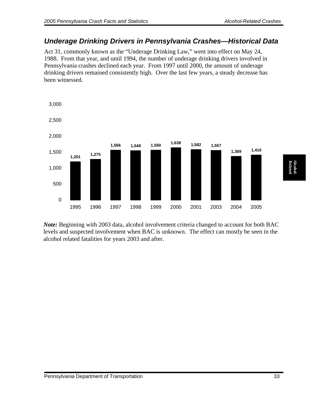#### <span id="page-34-0"></span>*Underage Drinking Drivers in Pennsylvania Crashes—Historical Data*

Act 31, commonly known as the "Underage Drinking Law," went into effect on May 24, 1988. From that year, and until 1994, the number of underage drinking drivers involved in Pennsylvania crashes declined each year. From 1997 until 2000, the amount of underage drinking drivers remained consistently high. Over the last few years, a steady decrease has been witnessed.



*Note:* Beginning with 2003 data, alcohol involvement criteria changed to account for both BAC levels and suspected involvement when BAC is unknown. The effect can mostly be seen in the alcohol related fatalities for years 2003 and after.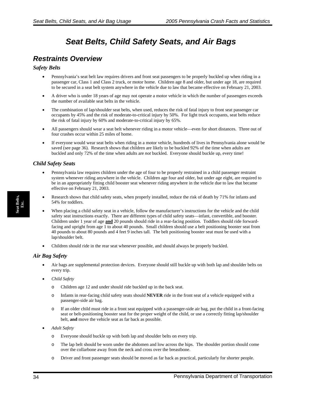# *Seat Belts, Child Safety Seats, and Air Bags*

### <span id="page-35-0"></span>*Restraints Overview*

#### *Safety Belts*

- Pennsylvania's seat belt law requires drivers and front seat passengers to be properly buckled up when riding in a passenger car, Class 1 and Class 2 truck, or motor home. Children age 8 and older, but under age 18, are required to be secured in a seat belt system anywhere in the vehicle due to law that became effective on February 21, 2003.
- A driver who is under 18 years of age may not operate a motor vehicle in which the number of passengers exceeds the number of available seat belts in the vehicle.
- The combination of lap/shoulder seat belts, when used, reduces the risk of fatal injury to front seat passenger car occupants by 45% and the risk of moderate-to-critical injury by 50%. For light truck occupants, seat belts reduce the risk of fatal injury by 60% and moderate-to-critical injury by 65%.
- All passengers should wear a seat belt whenever riding in a motor vehicle—even for short distances. Three out of four crashes occur within 25 miles of home.
- If everyone would wear seat belts when riding in a motor vehicle, hundreds of lives in Pennsylvania alone would be saved (see page 36). Research shows that children are likely to be buckled 92% of the time when adults are buckled and only 72% of the time when adults are *not* buckled. Everyone should buckle up, every time!

#### *Child Safety Seats*

- Pennsylvania law requires children under the age of four to be properly restrained in a child passenger restraint system whenever riding anywhere in the vehicle. Children age four and older, but under age eight, are required to be in an appropriately fitting child booster seat whenever riding anywhere in the vehicle due to law that became effective on February 21, 2003.
- Research shows that child safety seats, when properly installed, reduce the risk of death by 71% for infants and 54% for toddlers.
- When placing a child safety seat in a vehicle, follow the manufacturer's instructions for the vehicle and the child safety seat instructions exactly. There are different types of child safety seats—infant, convertible, and booster. Children under 1 year of age **and** 20 pounds should ride in a rear-facing position. Toddlers should ride forwardfacing and upright from age 1 to about 40 pounds. Small children should use a belt positioning booster seat from 40 pounds to about 80 pounds and 4 feet 9 inches tall. The belt positioning booster seat must be used with a lap/shoulder belt.
- Children should ride in the rear seat whenever possible, and should always be properly buckled.

#### *Air Bag Safety*

- Air bags are supplemental protection devices. Everyone should still buckle up with both lap and shoulder belts on every trip.
- *Child Safety* 
	- o Children age 12 and under should ride buckled up in the back seat.
	- o Infants in rear-facing child safety seats should **NEVER** ride in the front seat of a vehicle equipped with a passenger-side air bag.
	- If an older child must ride in a front seat equipped with a passenger-side air bag, put the child in a front-facing seat or belt-positioning booster seat for the proper weight of the child, or use a correctly fitting lap/shoulder belt, **and** move the vehicle seat as far back as possible.
- *Adult Safety* 
	- o Everyone should buckle up with both lap and shoulder belts on every trip.
	- o The lap belt should be worn under the abdomen and low across the hips. The shoulder portion should come over the collarbone away from the neck and cross over the breastbone.
	- o Driver and front passenger seats should be moved as far back as practical, particularly for shorter people.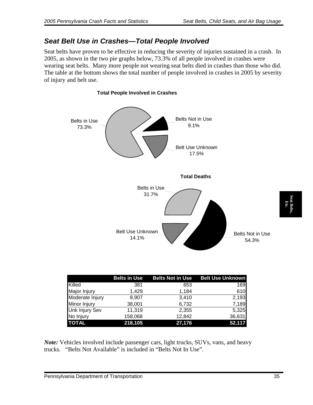#### *Seat Belt Use in Crashes—Total People Involved*

Seat belts have proven to be effective in reducing the severity of injuries sustained in a crash. In 2005, as shown in the two pie graphs below, 73.3% of all people involved in crashes were wearing seat belts. Many more people not wearing seat belts died in crashes than those who did. The table at the bottom shows the total number of people involved in crashes in 2005 by severity of injury and belt use.



|                 | <b>Belts in Use</b> | <b>Belts Not in Use</b> | <b>Belt Use Unknown</b> |
|-----------------|---------------------|-------------------------|-------------------------|
| Killed          | 381                 | 653                     | 169                     |
| Major Injury    | 1.429               | 1,184                   | 610                     |
| Moderate Injury | 8,907               | 3,410                   | 2,193                   |
| Minor Injury    | 38,001              | 6,732                   | 7,189                   |
| Unk Injury Sev  | 11,319              | 2,355                   | 5,325                   |
| No Injury       | 158,068             | 12,842                  | 36,631                  |
| <b>TOTAL</b>    | 218,105             | 27,176                  | 52,117                  |

*Note:* Vehicles involved include passenger cars, light trucks, SUVs, vans, and heavy trucks. "Belts Not Available" is included in "Belts Not In Use".

**Seat Belts, Etc.** 

eat Bel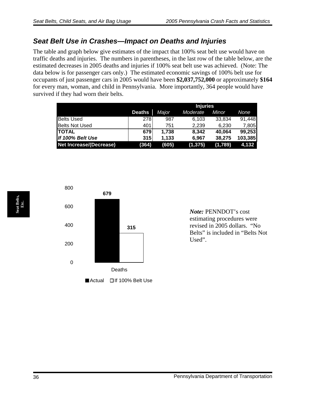#### *Seat Belt Use in Crashes—Impact on Deaths and Injuries*

The table and graph below give estimates of the impact that 100% seat belt use would have on traffic deaths and injuries. The numbers in parentheses, in the last row of the table below, are the estimated decreases in 2005 deaths and injuries if 100% seat belt use was achieved. (Note: The data below is for passenger cars only.) The estimated economic savings of 100% belt use for occupants of just passenger cars in 2005 would have been **\$2,037,752,000** or approximately **\$164** for every man, woman, and child in Pennsylvania. More importantly, 364 people would have survived if they had worn their belts.

|                         |               | <b>Injuries</b> |          |         |         |  |
|-------------------------|---------------|-----------------|----------|---------|---------|--|
|                         | <b>Deaths</b> | Major           | Moderate | Minor   | None    |  |
| <b>Belts Used</b>       | 278           | 987             | 6,103    | 33,834  | 91,448  |  |
| <b>Belts Not Used</b>   | 401           | 751             | 2.239    | 6.230   | 7,805   |  |
| <b>ITOTAL</b>           | 679           | 1.738           | 8.342    | 40.064  | 99,253  |  |
| If 100% Belt Use        | 315           | 1.133           | 6.967    | 38,275  | 103,385 |  |
| Net Increase/(Decrease) | (364)         | (605)           | (1, 375) | (1,789) | 4,132   |  |



*Note:* PENNDOT's cost estimating procedures were revised in 2005 dollars. "No Belts" is included in "Belts Not Used".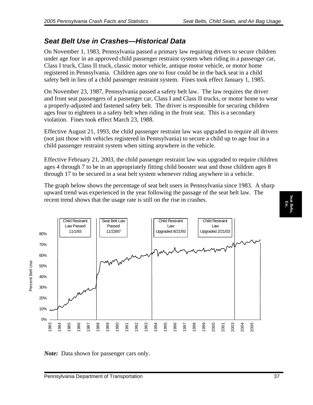#### *Seat Belt Use in Crashes—Historical Data*

On November 1, 1983, Pennsylvania passed a primary law requiring drivers to secure children under age four in an approved child passenger restraint system when riding in a passenger car, Class I truck, Class II truck, classic motor vehicle, antique motor vehicle, or motor home registered in Pennsylvania. Children ages one to four could be in the back seat in a child safety belt in lieu of a child passenger restraint system. Fines took effect January 1, 1985.

On November 23, 1987, Pennsylvania passed a safety belt law. The law requires the driver and front seat passengers of a passenger car, Class I and Class II trucks, or motor home to wear a properly-adjusted and fastened safety belt. The driver is responsible for securing children ages four to eighteen in a safety belt when riding in the front seat. This is a secondary violation. Fines took effect March 23, 1988.

Effective August 21, 1993, the child passenger restraint law was upgraded to require all drivers (not just those with vehicles registered in Pennsylvania) to secure a child up to age four in a child passenger restraint system when sitting anywhere in the vehicle.

Effective February 21, 2003, the child passenger restraint law was upgraded to require children ages 4 through 7 to be in an appropriately fitting child booster seat and those children ages 8 through 17 to be secured in a seat belt system whenever riding anywhere in a vehicle.

The graph below shows the percentage of seat belt users in Pennsylvania since 1983. A sharp upward trend was experienced in the year following the passage of the seat belt law. The recent trend shows that the usage rate is still on the rise in crashes.



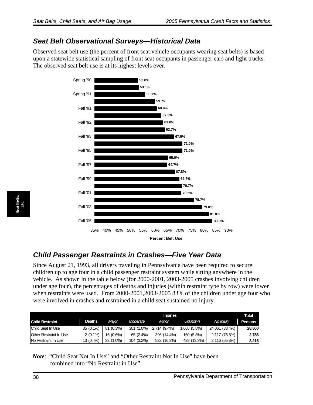#### *Seat Belt Observational Surveys—Historical Data*

Observed seat belt use (the percent of front seat vehicle occupants wearing seat belts) is based upon a statewide statistical sampling of front seat occupants in passenger cars and light trucks. The observed seat belt use is at its highest levels ever.



### *Child Passenger Restraints in Crashes—Five Year Data*

Since August 21, 1993, all drivers traveling in Pennsylvania have been required to secure children up to age four in a child passenger restraint system while sitting anywhere in the vehicle. As shown in the table below (for 2000-2001, 2003-2005 crashes involving children under age four), the percentages of deaths and injuries (within restraint type by row) were lower when restraints were used. From 2000-2001,2003-2005 83% of the children under age four who were involved in crashes and restrained in a child seat sustained no injury.

|                        |               |           | <b>Injuries</b> |              |             |                  | <b>Total</b> |
|------------------------|---------------|-----------|-----------------|--------------|-------------|------------------|--------------|
| <b>Child Restraint</b> | <b>Deaths</b> | Major     | Moderate        | Minor        | Unknown     | No <i>Injury</i> | Persons      |
| Child Seat In Use      | 35 (0.1%)     | 81 (0.3%) | 301 (1.0%)      | 2.714 (9.4%) | .668 (5.8%) | 24,061 (83.4%)   | 28,860       |
| Other Restraint In Use | $2(0.1\%)$    | 16 (0.6%) | $65(2.4\%)$     | 396 (14.4%)  | 160 (5.8%)  | 2,117 (76.8%)    | 2.756        |
| No Restraint In Use    | 13 (0.4%)     | 33 (1.0%) | 104 (3.2%)      | 522 (16.2%)  | 428 (13.3%) | 2,116 (65.8%)    | 3,216        |

*Note*: "Child Seat Not In Use" and "Other Restraint Not In Use" have been combined into "No Restraint in Use".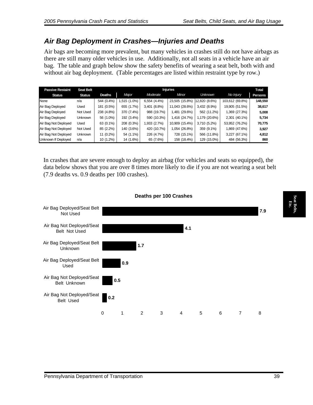#### *Air Bag Deployment in Crashes—Injuries and Deaths*

Air bags are becoming more prevalent, but many vehicles in crashes still do not have airbags as there are still many older vehicles in use. Additionally, not all seats in a vehicle have an air bag. The table and graph below show the safety benefits of wearing a seat belt, both with and without air bag deployment. (Table percentages are listed within restraint type by row.)

| <b>Passive Restaint</b> | <b>Seat Belt</b> |               | <b>Injuries</b> |              |                |               |                  | Total          |
|-------------------------|------------------|---------------|-----------------|--------------|----------------|---------------|------------------|----------------|
| <b>Status</b>           | <b>Status</b>    | <b>Deaths</b> | <b>Major</b>    | Moderate     | Minor          | Unknown       | No <i>Injury</i> | <b>Persons</b> |
| None                    | n/a              | 544 (0.4%)    | $,515(1.0\%)$   | 6,554 (4.4%) | 23,505 (15.8%) | 12,820 (8.6%) | 103,612 (69.8%)  | 148,550        |
| Air Bag Deployed        | Used             | 181 (0.5%)    | 655 (1.7%)      | 3,401 (8.8%) | 11,043 (28.6%) | 3,432 (8.9%)  | 19,905 (51.5%)   | 38,617         |
| Air Bag Deployed        | Not Used         | 238 (4.8%)    | 370 (7.4%)      | 988 (19.7%)  | (29.6%) 481.   | 562 (11.2%)   | 1,369 (27.3%)    | 5,008          |
| Air Bag Deployed        | <b>Unknown</b>   | 56 (1.0%)     | 192 (3.4%)      | 590 (10.3%)  | 1,416 (24.7%)  | 1,179 (20.6%) | 2,301 (40.1%)    | 5,734          |
| Air Bag Not Deployed    | Used             | 63 (0.1%)     | 208 (0.3%)      | 1,933 (2.7%) | 10,909 (15.4%) | 3,710 (5.2%)  | 53,952 (76.2%)   | 70,775         |
| Air Bag Not Deployed    | Not Used         | 85 (2.2%)     | 140 (3.6%)      | 420 (10.7%)  | 1,054 (26.8%)  | 359 (9.1%)    | 1,869 (47.6%)    | 3,927          |
| Air Bag Not Deployed    | <b>Unknown</b>   | 11 (0.2%)     | 54 (1.1%)       | 226 (4.7%)   | 728 (15.1%)    | 566 (11.8%)   | 3,227 (67.1%)    | 4,812          |
| Unknown If Deployed     | n/a              | 10 (1.2%)     | 14 (1.6%)       | 65 (7.6%)    | 158 (18.4%)    | 129 (15.0%)   | 484 (56.3%)      | 860            |

In crashes that are severe enough to deploy an airbag (for vehicles and seats so equipped), the data below shows that you are over 8 times more likely to die if you are not wearing a seat belt (7.9 deaths vs. 0.9 deaths per 100 crashes).



#### **Deaths per 100 Crashes**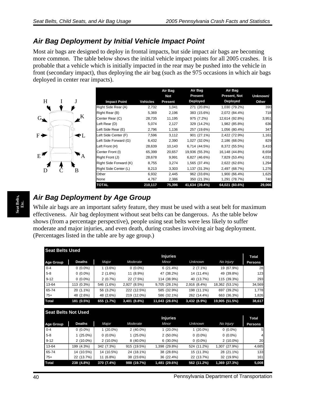#### *Air Bag Deployment by Initial Vehicle Impact Point*

Most air bags are designed to deploy in frontal impacts, but side impact air bags are becoming more common. The table below shows the initial vehicle impact points for all 2005 crashes. It is probable that a vehicle which is initially impacted in the rear may be pushed into the vehicle in front (secondary impact), thus deploying the air bag (such as the 975 occasions in which air bags deployed in center rear impacts).



|                        |                 | Air Bag    | Air Bag        | Air Bag        |          |
|------------------------|-----------------|------------|----------------|----------------|----------|
|                        |                 | <b>Not</b> | Present        | Present, Not   | Unknown/ |
| <b>Impact Point</b>    | <b>Vehicles</b> | Present    | Deployed       | Deployed       | Other    |
| Right Side Rear (A)    | 2,732           | 1,041      | 271 (20.8%)    | 1,030 (79.2%)  | 390      |
| Right Rear (B)         | 5,369           | 2,196      | 383 (15.6%)    | 2,072 (84.4%)  | 718      |
| Center Rear (C)        | 28,735          | 11,195     | 975 (7.2%)     | 12,614 (92.8%) | 3,951    |
| Left Rear (D)          | 5,074           | 2,127      | 329 (14.2%)    | 1,982 (85.8%)  | 636      |
| Left Side Rear (E)     | 2,796           | 1,136      | 257 (19.6%)    | 1,056 (80.4%)  | 347      |
| Left Side Center (F)   | 7,596           | 3,112      | 901 (27.1%)    | 2,422 (72.9%)  | 1,161    |
| Left Side Forward (G)  | 6,432           | 2,390      | 1,027 (32.0%)  | 2,186 (68.0%)  | 829      |
| Left Front (H)         | 28,639          | 10,143     | 6,714 (44.5%)  | 8,372 (55.5%)  | 3,410    |
| Center Front (I)       | 65,399          | 20,657     | 19,936 (55.3%) | 16,148 (44.8%) | 8,658    |
| Right Front (J)        | 28,678          | 9,991      | 6,827 (46.6%)  | 7,829 (53.4%)  | 4,031    |
| Right Side Forward (K) | 8,755           | 3,274      | 1,565 (37.4%)  | 2,622 (62.6%)  | 1,294    |
| Right Side Center (L)  | 8,213           | 3,303      | 1,137 (31.3%)  | 2,497 (68.7%)  | 1,276    |
| Other                  | 6,932           | 2,445      | 962 (33.6%)    | 1,900 (66.4%)  | 1,625    |
| None                   | 4,767           | 2,386      | 350 (21.3%)    | 1,291 (78.7%)  | 740      |
| <b>TOTAL</b>           | 210,117         | 75,396     | 41,634 (39.4%) | 64,021 (60.6%) | 29,066   |

### *Air Bag Deployment by Age Group*

While air bags are an important safety feature, they must be used with a seat belt for maximum effectiveness. Air bag deployment without seat belts can be dangerous. As the table below shows (from a percentage perspective), people using seat belts were less likely to suffer moderate and major injuries, and even death, during crashes involving air bag deployment. (Percentages listed in the table are by age group.)

| <b>Seat Belts Used</b> |               |            |              |                 |                |                |                |
|------------------------|---------------|------------|--------------|-----------------|----------------|----------------|----------------|
|                        |               |            |              | <b>Injuries</b> |                |                | <b>Total</b>   |
| <b>Age Group</b>       | <b>Deaths</b> | Major      | Moderate     | Minor           | <b>Unknown</b> | No Injury      | <b>Persons</b> |
| $0 - 4$                | $0(0.0\%)$    | $1(3.6\%)$ | $0(0.0\%)$   | 6(21.4%)        | $2(7.1\%)$     | 19 (67.9%)     | 28             |
| $5-8$                  | $0(0.0\%)$    | 2(1.6%)    | 11 (8.9%)    | 47 (38.2%)      | 14 (11.4%)     | 49 (39.8%)     | 123            |
| $9 - 12$               | $0(0.0\%)$    | 2(0.7%)    | 22 (7.5%)    | 114 (38.9%)     | 40 (13.7%)     | 115 (39.3%)    | 293            |
| 13-64                  | 113 (0.3%)    | 546 (1.6%) | 2,927 (8.5%) | 9,705 (28.1%)   | 2,916 (8.4%)   | 18,362 (53.1%) | 34,569         |
| 65-74                  | 20 (1.1%)     | 56 (3.2%)  | 222 (12.5%)  | 585 (32.9%)     | 198 (11.1%)    | 697 (39.2%)    | 1,778          |
| $75+$                  | 48 (2.6%)     | 48 (2.6%)  | 219 (12.0%)  | 586 (32.1%)     | 262 (14.4%)    | 663 (36.3%)    | 1,826          |
| <b>Total</b>           | 181 (0.5%)    | 655 (1.7%) | 3,401 (8.8%) | 11,043 (28.6%)  | 3,432 (8.9%)   | 19,905 (51.5%) | 38,617         |
|                        |               |            |              |                 |                |                |                |

| <b>Seat Belts Not Used</b> |               |             |             |                 |                |               |                |
|----------------------------|---------------|-------------|-------------|-----------------|----------------|---------------|----------------|
|                            |               |             |             | <b>Injuries</b> |                |               | <b>Total</b>   |
| <b>Age Group</b>           | <b>Deaths</b> | Major       | Moderate    | Minor           | <b>Unknown</b> | No Injury     | <b>Persons</b> |
| $0 - 4$                    | $0(0.0\%)$    | $1(20.0\%)$ | $2(40.0\%)$ | $1(20.0\%)$     | 1 (20.0%)      | $0(0.0\%)$    | 5              |
| $5 - 8$                    | 1 (25.0%)     | $0(0.0\%)$  | $1(25.0\%)$ | $2(50.0\%)$     | $0(0.0\%)$     | $0(0.0\%)$    | $\overline{4}$ |
| $9 - 12$                   | $2(10.0\%)$   | $2(10.0\%)$ | $8(40.0\%)$ | $6(30.0\%)$     | $0(0.0\%)$     | $2(10.0\%)$   | 20             |
| 13-64                      | 199 (4.3%)    | 342 (7.3%)  | 915 (19.5%) | 1,398 (29.8%)   | 524 (11.2%)    | 1,307 (27.9%) | 4,685          |
| 65-74                      | 14 (10.5%)    | 14 (10.5%)  | 24 (18.1%)  | 38 (28.6%)      | 15 (11.3%)     | 28 (21.1%)    | 133            |
| $75+$                      | 22 (13.7%)    | 11 (6.8%)   | 38 (23.6%)  | 36 (22.4%)      | 22 (13.7%)     | 32 (19.9%)    | 161            |
| <b>Total</b>               | 238 (4.8%)    | 370 (7.4%)  | 988 (19.7%) | 1,481 (29.6%)   | 562 (11.2%)    | 1,369 (27.3%) | 5,008          |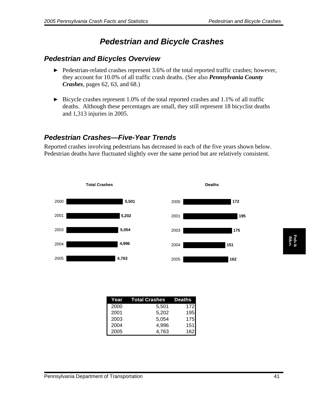# *Pedestrian and Bicycle Crashes*

#### *Pedestrian and Bicycles Overview*

- ▶ Pedestrian-related crashes represent 3.6% of the total reported traffic crashes; however, they account for 10.0% of all traffic crash deaths. (See also *Pennsylvania County Crashes*, pages 62, 63, and 68.)
- $\triangleright$  Bicycle crashes represent 1.0% of the total reported crashes and 1.1% of all traffic deaths. Although these percentages are small, they still represent 18 bicyclist deaths and 1,313 injuries in 2005.

### *Pedestrian Crashes—Five-Year Trends*

Reported crashes involving pedestrians has decreased in each of the five years shown below. Pedestrian deaths have fluctuated slightly over the same period but are relatively consistent.



| Year | Total Crashes | <b>Deaths</b> |
|------|---------------|---------------|
| 2000 | 5,501         | 172           |
| 2001 | 5,202         | 195           |
| 2003 | 5,054         | 175           |
| 2004 | 4.996         | 151           |
| 2005 | 4.763         | 162           |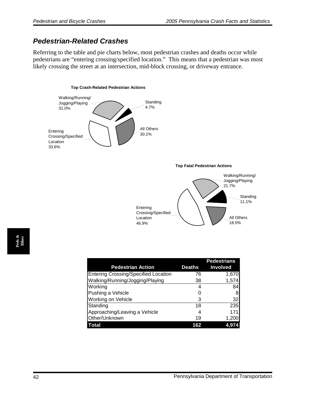#### *Pedestrian-Related Crashes*

Referring to the table and pie charts below, most pedestrian crashes and deaths occur while pedestrians are "entering crossing/specified location." This means that a pedestrian was most likely crossing the street at an intersection, mid-block crossing, or driveway entrance.

#### **Top Crash-Related Pedestrian Actions**



**Top Fatal Pedestrian Actions** All Others 18.5% Standing 11.1% Walking/Running/ Jogging/Playing 21.7% Entering Crossing/Specified Location 46.9%

| <b>Pedestrian Action</b>                    | Deaths | <b>Pedestrians</b><br><b>Involved</b> |
|---------------------------------------------|--------|---------------------------------------|
| <b>Entering Crossing/Specified Location</b> | 76     | 1,670                                 |
| Walking/Running/Jogging/Playing             | 38     | 1,574                                 |
| Working                                     | 4      | 84                                    |
| Pushing a Vehicle                           |        | 8                                     |
| Working on Vehicle                          | 3      | 32                                    |
| Standing                                    | 18     | 235                                   |
| Approaching/Leaving a Vehicle               | 4      | 171                                   |
| Other/Unknown                               | 19     | 1,200                                 |
| <b>Total</b>                                | 162    | 4,97                                  |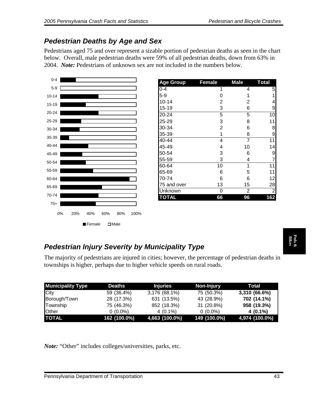## *Pedestrian Deaths by Age and Sex*

Pedestrians aged 75 and over represent a sizable portion of pedestrian deaths as seen in the chart below. Overall, male pedestrian deaths were 59% of all pedestrian deaths, down from 63% in 2004. *Note:* Pedestrians of unknown sex are not included in the numbers below.



| <b>Age Group</b> | Female         | <b>Male</b>    | <b>Total</b>   |
|------------------|----------------|----------------|----------------|
| $0 - 4$          | 1              | 4              | 5              |
| $5-9$            | 0              | 1              | 1              |
| $10 - 14$        | $\overline{2}$ | 2              | 4              |
| $15 - 19$        | 3              | 6              | 9              |
| 20-24            | 5              | 5              | 10             |
| 25-29            | 3              | 8              | 11             |
| 30-34            | $\overline{2}$ | 6              | 8              |
| 35-39            | 1              | 8              | 9              |
| 40-44            | 4              | $\overline{7}$ | 11             |
| 45-49            | 4              | 10             | 14             |
| 50-54            | 3              | 6              | 9              |
| 55-59            | 3              | 4              | 7              |
| 60-64            | 10             | 1              | 11             |
| 65-69            | 6              | 5              | 11             |
| 70-74            | 6              | 6              | 12             |
| 75 and over      | 13             | 15             | 28             |
| Unknown          | 0              | 2              | $\overline{c}$ |
| <b>TOTAL</b>     | 66             | 96             | 162            |

### *Pedestrian Injury Severity by Municipality Type*

| The majority of pedestrians are injured in cities; however, the percentage of pedestrian deaths in<br>townships is higher, perhaps due to higher vehicle speeds on rural roads.<br><b>Municipality Type</b><br>City<br>Borough/Town<br>Township<br>Other<br><b>TOTAL</b> |               |                 |              |                |
|--------------------------------------------------------------------------------------------------------------------------------------------------------------------------------------------------------------------------------------------------------------------------|---------------|-----------------|--------------|----------------|
|                                                                                                                                                                                                                                                                          |               |                 |              |                |
|                                                                                                                                                                                                                                                                          | <b>Deaths</b> | <b>Injuries</b> | Non-Injury   | <b>Total</b>   |
|                                                                                                                                                                                                                                                                          | 59 (36.4%)    | 3,176 (68.1%)   | 75 (50.3%)   | 3,310 (66.6%)  |
|                                                                                                                                                                                                                                                                          | 28 (17.3%)    | 631 (13.5%)     | 43 (28.9%)   | 702 (14.1%)    |
|                                                                                                                                                                                                                                                                          | 75 (46.3%)    | 852 (18.3%)     | 31 (20.8%)   | 958 (19.3%)    |
|                                                                                                                                                                                                                                                                          | $0(0.0\%)$    | $4(0.1\%)$      | $0(0.0\%)$   | $4(0.1\%)$     |
|                                                                                                                                                                                                                                                                          | 162 (100.0%)  | 4,663 (100.0%)  | 149 (100.0%) | 4,974 (100.0%) |
| <i>Note:</i> "Other" includes colleges/universities, parks, etc.                                                                                                                                                                                                         |               |                 |              |                |
| Pennsylvania Department of Transportation                                                                                                                                                                                                                                |               |                 |              | 43             |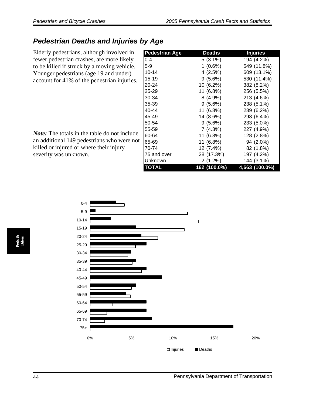### *Pedestrian Deaths and Injuries by Age*

Elderly pedestrians, although involved in fewer pedestrian crashes, are more likely to be killed if struck by a moving vehicle. Younger pedestrians (age 19 and under) account for 41% of the pedestrian injuries.

*Note:* The totals in the table do not include an additional 149 pedestrians who were not killed or injured or where their injury severity was unknown.

| <b>Pedestrian Age</b> | <b>Deaths</b> | <b>Injuries</b> |
|-----------------------|---------------|-----------------|
| $0 - 4$               | 5 (3.1%)      | 194 (4.2%)      |
| 5-9                   | $1(0.6\%)$    | 549 (11.8%)     |
| $10 - 14$             | 4 (2.5%)      | 609 (13.1%)     |
| $15 - 19$             | $9(5.6\%)$    | 530 (11.4%)     |
| 20-24                 | 10 (6.2%)     | 382 (8.2%)      |
| 25-29                 | 11 (6.8%)     | 256 (5.5%)      |
| 30-34                 | 8 (4.9%)      | 213 (4.6%)      |
| 35-39                 | 9 (5.6%)      | 238 (5.1%)      |
| 40-44                 | 11 (6.8%)     | 289 (6.2%)      |
| 45-49                 | 14 (8.6%)     | 298 (6.4%)      |
| 50-54                 | 9 (5.6%)      | 233 (5.0%)      |
| 55-59                 | 7 (4.3%)      | 227 (4.9%)      |
| 60-64                 | 11 (6.8%)     | 128 (2.8%)      |
| 65-69                 | 11 (6.8%)     | 94 (2.0%)       |
| 70-74                 | 12 (7.4%)     | 82 (1.8%)       |
| 75 and over           | 28 (17.3%)    | 197 (4.2%)      |
| Unknown               | 2 (1.2%)      | 144 (3.1%)      |
| <b>TOTAL</b>          | 162 (100.0%)  | 4,663 (100.0%)  |

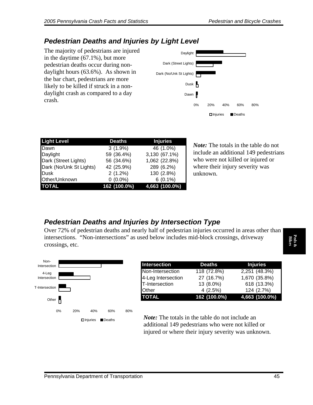#### *Pedestrian Deaths and Injuries by Light Level*

The majority of pedestrians are injured in the daytime (67.1%), but more pedestrian deaths occur during nondaylight hours (63.6%). As shown in the bar chart, pedestrians are more likely to be killed if struck in a nondaylight crash as compared to a day crash.



| <b>Light Level</b>      | <b>Deaths</b> | <b>Injuries</b> |
|-------------------------|---------------|-----------------|
| <b>IDawn</b>            | $3(1.9\%)$    | 46 (1.0%)       |
| Daylight                | 59 (36.4%)    | 3,130 (67.1%)   |
| Dark (Street Lights)    | 56 (34.6%)    | 1,062 (22.8%)   |
| Dark (No/Unk St Lights) | 42 (25.9%)    | 289 (6.2%)      |
| Dusk                    | 2(1.2%)       | 130 (2.8%)      |
| Other/Unknown           | $0(0.0\%)$    | $6(0.1\%)$      |
| <b>TOTAL</b>            | 162 (100.0%)  | 4,663 (100.0%)  |

*Note:* The totals in the table do not include an additional 149 pedestrians who were not killed or injured or where their injury severity was unknown.

#### *Pedestrian Deaths and Injuries by Intersection Type*

Over 72% of pedestrian deaths and nearly half of pedestrian injuries occurred in areas other than intersections. "Non-intersections" as used below includes mid-block crossings, driveway crossings, etc.



| Intersection       | <b>Deaths</b> | <b>Injuries</b> |
|--------------------|---------------|-----------------|
| Non-Intersection   | 118 (72.8%)   | 2,251 (48.3%)   |
| 4-Leg Intersection | 27 (16.7%)    | 1,670 (35.8%)   |
| T-Intersection     | 13 (8.0%)     | 618 (13.3%)     |
| <b>Other</b>       | 4(2.5%)       | 124 (2.7%)      |
| <b>TOTAL</b>       | 162 (100.0%)  | 4,663 (100.0%)  |

*Note:* The totals in the table do not include an additional 149 pedestrians who were not killed or injured or where their injury severity was unknown.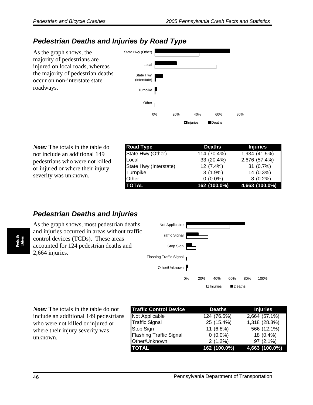#### *Pedestrian Deaths and Injuries by Road Type*

As the graph shows, the majority of pedestrians are injured on local roads, whereas the majority of pedestrian deaths occur on non-interstate state roadways.



*Note:* The totals in the table do not include an additional 149 pedestrians who were not killed or injured or where their injury severity was unknown.

| <b>Road Type</b>       | <b>Deaths</b> | <b>Injuries</b> |
|------------------------|---------------|-----------------|
| State Hwy (Other)      | 114 (70.4%)   | 1,934 (41.5%)   |
| Local                  | 33 (20.4%)    | 2,676 (57.4%)   |
| State Hwy (Interstate) | 12 (7.4%)     | 31(0.7%)        |
| Turnpike               | $3(1.9\%)$    | 14 (0.3%)       |
| <b>Other</b>           | $0(0.0\%)$    | $8(0.2\%)$      |
| <b>TOTAL</b>           | 162 (100.0%)  | 4,663 (100.0%)  |

#### **Pedestrian Deaths and Injuries**

As the graph shows, most pedestrian deaths and injuries occurred in areas without traffic control devices (TCDs). These areas accounted for 124 pedestrian deaths and 2,664 injuries.



*Note:* The totals in the table do not include an additional 149 pedestrians who were not killed or injured or where their injury severity was unknown.

| <b>Traffic Control Device</b>  | <b>Deaths</b><br><b>Injuries</b> |                |  |
|--------------------------------|----------------------------------|----------------|--|
| Not Applicable                 | 124 (76.5%)                      | 2,664 (57.1%)  |  |
| <b>Traffic Signal</b>          | 25 (15.4%)                       | 1,318 (28.3%)  |  |
| Stop Sign                      | 11 (6.8%)                        | 566 (12.1%)    |  |
| <b>Flashing Traffic Signal</b> | $0(0.0\%)$                       | 18 (0.4%)      |  |
| Other/Unknown                  | 2(1.2%)                          | 97 (2.1%)      |  |
| <b>TOTAL</b>                   | 162 (100.0%)                     | 4,663 (100.0%) |  |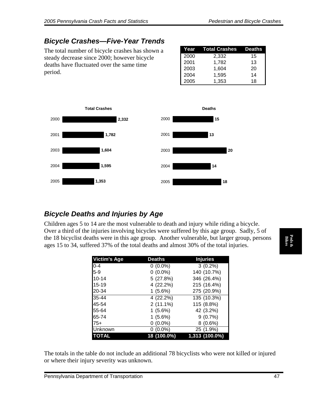### *Bicycle Crashes—Five-Year Trends*

The total number of bicycle crashes has shown a steady decrease since 2000; however bicycle deaths have fluctuated over the same time period.

| Year | Total Crashes | Deaths |
|------|---------------|--------|
| 2000 | 2,332         | 15     |
| 2001 | 1,782         | 13     |
| 2003 | 1,604         | 20     |
| 2004 | 1,595         | 14     |
| 2005 | 1,353         | 18     |



#### *Bicycle Deaths and Injuries by Age*

Children ages 5 to 14 are the most vulnerable to death and injury while riding a bicycle. Over a third of the injuries involving bicycles were suffered by this age group. Sadly, 5 of the 18 bicyclist deaths were in this age group. Another vulnerable, but larger group, persons ages 15 to 34, suffered 37% of the total deaths and almost 30% of the total injuries.

| <b>Victim's Age</b> | <b>Deaths</b> | <b>Injuries</b> |
|---------------------|---------------|-----------------|
| $0 - 4$             | $0(0.0\%)$    | $3(0.2\%)$      |
| $5-9$               | $0(0.0\%)$    | 140 (10.7%)     |
| $10 - 14$           | 5(27.8%)      | 346 (26.4%)     |
| $15 - 19$           | 4 (22.2%)     | 215 (16.4%)     |
| 20-34               | $1(5.6\%)$    | 275 (20.9%)     |
| $35 - 44$           | 4 (22.2%)     | 135 (10.3%)     |
| 45-54               | $2(11.1\%)$   | 115 (8.8%)      |
| 55-64               | $1(5.6\%)$    | 42 (3.2%)       |
| 65-74               | $1(5.6\%)$    | 9(0.7%)         |
| $75+$               | $0(0.0\%)$    | 8(0.6%)         |
| Unknown             | $0(0.0\%)$    | 25 (1.9%)       |
| <b>TOTAL</b>        | 18 (100.0%)   | 1,313 (100.0%)  |

The totals in the table do not include an additional 78 bicyclists who were not killed or injured or where their injury severity was unknown.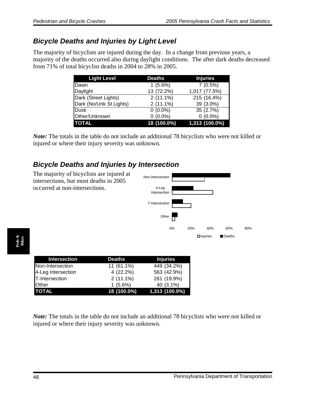### *Bicycle Deaths and Injuries by Light Level*

The majority of bicyclists are injured during the day. In a change from previous years, a majority of the deaths occurred also during daylight conditions. The after dark deaths decreased from 71% of total bicyclist deaths in 2004 to 28% in 2005.

| <b>Light Level</b>      | <b>Deaths</b> | <b>Injuries</b> |
|-------------------------|---------------|-----------------|
| Dawn                    | 1(5.6%)       | 7(0.5%)         |
| Daylight                | 13 (72.2%)    | 1,017 (77.5%)   |
| Dark (Street Lights)    | $2(11.1\%)$   | 215 (16.4%)     |
| Dark (No/Unk St Lights) | $2(11.1\%)$   | 39 (3.0%)       |
| <b>Dusk</b>             | $0(0.0\%)$    | 35 (2.7%)       |
| Other/Unknown           | $0(0.0\%)$    | $0(0.0\%)$      |
| <b>TOTAL</b>            | 18 (100.0%)   | 1,313 (100.0%)  |

*Note:* The totals in the table do not include an additional 78 bicyclists who were not killed or injured or where their injury severity was unknown.

### *Bicycle Deaths and Injuries by Intersection*



**Peds & Bikes** 

| Intersection       | <b>Deaths</b> | <b>Injuries</b> |
|--------------------|---------------|-----------------|
| Non-Intersection   | 11 (61.1%)    | 449 (34.2%)     |
| 4-Leg Intersection | 4 (22.2%)     | 563 (42.9%)     |
| T-Intersection     | $2(11.1\%)$   | 261 (19.9%)     |
| <b>Other</b>       | $1(5.6\%)$    | 40 (3.1%)       |
| <b>TOTAL</b>       | 18 (100.0%)   | 1,313 (100.0%)  |

*Note:* The totals in the table do not include an additional 78 bicyclists who were not killed or injured or where their injury severity was unknown.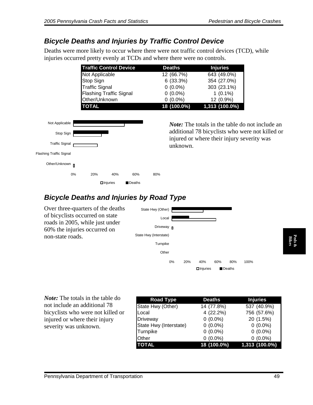#### *Bicycle Deaths and Injuries by Traffic Control Device*

Deaths were more likely to occur where there were not traffic control devices (TCD), while injuries occurred pretty evenly at TCDs and where there were no controls.

| <b>Traffic Control Device</b>  | <b>Deaths</b> | <b>Injuries</b> |
|--------------------------------|---------------|-----------------|
| Not Applicable                 | 12 (66.7%)    | 643 (49.0%)     |
| <b>Stop Sign</b>               | 6(33.3%)      | 354 (27.0%)     |
| Traffic Signal                 | $0(0.0\%)$    | 303 (23.1%)     |
| <b>Flashing Traffic Signal</b> | $0(0.0\%)$    | $1(0.1\%)$      |
| Other/Unknown                  | $0(0.0\%)$    | 12 (0.9%)       |
| <b>TOTAL</b>                   | 18 (100.0%)   | 1,313 (100.0%)  |



*Note:* The totals in the table do not include an additional 78 bicyclists who were not killed or injured or where their injury severity was unknown.

### *Bicycle Deaths and Injuries by Road Type*

Over three-quarters of the deaths of bicyclists occurred on state roads in 2005, while just under 60% the injuries occurred on non-state roads.



| non-state roads.                          | State Hwy (interstate) |                                          |                 |                 |
|-------------------------------------------|------------------------|------------------------------------------|-----------------|-----------------|
|                                           | Turnpike               |                                          |                 | Peds &<br>Bikes |
|                                           | Other                  |                                          |                 |                 |
|                                           | 0%<br>20%              | 40%<br>60%<br>80%                        | 100%            |                 |
|                                           |                        | $\Box$ Injuries<br>$\blacksquare$ Deaths |                 |                 |
|                                           |                        |                                          |                 |                 |
|                                           |                        |                                          |                 |                 |
| <i>Note:</i> The totals in the table do   | <b>Road Type</b>       | <b>Deaths</b>                            | <b>Injuries</b> |                 |
| not include an additional 78              | State Hwy (Other)      | 14 (77.8%)                               | 537 (40.9%)     |                 |
| bicyclists who were not killed or         | Local                  | 4 (22.2%)                                | 756 (57.6%)     |                 |
| injured or where their injury             | Driveway               | $0(0.0\%)$                               | 20 (1.5%)       |                 |
| severity was unknown.                     | State Hwy (Interstate) | $0(0.0\%)$                               | $0(0.0\%)$      |                 |
|                                           | Turnpike               | $0(0.0\%)$                               | $0(0.0\%)$      |                 |
|                                           | Other                  | $0(0.0\%)$                               | $0(0.0\%)$      |                 |
|                                           | <b>TOTAL</b>           | 18 (100.0%)                              | 1,313 (100.0%)  |                 |
|                                           |                        |                                          |                 |                 |
|                                           |                        |                                          |                 |                 |
|                                           |                        |                                          |                 |                 |
|                                           |                        |                                          |                 |                 |
| Pennsylvania Department of Transportation |                        |                                          | 49              |                 |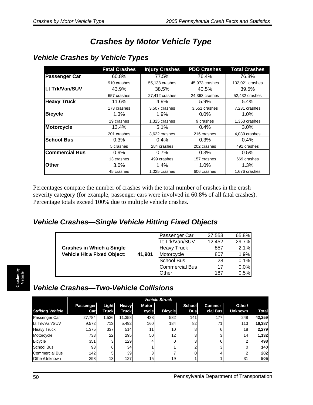# *Crashes by Motor Vehicle Type*

|                       | <b>Fatal Crashes</b> | <b>Injury Crashes</b> | <b>PDO Crashes</b> | <b>Total Crashes</b> |
|-----------------------|----------------------|-----------------------|--------------------|----------------------|
| <b>Passenger Car</b>  | 60.8%                | 77.5%                 | 76.4%              | 76.8%                |
|                       | 910 crashes          | 55,138 crashes        | 45,973 crashes     | 102,021 crashes      |
| Lt Trk/Van/SUV        | 43.9%                | 38.5%                 | 40.5%              | 39.5%                |
|                       | 657 crashes          | 27,412 crashes        | 24,363 crashes     | 52,432 crashes       |
| <b>Heavy Truck</b>    | 11.6%                | 4.9%                  | 5.9%               | 5.4%                 |
|                       | 173 crashes          | 3,507 crashes         | 3,551 crashes      | 7,231 crashes        |
| <b>Bicycle</b>        | 1.3%                 | 1.9%                  | $0.0\%$            | 1.0%                 |
|                       | 19 crashes           | 1,325 crashes         | 9 crashes          | 1,353 crashes        |
| <b>Motorcycle</b>     | 13.4%                | 5.1%                  | $0.4\%$            | 3.0%                 |
|                       | 201 crashes          | 3,622 crashes         | 216 crashes        | 4,039 crashes        |
| <b>School Bus</b>     | 0.3%                 | 0.4%                  | 0.3%               | 0.4%                 |
|                       | 5 crashes            | 284 crashes           | 202 crashes        | 491 crashes          |
| <b>Commercial Bus</b> | 0.9%                 | $0.7\%$               | $0.3\%$            | $0.5\%$              |
|                       | 13 crashes           | 499 crashes           | 157 crashes        | 669 crashes          |
| Other                 | 3.0%                 | 1.4%                  | 1.0%               | 1.3%                 |
|                       | 45 crashes           | 1,025 crashes         | 606 crashes        | 1,676 crashes        |

#### *Vehicle Crashes by Vehicle Types*

Percentages compare the number of crashes with the total number of crashes in the crash severity category (for example, passenger cars were involved in 60.8% of all fatal crashes). Percentage totals exceed 100% due to multiple vehicle crashes.

#### *Vehicle Crashes—Single Vehicle Hitting Fixed Objects*

|                                    |        | Passenger Car         | 27,553 | 65.8% |
|------------------------------------|--------|-----------------------|--------|-------|
|                                    |        | Lt Trk/Van/SUV        | 12,452 | 29.7% |
| <b>Crashes in Which a Single</b>   |        | <b>Heavy Truck</b>    | 857    | 2.1%  |
| <b>Vehicle Hit a Fixed Object:</b> | 41,901 | Motorcycle            | 807    | 1.9%  |
|                                    |        | <b>School Bus</b>     | 28     | 0.1%  |
|                                    |        | <b>Commercial Bus</b> | 17     | 0.0%  |
|                                    |        | Other                 | 187    | 0.5%  |

# *Vehicle Crashes—Two-Vehicle Collisions*

|                         |                  | <b>Vehicle Struck</b> |              |                 |                |            |          |                 |              |
|-------------------------|------------------|-----------------------|--------------|-----------------|----------------|------------|----------|-----------------|--------------|
|                         | Passenger        | Light                 | Heavy        | Motor-          |                | School     | Commer-  | Other/          |              |
| <b>Striking Vehicle</b> | Car <sub>l</sub> | <b>Truck</b>          | <b>Truck</b> | cycle           | <b>Bicycle</b> | <b>Bus</b> | cial Bus | <b>Unknown</b>  | <b>Total</b> |
| Passenger Car           | 27,784           | 1,536                 | 11,358       | 433             | 582            | 141        | 177      | 248             | 42,259       |
| Lt Trk/Van/SUV          | 9,572            | 713                   | 5,492        | 160             | 184            | 82         | 71       | 113             | 16,387       |
| <b>Heavy Truck</b>      | 1,375            | 337                   | 514          | 11              | 10             | 8          | 6        | 18 <sub>1</sub> | 2,279        |
| Motorcycle              | 733              | 22                    | 295          | 50              | 12             | 3          | 3        | 14              | 1,132        |
| <b>Bicycle</b>          | 351              | 3                     | 129          | 4               |                | 3          | 6        |                 | 498          |
| School Bus              | 93               | 6                     | 34           |                 |                | ົ          | 3        |                 | 140          |
| <b>Commercial Bus</b>   | 142 <sub>1</sub> | 5                     | 39           | 3               |                |            |          |                 | 202          |
| Other/Unknown           | 298              | 13                    | 127          | 15 <sub>1</sub> | 19             |            |          | 31              | 505          |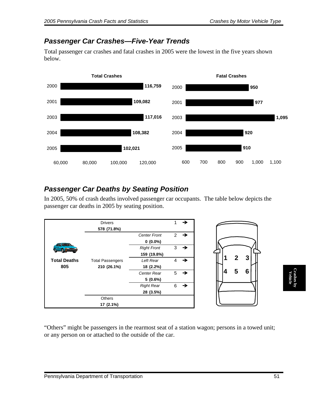#### *Passenger Car Crashes—Five-Year Trends*

Total passenger car crashes and fatal crashes in 2005 were the lowest in the five years shown below.



#### *Passenger Car Deaths by Seating Position*

In 2005, 50% of crash deaths involved passenger car occupants. The table below depicts the passenger car deaths in 2005 by seating position.



"Others" might be passengers in the rearmost seat of a station wagon; persons in a towed unit; or any person on or attached to the outside of the car.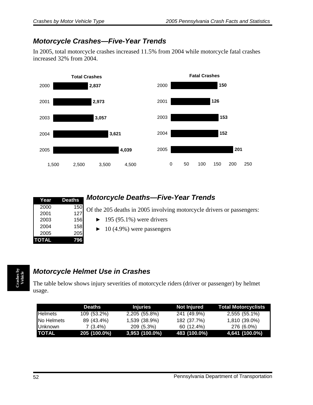### *Motorcycle Crashes—Five-Year Trends*

In 2005, total motorcycle crashes increased 11.5% from 2004 while motorcycle fatal crashes increased 32% from 2004.



| Year         | <b>Deaths</b> |  |
|--------------|---------------|--|
| 2000         | 150           |  |
| 2001         | 127           |  |
| 2003         | 156           |  |
| 2004         | 158           |  |
| 2005         | 205           |  |
| <b>TOTAL</b> | '96<br>7      |  |

## *Motorcycle Deaths—Five-Year Trends*

Of the 205 deaths in 2005 involving motorcycle drivers or passengers:

- $\blacktriangleright$  195 (95.1%) were drivers
- $\blacktriangleright$  10 (4.9%) were passengers

### *Motorcycle Helmet Use in Crashes*

The table below shows injury severities of motorcycle riders (driver or passenger) by helmet usage.

|                   | Deaths       | <b>Injuries</b>  | Not Injured  | <b>Total Motorcyclists</b> |
|-------------------|--------------|------------------|--------------|----------------------------|
| <b>I</b> Helmets  | 109 (53.2%)  | 2,205 (55.8%)    | 241 (49.9%)  | 2,555 (55.1%)              |
| <b>No Helmets</b> | 89 (43.4%)   | 1,539 (38.9%)    | 182 (37.7%)  | 1,810 (39.0%)              |
| <b>I</b> Unknown  | $7(3.4\%)$   | 209 (5.3%)       | 60 (12.4%)   | 276 (6.0%)                 |
| <b>TOTAL</b>      | 205 (100.0%) | $3,953$ (100.0%) | 483 (100.0%) | 4,641 (100.0%)             |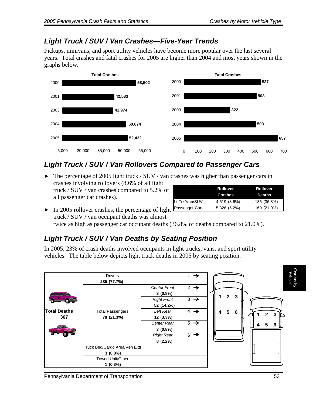#### *Light Truck / SUV / Van Crashes—Five-Year Trends*

Pickups, minivans, and sport utility vehicles have become more popular over the last several years. Total crashes and fatal crashes for 2005 are higher than 2004 and most years shown in the graphs below.



### *Light Truck / SUV / Van Rollovers Compared to Passenger Cars*

• The percentage of 2005 light truck / SUV / van crashes was higher than passenger cars in crashes involving rollovers (8.6% of all light truck / SUV / van crashes compared to 5.2% of

all passenger car crashes).

|                | <b>Rollover</b><br><b>Crashes</b> | <b>Rollover</b><br><b>Deaths</b> |
|----------------|-----------------------------------|----------------------------------|
| Lt Trk/Van/SUV | 4,519 (8.6%)                      | 135 (36.8%)                      |
| Passenger Cars | 5,326 (5.2%)                      | 169 (21.0%)                      |

 $\triangleright$  In 2005 rollover crashes, the percentage of light truck / SUV / van occupant deaths was almost

twice as high as passenger car occupant deaths (36.8% of deaths compared to 21.0%).

### *Light Truck / SUV / Van Deaths by Seating Position*

In 2005, 23% of crash deaths involved occupants in light trucks, vans, and sport utility vehicles. The table below depicts light truck deaths in 2005 by seating position.

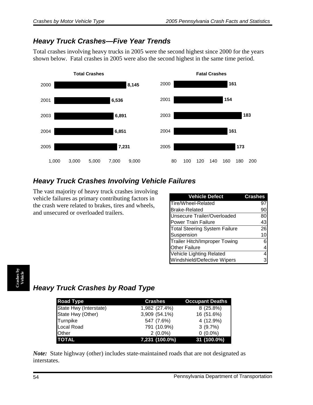### *Heavy Truck Crashes—Five Year Trends*

Total crashes involving heavy trucks in 2005 were the second highest since 2000 for the years shown below. Fatal crashes in 2005 were also the second highest in the same time period.



## *Heavy Truck Crashes Involving Vehicle Failures*

The vast majority of heavy truck crashes involving vehicle failures as primary contributing factors in the crash were related to brakes, tires and wheels, and unsecured or overloaded trailers.

| <b>Vehicle Defect</b>                | <b>Crashes</b> |
|--------------------------------------|----------------|
| Tire/Wheel-Related                   | 97             |
| <b>Brake-Related</b>                 | 90             |
| Unsecure Trailer/Overloaded          | 80             |
| <b>Power Train Failure</b>           | 43             |
| <b>Total Steering System Failure</b> | 26             |
| Suspension                           | 10             |
| Trailer Hitch/Improper Towing        | 6              |
| <b>Other Failure</b>                 | 4              |
| Vehicle Lighting Related             | 4              |
| Windshield/Defective Wipers          | 3              |

# *Heavy Truck Crashes by Road Type*

| <b>Road Type</b>       | <b>Crashes</b> | <b>Occupant Deaths</b> |
|------------------------|----------------|------------------------|
| State Hwy (Interstate) | 1,982 (27.4%)  | $8(25.8\%)$            |
| State Hwy (Other)      | 3,909 (54.1%)  | 16 (51.6%)             |
| Turnpike               | 547 (7.6%)     | 4 (12.9%)              |
| Local Road             | 791 (10.9%)    | 3(9.7%)                |
| <b>Other</b>           | $2(0.0\%)$     | $0(0.0\%)$             |
| <b>TOTAL</b>           | 7,231 (100.0%) | 31 (100.0%)            |

*Note:* State highway (other) includes state-maintained roads that are not designated as interstates.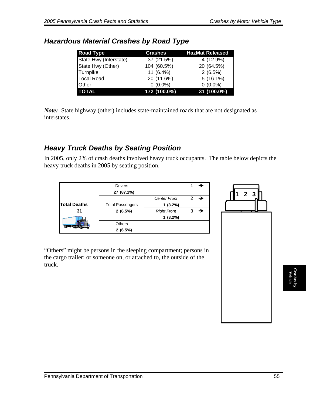| <b>Road Type</b>       | <b>Crashes</b> | <b>HazMat Released</b> |
|------------------------|----------------|------------------------|
| State Hwy (Interstate) | 37 (21.5%)     | 4 (12.9%)              |
| State Hwy (Other)      | 104 (60.5%)    | 20 (64.5%)             |
| Turnpike               | 11 (6.4%)      | 2(6.5%)                |
| <b>Local Road</b>      | 20 (11.6%)     | $5(16.1\%)$            |
| Other                  | $0(0.0\%)$     | $0(0.0\%)$             |
| <b>TOTAL</b>           | 172 (100.0%)   | 31 (100.0%)            |

#### *Hazardous Material Crashes by Road Type*

*Note:* State highway (other) includes state-maintained roads that are not designated as interstates.

#### *Heavy Truck Deaths by Seating Position*

In 2005, only 2% of crash deaths involved heavy truck occupants. The table below depicts the heavy truck deaths in 2005 by seating position.

|                     | <b>Drivers</b>          |                     |                 |
|---------------------|-------------------------|---------------------|-----------------|
|                     | 27 (87.1%)              |                     |                 |
|                     |                         | <b>Center Front</b> | $2 \rightarrow$ |
| <b>Total Deaths</b> | <b>Total Passengers</b> | $1(3.2\%)$          |                 |
| 31                  | 2(6.5%)                 | <b>Right Front</b>  |                 |
|                     |                         | $1(3.2\%)$          |                 |
|                     | <b>Others</b>           |                     |                 |
|                     | 2(6.5%)                 |                     |                 |

"Others" might be persons in the sleeping compartment; persons in the cargo trailer; or someone on, or attached to, the outside of the truck.

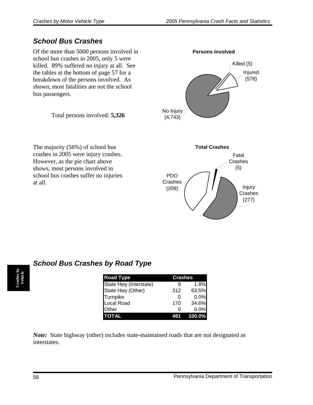### *School Bus Crashes*

Of the more than 5000 persons involved in school bus crashes in 2005, only 5 were killed. 89% suffered no injury at all. See the tables at the bottom of page 57 for a breakdown of the persons involved. As shown, most fatalities are not the school bus passengers.

Total persons involved: **5,326**

The majority (56%) of school bus crashes in 2005 were injury crashes. However, as the pie chart above shows, most persons involved in school bus crashes suffer no injuries at all.



|  | <b>School Bus Crashes by Road Type</b> |  |  |
|--|----------------------------------------|--|--|

| <b>Road Type</b>       | <b>Crashes</b> |        |
|------------------------|----------------|--------|
| State Hwy (Interstate) |                | 1.8%   |
| State Hwy (Other)      | 312            | 63.5%  |
| Turnpike               | O              | 0.0%   |
| Local Road             | 170            | 34.6%  |
| Other                  | $\Box$         | 0.0%   |
|                        |                | 100.0% |

*Note:* State highway (other) includes state-maintained roads that are not designated as interstates.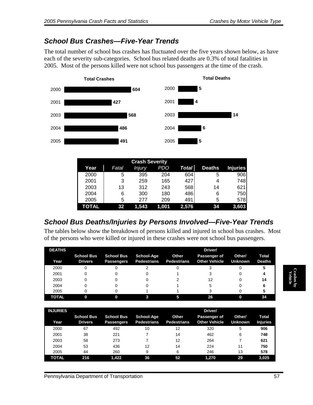### *School Bus Crashes—Five-Year Trends*

The total number of school bus crashes has fluctuated over the five years shown below, as have each of the severity sub-categories. School bus related deaths are 0.3% of total fatalities in 2005. Most of the persons killed were not school bus passengers at the time of the crash.



| Year  | Fatal | <b>Injury</b> | PDO   | <b>Total</b> | <b>Deaths</b> | <b>Injuries</b> |
|-------|-------|---------------|-------|--------------|---------------|-----------------|
| 2000  | 5     | 395           | 204   | 604          | 5             | 906             |
| 2001  | 3     | 259           | 165   | 427          | 4             | 748             |
| 2003  | 13    | 312           | 243   | 568          | 14            | 621             |
| 2004  | 6     | 300           | 180   | 486          | 6             | 750             |
| 2005  | 5     | 277           | 209   | 491          | 5             | 578             |
| TOTAL | 32    | 1.543         | 1.001 | 2,576        | 34            | 3,603           |

### *School Bus Deaths/Injuries by Persons Involved—Five-Year Trends*

The tables below show the breakdown of persons killed and injured in school bus crashes. Most of the persons who were killed or injured in these crashes were not school bus passengers.

| <b>DEATHS</b> |                                     |                                        |                                  |                             | Driver/                              |                          |                        |
|---------------|-------------------------------------|----------------------------------------|----------------------------------|-----------------------------|--------------------------------------|--------------------------|------------------------|
| Year          | <b>School Bus</b><br><b>Drivers</b> | <b>School Bus</b><br><b>Passengers</b> | School-Age<br><b>Pedestrians</b> | Other<br><b>Pedestrians</b> | Passenger of<br><b>Other Vehicle</b> | Other/<br><b>Unknown</b> | Total<br><b>Deaths</b> |
| 2000          |                                     |                                        |                                  |                             |                                      |                          |                        |
| 2001          |                                     |                                        |                                  |                             |                                      |                          |                        |
| 2003          |                                     |                                        |                                  |                             | 12                                   |                          | 14                     |
| 2004          |                                     |                                        |                                  |                             |                                      |                          |                        |
| 2005          |                                     |                                        |                                  |                             |                                      |                          |                        |
| <b>TOTAL</b>  |                                     |                                        |                                  |                             | 26                                   |                          | 34                     |

| <b>INJURIES</b> |                                     |                                        |                                  |                             | Driver/                              |                          |                          |
|-----------------|-------------------------------------|----------------------------------------|----------------------------------|-----------------------------|--------------------------------------|--------------------------|--------------------------|
| Year            | <b>School Bus</b><br><b>Drivers</b> | <b>School Bus</b><br><b>Passengers</b> | School-Age<br><b>Pedestrians</b> | Other<br><b>Pedestrians</b> | Passenger of<br><b>Other Vehicle</b> | Other/<br><b>Unknown</b> | Total<br><b>Injuries</b> |
| 2000            | 67                                  | 492                                    | 10                               | 12                          | 320                                  | 5                        | 906                      |
| 2001            | 38                                  | 221                                    |                                  | 14                          | 462                                  | 6                        | 748                      |
| 2003            | 58                                  | 273                                    |                                  | 12                          | 264                                  |                          | 621                      |
| 2004            | 53                                  | 436                                    | 12                               | 14                          | 224                                  | 11                       | 750                      |
| 2005            | 44                                  | 260                                    | 9                                | 6                           | 246                                  | 13                       | 578                      |
| <b>TOTAL</b>    | 216                                 | 1,422                                  | 36                               | 52                          | 1.270                                | 29                       | 3,025                    |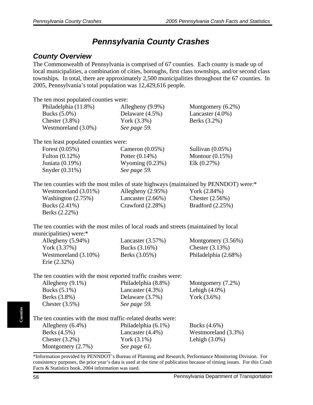# *Pennsylvania County Crashes*

#### *County Overview*

The Commonwealth of Pennsylvania is comprised of 67 counties. Each county is made up of local municipalities, a combination of cities, boroughs, first class townships, and/or second class townships. In total, there are approximately 2,500 municipalities throughout the 67 counties. In 2005, Pennsylvania's total population was 12,429,616 people.

| The ten most populated counties were:                                                                          |                                      |                                                                                                                    |
|----------------------------------------------------------------------------------------------------------------|--------------------------------------|--------------------------------------------------------------------------------------------------------------------|
| Philadelphia (11.8%)                                                                                           | Allegheny (9.9%)                     | Montgomery (6.2%)                                                                                                  |
| Bucks (5.0%)                                                                                                   | Delaware (4.5%)                      | Lancaster (4.0%)                                                                                                   |
| Chester $(3.8\%)$                                                                                              | York (3.3%)                          | Berks (3.2%)                                                                                                       |
| Westmoreland (3.0%)                                                                                            | See page 59.                         |                                                                                                                    |
| The ten least populated counties were:                                                                         |                                      |                                                                                                                    |
| Forest (0.05%)                                                                                                 | Cameron $(0.05\%)$                   | Sullivan (0.05%)                                                                                                   |
| Fulton (0.12%)                                                                                                 | Potter (0.14%)                       | Montour $(0.15\%)$                                                                                                 |
| Juniata (0.19%)                                                                                                | Wyoming $(0.23%)$                    | Elk (0.27%)                                                                                                        |
| Snyder (0.31%)                                                                                                 | See page 59.                         |                                                                                                                    |
| The ten counties with the most miles of state highways (maintained by PENNDOT) were:*                          |                                      |                                                                                                                    |
| Westmoreland (3.01%)                                                                                           | Allegheny $(2.95\%)$                 | York (2.84%)                                                                                                       |
| Washington $(2.75%)$                                                                                           | Lancaster $(2.66\%)$                 | Chester $(2.56\%)$                                                                                                 |
| Bucks (2.41%)                                                                                                  | Crawford (2.28%)                     | Bradford (2.25%)                                                                                                   |
| Berks (2.22%)                                                                                                  |                                      |                                                                                                                    |
| The ten counties with the most miles of local roads and streets (maintained by local<br>municipalities) were:* |                                      |                                                                                                                    |
| Allegheny (5.94%)                                                                                              | Lancaster (3.57%)                    | Montgomery (3.56%)                                                                                                 |
| York (3.37%)                                                                                                   | Bucks (3.16%)                        | Chester $(3.13%)$                                                                                                  |
| Westmoreland (3.10%)                                                                                           | Berks (3.05%)                        | Philadelphia (2.68%)                                                                                               |
| Erie (2.32%)                                                                                                   |                                      |                                                                                                                    |
| The ten counties with the most reported traffic crashes were:                                                  |                                      |                                                                                                                    |
| Allegheny (9.1%)                                                                                               | Philadelphia (8.8%)                  | Montgomery (7.2%)                                                                                                  |
| Bucks (5.1%)                                                                                                   | Lancaster $(4.3\%)$                  | Lehigh $(4.0\%)$                                                                                                   |
| Berks (3.8%)                                                                                                   | Delaware (3.7%)                      | York (3.6%)                                                                                                        |
| Chester $(3.5\%)$                                                                                              | See page 59.                         |                                                                                                                    |
| The ten counties with the most traffic-related deaths were:                                                    |                                      |                                                                                                                    |
| Allegheny (6.4%)                                                                                               | Philadelphia (6.1%)                  | Bucks (4.6%)                                                                                                       |
| Berks (4.5%)                                                                                                   | Lancaster (4.4%)                     | Westmoreland (3.3%)                                                                                                |
| Chester $(3.2\%)$                                                                                              | York $(3.1\%)$                       | Lehigh $(3.0\%)$                                                                                                   |
| Montgomery (2.7%)<br>$\overline{m}$ $\overline{n}$ $\overline{n}$ $\overline{n}$                               | See page 61.<br>$\sim$ $\sim$ $\sim$ | $\mathbf{v}$ and $\mathbf{v}$ and $\mathbf{v}$ and $\mathbf{v}$ and $\mathbf{v}$ and $\mathbf{v}$ and $\mathbf{v}$ |

\*Information provided by PENNDOT's Bureau of Planning and Research, Performance Monitoring Division. For consistency purposes, the prior year's data is used at the time of publication because of timing issues. For this Crash Facts & Statistics book, 2004 information was used.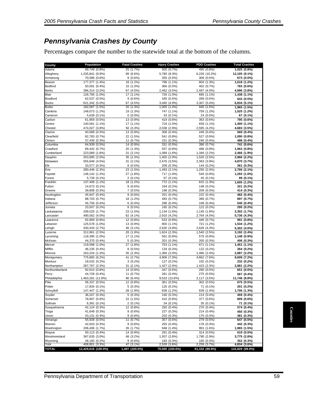### *Pennsylvania Crashes by County*

Percentages compare the number to the statewide total at the bottom of the columns.

| County                  | Population                         | <b>Fatal Crashes</b>    | <b>Injury Crashes</b>        | PDO Crashes                  | <b>Total Crashes</b>         |
|-------------------------|------------------------------------|-------------------------|------------------------------|------------------------------|------------------------------|
| Adams                   | 99,749 (0.8%)                      | 25 (1.7%)               | 505 (0.7%)                   | 495 (0.8%)                   | 1,025 (0.8%)                 |
| Allegheny               | 1,235,841 (9.9%)                   | 99 (6.6%)               | 5,780 (8.3%)                 | 6,226 (10.2%)                | 12,105 (9.1%)                |
| Armstrong<br>Beaver     | 70,586 (0.6%)<br>177,377 (1.4%)    | $9(0.6\%)$<br>18 (1.2%) | 355 (0.5%)<br>796 (1.1%)     | 309 (0.5%)<br>804 (1.3%)     | 673 (0.5%)                   |
| <b>Bedford</b>          | 50,091 (0.4%)                      | 15 (1.0%)               | 366 (0.5%)                   | 402 (0.7%)                   | 1,618 (1.2%)<br>783 (0.6%)   |
| <b>Berks</b>            | 396,314 (3.2%)                     | 67 (4.5%)               | 2,462 (3.5%)                 | 2,467 (4.0%)                 | 4,996 (3.8%)                 |
| Blair                   | 126,795 (1.0%)                     | 17 (1.1%)               | 726 (1.0%)                   | 695 (1.1%)                   | 1,438 (1.1%)                 |
| <b>Bradford</b>         | 62,537 (0.5%)                      | 9(0.6%)                 | 345 (0.5%)                   | 289 (0.5%)                   | 643 (0.5%)                   |
| <b>Bucks</b>            | 621,342 (5.0%)                     | 67 (4.5%)               | 3,460 (4.9%)                 | 3,307 (5.4%)                 | 6,834 (5.1%)                 |
| <b>Butler</b>           | 182,087 (1.5%)                     | 20 (1.3%)               | 1,005 (1.4%)                 | 940 (1.5%)                   | 1,965 (1.5%)                 |
| Cambria                 | 148,073 (1.2%)                     | 19 (1.3%)               | 747 (1.1%)                   | 759 (1.2%)                   | 1,525 (1.2%)                 |
| Cameron                 | 5,639 (0.1%)                       | $0(0.0\%)$              | 43 (0.1%)                    | 24 (0.0%)                    | 67 (0.1%)                    |
| Carbon<br>Centre        | 61,959 (0.5%)<br>140,561 (1.1%)    | 13 (0.9%)<br>17 (1.1%)  | 419 (0.6%)<br>724 (1.0%)     | 363 (0.6%)<br>659 (1.1%)     | 795 (0.6%)<br>1,400 (1.1%)   |
| Chester                 | 474,027 (3.8%)                     | 50 (3.3%)               | 2,038 (2.9%)                 | 2,595 (4.2%)                 | 4,683 (3.5%)                 |
| Clarion                 | 40,589 (0.3%)                      | 13 (0.9%)               | 308 (0.4%)                   | 248 (0.4%)                   | 569 (0.4%)                   |
| Clearfield              | 82,783 (0.7%)                      | 22 (1.5%)               | 541 (0.8%)                   | 527 (0.9%)                   | 1,090 (0.8%)                 |
| Clinton                 | 37,439 (0.3%)                      | 11 (0.7%)               | 231 (0.3%)                   | 246 (0.4%)                   | 488 (0.4%)                   |
| Columbia                | 64,939 (0.5%)                      | 14 (0.9%)               | 331 (0.5%)                   | 396 (0.7%)                   | 741 (0.6%)                   |
| Crawford                | 89,442 (0.7%)                      | 20 (1.3%)               | 557 (0.8%)                   | 486 (0.8%)                   | 1,063 (0.8%)                 |
| Cumberland              | 223,089 (1.8%)                     | 31 (2.1%)               | 1,089 (1.6%)                 | 1,346 (2.2%)                 | 2,466 (1.9%)                 |
| Dauphin                 | 253,995 (2.0%)                     | 35 (2.3%)               | 1,405 (2.0%)                 | 1,526 (2.5%)                 | 2,966 (2.2%)                 |
| Delaware                | 555,648 (4.5%)                     | 31 (2.1%)               | 2,476 (3.5%)                 | 2,363 (3.9%)                 | 4,870 (3.7%)                 |
|                         | 33,577 (0.3%)                      | $8(0.5\%)$              | 209 (0.3%)                   | 144 (0.2%)                   | 361 (0.3%)                   |
|                         | 280,446 (2.3%)                     | 23 (1.5%)               | 1,493 (2.1%)                 | 1,250 (2.0%)                 | 2,766 (2.1%)                 |
| Fayette                 | 146,142 (1.2%)<br>5,739 (0.1%)     | 27 (1.8%)<br>$2(0.1\%)$ | 717 (1.0%)<br>57 (0.1%)      | 549 (0.9%)<br>40 (0.1%)      | 1,293 (1.0%)<br>99 (0.1%)    |
| Forest<br>Franklin      | 137,409 (1.1%)                     | 18 (1.2%)               | 772 (1.1%)                   | 815 (1.3%)                   | 1,605 (1.2%)                 |
| Fulton                  | 14,673 (0.1%)                      | 9(0.6%)                 | 164 (0.2%)                   | 148 (0.2%)                   | 321 (0.2%)                   |
| Greene                  | 39,808 (0.3%)                      | 7(0.5%)                 | 198 (0.3%)                   | 209 (0.3%)                   | 414 (0.3%)                   |
| Huntingdon              | 45,947 (0.4%)                      | 9(0.6%)                 | 251 (0.4%)                   | 222 (0.4%)                   | 482 (0.4%)                   |
| Indiana                 | 88,703 (0.7%)                      | 18 (1.2%)               | 483 (0.7%)                   | 396 (0.7%)                   | 897 (0.7%)                   |
| Jefferson               | 45,759 (0.4%)                      | 6(0.4%)                 | 286 (0.4%)                   | 248 (0.4%)                   | 540 (0.4%)                   |
| Juniata                 | 23,507 (0.2%)                      | $8(0.5\%)$              | 165 (0.2%)                   | 122 (0.2%)                   | 295 (0.2%)                   |
| Lackawanna              | 209,525 (1.7%)                     | 23 (1.5%)               | 1,134 (1.6%)                 | 1,145 (1.9%)                 | 2,302 (1.7%)                 |
| Lancaster               | 490,562 (4.0%)                     | 62 (4.1%)               | 2,910 (4.2%)                 | 2,764 (4.5%)                 | 5,736 (4.3%)                 |
| Lawrence                | 92,809 (0.8%)                      | 12 (0.8%)               | 533 (0.8%)                   | 446 (0.7%)                   | 991 (0.8%)                   |
| Lebanon                 | 125,578 (1.0%)                     | 13 (0.9%)               | 800 (1.1%)                   | 721 (1.2%)                   | 1,534 (1.2%)                 |
| Lehigh<br>Luzerne       | 330,433 (2.7%)<br>312,861 (2.5%)   | 46 (3.1%)<br>28 (1.9%)  | 2,630 (3.8%)<br>1,624 (2.3%) | 2,626 (4.3%)<br>1,540 (2.5%) | 5,302 (4.0%)<br>3,192 (2.4%) |
| Lycoming                | 118,395 (1.0%)                     | 17 (1.1%)               | 561 (0.8%)                   | 570 (0.9%)                   | 1,148 (0.9%)                 |
| McKean                  | 44,370 (0.4%)                      | 5(0.3%)                 | 201 (0.3%)                   | 200 (0.3%)                   | 406 (0.3%)                   |
| Mercer                  | 119,598 (1.0%)                     | 27 (1.8%)               | 753 (1.1%)                   | 671 (1.1%)                   | 1,451 (1.1%)                 |
| Mifflin                 | 46,235 (0.4%)                      | $8(0.5\%)$              | 134 (0.2%)                   | 122 (0.2%)                   | 264 (0.2%)                   |
| Monroe                  | 163,234 (1.3%)                     | 35 (2.3%)               | 1,366 (2.0%)                 | 1,486 (2.4%)                 | 2,887 (2.2%)                 |
| Montgomery              | 775,883 (6.2%)                     | 41 (2.7%)               | 4,906 (7.0%)                 | 4,662 (7.6%)                 | 9,609 (7.2%)                 |
| Montour                 | 18,032 (0.2%)                      | $3(0.2\%)$              | 127 (0.2%)                   | 102 (0.2%)                   | 232 (0.2%)                   |
| Northampton             | 287,767 (2.3%)                     | 31 (2.1%)               | 1,427 (2.0%)                 | 1,423 (2.3%)                 | 2,881 (2.2%)                 |
| Northumberland          | 92,610 (0.8%)                      | 14 (0.9%)               | 347 (0.5%)                   | 290 (0.5%)                   | 651 (0.5%)                   |
| Perry<br>Philadelphia   | 44,728 (0.4%)<br>1,463,281 (11.8%) | 11 (0.7%)               | 281 (0.4%)                   | 275 (0.5%)                   | 567 (0.4%)                   |
|                         | 56,337 (0.5%)                      | 96 (6.4%)<br>12 (0.8%)  | 9,533 (13.6%)<br>361 (0.5%)  | 2,117 (3.5%)<br>302 (0.5%)   | 11,746 (8.8%)<br>675 (0.5%)  |
| Potter                  | 17,834 (0.1%)                      | 5(0.3%)                 | 125 (0.2%)                   | 71 (0.1%)                    | 201 (0.2%)                   |
| Schuylkill              | 147,447 (1.2%)                     | 28 (1.9%)               | 839 (1.2%)                   | 839 (1.4%)                   | 1,706 (1.3%)                 |
| Snyder                  | 38,207 (0.3%)                      | 5(0.3%)                 | 240 (0.3%)                   | 214 (0.4%)                   | 459 (0.4%)                   |
| Somerset                | 78,907 (0.6%)                      | 22 (1.5%)               | 410 (0.6%)                   | 377 (0.6%)                   | 809 (0.6%)                   |
| Sullivan                | 6,391 (0.1%)                       | $2(0.1\%)$              | 34 (0.1%)                    | 35 (0.1%)                    | 71 (0.1%)                    |
| Susquehanna             | 42,124 (0.3%)                      | 12 (0.8%)               | 292 (0.4%)                   | 270 (0.4%)                   | 574 (0.4%)                   |
| Tioga                   | 41,649 (0.3%)                      | 9(0.6%)                 | 227 (0.3%)                   | 214 (0.4%)                   | 450 (0.3%)                   |
| Union                   | 43,131 (0.4%)                      | $9(0.6\%)$              | 202 (0.3%)                   | 170 (0.3%)                   | 381 (0.3%)                   |
| Venango                 | 55,928 (0.5%)                      | 11 (0.7%)               | 357 (0.5%)                   | 279 (0.5%)                   | 647 (0.5%)                   |
| Warren                  | 42,033 (0.3%)                      | $9(0.6\%)$              | 255 (0.4%)                   | 178 (0.3%)                   | 442 (0.3%)                   |
| Washington              | 206,406 (1.7%)                     | 26 (1.7%)               | 948 (1.4%)                   | 991 (1.6%)                   | 1,965 (1.5%)                 |
| Wayne                   | 50,113 (0.4%)                      | 14 (0.9%)               | 291 (0.4%)                   | 314 (0.5%)                   | 619 (0.5%)                   |
| Westmoreland<br>Wyoming | 367,635 (3.0%)<br>28,160 (0.2%)    | 48 (3.2%)<br>$9(0.6\%)$ | 1,937 (2.8%)<br>183 (0.3%)   | 1,790 (2.9%)<br>160 (0.3%)   | 3,775 (2.8%)<br>352 (0.3%)   |
|                         | 408,801 (3.3%)                     | 47 (3.1%)               | 2,528 (3.6%)                 | 2,259 (3.7%)                 | 4,834 (3.6%)                 |
|                         | 12,429,616 (100.0%)                | 1,497 (100.0%)          | 70,000 (100.0%)              | 61,332 (99.9%)               | 132,829 (99.9%)              |
| York<br><b>TOTAL</b>    |                                    |                         |                              |                              |                              |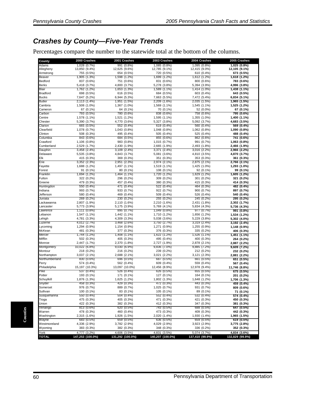### *Crashes by County—Five-Year Trends*

Percentages compare the number to the statewide total at the bottom of the columns.

| County                | 2000 Crashes                | 2001 Crashes               | 2003 Crashes               | 2004 Crashes               | 2005 Crashes               |
|-----------------------|-----------------------------|----------------------------|----------------------------|----------------------------|----------------------------|
| Adams                 | 1.028 (0.7%)                | 991 (0.8%)                 | 1.085 (0.8%)               | 1,095 (0.8%)               | 1,025 (0.8%)               |
| Allegheny             | 13,850 (9.4%)               | 12,625 (9.6%)              | 12,785 (9.1%)              | 12,415 (9.0%)              | 12,105 (9.1%)              |
| Armstrong<br>Beaver   | 755 (0.5%)<br>1,905 (1.3%)  | 654 (0.5%)<br>1,598 (1.2%) | 720 (0.5%)<br>1,699 (1.2%) | 610 (0.4%)<br>1,612 (1.2%) | 673 (0.5%)<br>1,618 (1.2%) |
| Bedford               | 837 (0.6%)                  | 751 (0.6%)                 | 831 (0.6%)                 | 800 (0.6%)                 | 783 (0.6%)                 |
| <b>Berks</b>          | 5,418 (3.7%)                | 4,800 (3.7%)               | 5,278 (3.8%)               | 5,394 (3.9%)               | 4,996 (3.8%)               |
| Blair                 | 1.762 (1.2%)                | 1.653 (1.3%)               | 1,589 (1.1%)               | 1,414 (1.0%)               | 1,438 (1.1%)               |
| <b>Bradford</b>       | 698 (0.5%)                  | 616 (0.5%)                 | 684 (0.5%)                 | 603 (0.4%)                 | 643 (0.5%)                 |
| <b>Bucks</b>          | 7,647 (5.2%)                | 6,944 (5.3%)               | 7,663 (5.5%)               | 7,472 (5.4%)               | 6,834 (5.1%)               |
| <b>Butler</b>         | 2,113 (1.4%)                | 1,951 (1.5%)               | 2,209 (1.6%)               | 2,035 (1.5%)               | 1,965 (1.5%)               |
| Cambria               | 1,508 (1.0%)                | 1,367 (1.0%)               | 1,569 (1.1%)               | 1,545 (1.1%)               | 1,525 (1.2%)               |
| Cameron               | 67 (0.1%)                   | 64 (0.1%)                  | 70 (0.1%)                  | 52 (0.0%)                  | 67 (0.1%)                  |
| Carbon                | 793 (0.5%)                  | 780 (0.6%)                 | 838 (0.6%)                 | 758 (0.6%)                 | 795 (0.6%)                 |
| Centre                | 1,578 (1.1%)                | 1,521 (1.2%)               | 1,595 (1.1%)               | 1,355 (1.0%)               | 1,400 (1.1%)               |
| Chester<br>Clarion    | 5,390 (3.7%)                | 4,770 (3.6%)<br>552 (0.4%) | 5,327 (3.8%)<br>619 (0.4%) | 5,092 (3.7%)               | 4,683 (3.5%)               |
| Clearfield            | 665 (0.5%)<br>1,078 (0.7%)  | 1,043 (0.8%)               | 1,048 (0.8%)               | 560 (0.4%)<br>1,062 (0.8%) | 569 (0.4%)<br>1,090 (0.8%) |
| Clinton               | 508 (0.3%)                  | 495 (0.4%)                 | 505 (0.4%)                 | 525 (0.4%)                 | 488 (0.4%)                 |
| Columbia              | 843 (0.6%)                  | 684 (0.5%)                 | 855 (0.6%)                 | 862 (0.6%)                 | 741 (0.6%)                 |
| Crawford              | 1,106 (0.8%)                | 983 (0.8%)                 | 1,015 (0.7%)               | 991 (0.7%)                 | 1,063 (0.8%)               |
| Cumberland            | 2,529<br>(1.7%              | 2,430 (1.9%)               | 2,665 (1.9%)               | 2,493 (1.8%)               | 2,466 (1.9%)               |
| Dauphin               | 3,458<br>(2.4%              | 3,109 (2.4%)               | 3,371 (2.4%)               | 3,016 (2.2%)               | 2,966 (2.2%)               |
| Delaware              | 5,535 (3.8%)                | 4,843 (3.7%)               | 5,081 (3.6%)               | 4,810 (3.5%)               | 4,870 (3.7%)               |
| Elk                   | 415 (0.3%)                  | 369 (0.3%)                 | 351 (0.3%)                 | 353 (0.3%)                 | 361 (0.3%)                 |
| Erie                  | 3,352 (2.3%)                | 2,951 (2.3%)               | 2,974 (2.1%)               | 2,875 (2.1%)               | 2,766 (2.1%)               |
| Fayette               | 1,688 (1.2%)                | 1,497 (1.1%)               | 1,519 (1.1%)               | 1,425 (1.0%)               | 1,293 (1.0%)               |
| Forest                | 91 (0.1%)                   | 80 (0.1%)                  | 108 (0.1%)                 | 92 (0.1%)                  | 99 (0.1%)                  |
| Franklin              | 1,694 (1.2%)                | 1.464 (1.1%)               | 1,720 (1.2%)               | 1,629 (1.2%)               | 1,605 (1.2%)               |
| Fulton                | 322 (0.2%)                  | 296 (0.2%)                 | 309 (0.2%)                 | 301 (0.2%)                 | 321 (0.2%)                 |
| Greene                | 479 (0.3%)                  | 457 (0.4%)                 | 380 (0.3%)                 | 415 (0.3%)                 | 414 (0.3%)                 |
| Huntingdon            | 550 (0.4%)                  | 471 (0.4%)                 | 522 (0.4%)<br>922 (0.7%)   | 464 (0.3%)                 | 482 (0.4%)                 |
| Indiana<br>Jefferson  | 993 (0.7%)                  | 933 (0.7%)                 |                            | 900 (0.7%)                 | 897 (0.7%)                 |
| Juniata               | 580 (0.4%)<br>269 (0.2%)    | 469 (0.4%)<br>230 (0.2%)   | 509 (0.4%)<br>255 (0.2%)   | 526 (0.4%)<br>245 (0.2%)   | 540 (0.4%)<br>295 (0.2%)   |
| Lackawanna            | 2,807 (1.9%)                | 2,110 (1.6%)               | 2,210 (1.6%)               | 2,431 (1.8%)               | 2,302 (1.7%)               |
| Lancaster             | 5,773 (3.9%)                | 5,175 (3.9%)               | 5,769 (4.1%)               | 5,834 (4.3%)               | 5,736 (4.3%)               |
| Lawrence              | 1,111<br>(0.8%              | 895 (0.7%)                 | 1,049 (0.8%)               | 977 (0.7%)                 | 991 (0.8%)                 |
| Lebanon               | 1,547 (1.1%)                | 1,442 (1.1%)               | 1,710 (1.2%)               | 1,656 (1.2%)               | 1,534 (1.2%)               |
| Lehigh                | 4,781 (3.3%)                | 4,309 (3.3%)               | 5,038 (3.6%)               | 5,229 (3.8%)               | 5,302 (4.0%)               |
| Luzerne               | 4,012 (2.7%)                | 3,468 (2.6%)               | 3,750 (2.7%)               | 3,319 (2.4%)               | 3,192 (2.4%)               |
| Lycoming              | 1,294 (0.9%)                | 1,154 (0.9%)               | 1,271 (0.9%)               | 1,255 (0.9%)               | 1,148 (0.9%)               |
| McKean                | 481 (0.3%)                  | 377 (0.3%)                 | 376 (0.3%)                 | 335 (0.2%)                 | 406 (0.3%)                 |
| Mercer                | 1,744 (1.2%)                | 1,408 (1.1%)               | 1,622 (1.2%)               | 1,526 (1.1%)               | 1,451 (1.1%)               |
| Mifflin               | 502 (0.3%)                  | 405 (0.3%)                 | 495 (0.4%)                 | 400 (0.3%)                 | 264 (0.2%)                 |
| Monroe                | 2,447 (1.7%)                | 2,370 (1.8%)               | 2,727 (1.9%)               | 2,878 (2.1%)               | 2,887 (2.2%)               |
| Montgomery<br>Montour | 10,022 (6.8%)<br>218 (0.2%) | 9,030 (6.9%)<br>216 (0.2%) | 9,836 (7.0%)<br>239 (0.2%) | 9,885 (7.2%)<br>212 (0.2%) | 9,609 (7.2%)<br>232 (0.2%) |
| Northampton           | 3,037 (2.1%)                | 2,688 (2.1%)               | 3,021 (2.2%)               | 3,121 (2.3%)               | 2,881 (2.2%)               |
| Northumberland        | 830 (0.6%)                  | 696 (0.5%)                 | 687 (0.5%)                 | 661 (0.5%)                 | 651 (0.5%)                 |
| Perry                 | 574 (0.4%)                  | 562 (0.4%)                 | 609 (0.4%)                 | 559 (0.4%)                 | 567 (0.4%)                 |
| Philadelphia          | 15,197 (10.3%)              | 13,097 (10.0%)             | 12,456 (8.9%)              | 12.978 (9.4%)              | 11,746 (8.8%)              |
| Pike                  | 537 (0.4%)                  | 526 (0.4%)                 | 626 (0.5%)                 | 655 (0.5%)                 | 675 (0.5%)                 |
| Potter                | 193 (0.1%)                  | 171 (0.1%)                 | 127 (0.1%)                 | 164 (0.1%)                 | 201 (0.2%)                 |
| Schuvlkill            | 1,876 (1.3%)                | 1,625 (1.2%)               | 1,802 (1.3%)               | 1,648 (1.2%)               | 1,706 (1.3%)               |
| Snyder                | 458 (0.3%)                  | 429 (0.3%)                 | 472 (0.3%)                 | 443 (0.3%)                 | 459 (0.4%)                 |
| Somerset              | 976 (U.7%)                  | 889 (0.7%)                 | 1,025 (0.7%)               | 931 (0.7%)                 | 809 (0.6%)                 |
| Sullivan              | 100 (0.1%)                  | 83 (0.1%)                  | 105 (0.1%)                 | 89 (0.1%)                  | 71 (0.1%)                  |
| Susquehanna           | 550 (0.4%)                  | 504 (0.4%)                 | 552 (0.4%)                 | 532 (0.4%)                 | 574 (0.4%)                 |
| Tioga                 | 475 (0.3%)                  | 405 (0.3%)                 | 471 (0.3%)                 | 421 (0.3%)                 | 450 (0.3%)                 |
| Union                 | 422 (0.3%)                  | 382 (0.3%)                 | 412 (0.3%)                 | 347 (0.3%)                 | 381 (0.3%)                 |
| Venango<br>Warren     | 813 (0.6%)                  | 620 (0.5%)                 | 743 (0.5%)                 | 688 (0.5%)                 | 647 (0.5%)                 |
| Washington            | 478 (0.3%)<br>2,315 (1.6%)  | 460 (0.4%)<br>1,926 (1.5%) | 473 (0.3%)<br>2,020 (1.4%) | 409 (0.3%)<br>1,930 (1.4%) | 442 (0.3%)<br>1,965 (1.5%) |
| Wayne                 | 683 (0.5%)                  | 659 (0.5%)                 | 636 (0.5%)                 | 659 (0.5%)                 | 619 (0.5%)                 |
| Westmoreland          | 4,336 (2.9%)                | 3,782 (2.9%)               | 4,029 (2.9%)               | 3,923 (2.9%)               | 3,775 (2.8%)               |
| Wyoming               | 383 (0.3%)                  | 382 (0.3%)                 | 348 (0.3%)                 | 336 (0.2%)                 | 352 (0.3%)                 |
| York                  | 4,777 (3.2%)                | 4,606 (3.5%)               | 4,831 (3.5%)               | 5,074 (3.7%)               | 4,834 (3.6%)               |
| <b>TOTAL</b>          | 147,253 (100.0%)            | 131,292 (100.0%)           | 140,207 (100.0%)           | 137,410 (99.9%)            | 132,829 (99.9%)            |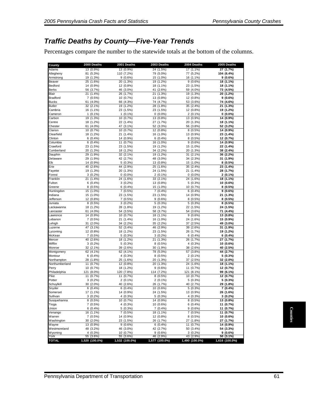### *Traffic Deaths by County—Five-Year Trends*

Percentages compare the number to the statewide totals at the bottom of the columns.

|                         | 2000 Deaths                 | 2001 Deaths                 | 2003 Deaths                 | 2004 Deaths                 | 2005 Deaths                 |
|-------------------------|-----------------------------|-----------------------------|-----------------------------|-----------------------------|-----------------------------|
| Adams                   | 13 (0.9%)                   | 13 (0.9%)                   | 24 (1.5%)                   | 17 (1.1%)                   | 27 (1.7%)                   |
| Allegheny               | 81 (5.3%)                   | 110 (7.2%)                  | 79 (5.0%)                   | 77 (5.2%)                   | 104 (6.4%)                  |
| Armstrong               | 19 (1.3%)                   | $9(0.6\%)$                  | 15 (1.0%)                   | 16 (1.1%)                   | $9(0.6\%)$                  |
| Beaver                  | 25 (1.6%)                   | 20 (1.3%)                   | 19 (1.2%)                   | 9(0.6%)                     | 18 (1.1%)                   |
| Bedford<br><b>Berks</b> | 14 (0.9%)<br>56 (3.7%)      | 12 (0.8%)                   | 18 (1.1%)                   | 23 (1.5%)                   | 18 (1.1%)<br>73 (4.5%)      |
| Blair                   | 21 (1.4%)                   | 46 (3.0%)<br>26 (1.7%)      | 41 (2.6%)<br>21 (1.3%)      | 59 (4.0%)<br>19 (1.3%)      | 20 (1.2%)                   |
| Bradford                | 7(0.5%)                     | 10 (0.7%)                   | 13 (0.8%)                   | 12 (0.8%)                   | $9(0.6\%)$                  |
| <b>Bucks</b>            | 61 (4.0%)                   | 66 (4.3%)                   | 74 (4.7%)                   | 53 (3.6%)                   | 74 (4.6%)                   |
| <b>Butler</b>           | 32(2.1%)                    | 19 (1.2%)                   | 28 (1.8%)                   | 35 (2.4%)                   | 21 (1.3%)                   |
| Cambria                 | 16 (1.1%)                   | 23 (1.5%)                   | 23 (1.5%)                   | 12 (0.8%)                   | 19 (1.2%)                   |
| Cameron                 | $1(0.1\%)$                  | $1(0.1\%)$                  | $0(0.0\%)$                  | $2(0.1\%)$                  | $0(0.0\%)$                  |
| Carbon                  | 19 (1.3%)                   | 10 (0.7%)                   | 13 (0.8%)                   | 13 (0.9%)                   | 14 (0.9%)                   |
| Centre                  | 18 (1.2%)                   | 22 (1.4%)                   | 27 (1.7%)                   | 20 (1.3%)                   | 18 (1.1%)                   |
| Chester                 | 61 (4.0%)                   | 47 (3.1%)                   | 52 (3.3%)                   | 56 (3.8%)                   | 52 (3.2%)                   |
| Clarion<br>Clearfield   | 10 (0.7%)<br>18 (1.2%)      | 10 (0.7%)                   | 12 (0.8%)                   | $8(0.5\%)$                  | 14 (0.9%)                   |
| Clinton                 | 6(0.4%)                     | 21 (1.4%)<br>14 (0.9%)      | 16 (1.0%)<br>$6(0.4\%)$     | 13 (0.9%)<br>$8(0.5\%)$     | 23 (1.4%)<br>12 (0.7%)      |
| Columbia                | 6(0.4%)                     | 11 (0.7%)                   | 16 (1.0%)                   | $9(0.6\%)$                  | 14 (0.9%)                   |
| Crawford                | 23 (1.5%)                   | 23 (1.5%)                   | 19 (1.2%)                   | 15 (1.0%)                   | 22 (1.4%)                   |
| Cumberland              | 20 (1.3%)                   | 18 (1.2%)                   | 34 (2.2%)                   | 20 (1.3%)                   | 38 (2.4%)                   |
| Dauphin                 | $\overline{29}$ (1.9%)      | 32(2.1%)                    | 19 (1.2%)                   | 31 (2.1%)                   | 36 (2.2%)                   |
| Delaware                | 29 (1.9%)                   | 42 (2.7%)                   | 48 (3.0%)                   | 34 (2.3%)                   | 31 (1.9%)                   |
| Elk                     | 14 (0.9%)                   | $5(0.3\%)$                  | 13 (0.8%)                   | 15 (1.0%)                   | $8(0.5\%)$                  |
| Erie                    | 40 (2.6%)                   | 44 (2.9%)                   | 25 (1.6%)                   | 35 (2.4%)                   | 23 (1.4%)                   |
| Fayette                 | 19 (1.3%)                   | 20 (1.3%)                   | 24 (1.5%)                   | 21 (1.4%)                   | 28 (1.7%)                   |
| Forest                  | $3(0.2\%)$                  | $0(0.0\%)$                  | $2(0.1\%)$                  | $0(0.0\%)$                  | $2(0.1\%)$                  |
| Franklin<br>Fulton      | 21(1.4%)                    | 24 (1.6%)                   | 33 (2.1%)                   | 24 (1.6%)                   | 18 (1.1%)                   |
| Greene                  | 6(0.4%)<br>8(0.5%)          | $3(0.2\%)$<br>$6(0.4\%)$    | 13 (0.8%)<br>15 (1.0%)      | $5(0.3\%)$<br>10 (0.7%)     | 10 (0.6%)<br>$8(0.5\%)$     |
| Huntingdon              | 15 (1.0%)                   | 7(0.5%)                     | $7(0.4\%)$                  | 6(0.4%)                     | $9(0.6\%)$                  |
| ndiana                  | 15 (1.0%)                   | 23 (1.5%)                   | 23 (1.5%)                   | 14 (0.9%)                   | 21 (1.3%)                   |
| Jefferson               | 12 (0.8%)                   | 7(0.5%)                     | $9(0.6\%)$                  | $8(0.5\%)$                  | $8(0.5\%)$                  |
| Juniata                 | 8(0.5%)                     | $3(0.2\%)$                  | 5(0.3%)                     | $5(0.3\%)$                  | $8(0.5\%)$                  |
| Lackawanna              | 18 (1.2%)                   | 28 (1.8%)                   | 19 (1.2%)                   | 22 (1.5%)                   | 24 (1.5%)                   |
| .ancaster               | 61 (4.0%)                   | 54 (3.5%)                   | 58 (3.7%)                   | 54 (3.6%)                   | 71 (4.4%)                   |
| _awrence                | 14 (0.9%)                   | 10 (0.7%)                   | 18 (1.1%)                   | $9(0.6\%)$                  | 13 (0.8%)                   |
| Lebanon                 | 7(0.5%)                     | 21 (1.4%)                   | 16 (1.0%)                   | 24 (1.6%)                   | 15 (0.9%)                   |
| _ehigh                  | 31 (2.0%)                   | 34 (2.2%)                   | 35 (2.2%)                   | 37 (2.5%)                   | 49 (3.0%)                   |
| _uzerne                 | 47 (3.1%)                   | 52 (3.4%)                   | 46 (2.9%)                   | 39 (2.6%)                   | 31 (1.9%)                   |
| Lycoming<br>McKean      | 12 (0.8%)<br>7(0.5%)        | 18 (1.2%)<br>5(0.3%)        | 23 (1.5%)<br>$3(0.2\%)$     | 26 (1.7%)<br>6(0.4%)        | 19 (1.2%)<br>6(0.4%)        |
| Mercer                  | 40 (2.6%)                   | 18 (1.2%)                   | 21 (1.3%)                   | 26 (1.7%)                   | 27 (1.7%)                   |
| Mifflin                 | $3(0.2\%)$                  | 5(0.3%)                     | 8(0.5%)                     | $4(0.3\%)$                  | 10 (0.6%)                   |
| Monroe                  | 32 (2.1%)                   | 39 (2.6%)                   | 30 (1.9%)                   | 38 (2.6%)                   | 40 (2.5%)                   |
| Montgomery              | 62 (4.1%)                   | 62 (4.1%)                   | 78 (5.0%)                   | 57 (3.8%)                   | 44 (2.7%)                   |
| Montour                 | 6(0.4%)                     | $4(0.3\%)$                  | $8(0.5\%)$                  | $2(0.1\%)$                  | $5(0.3\%)$                  |
| Northampton             | 28 (1.8%)                   | 25 (1.6%)                   | 20 (1.3%)                   | 37 (2.5%)                   | 32 (2.0%)                   |
| Northumberland          | 11 (0.7%)                   | 12 (0.8%)                   | 20 (1.3%)                   | 24 (1.6%)                   | 18 (1.1%)                   |
| Perry                   | 10 (0.7%)                   | 18 (1.2%)                   | 9(0.6%)                     | 11 (0.7%)                   | 12 (0.7%)                   |
| Philadelphia            | 121 (8.0%)                  | 120 (7.8%)                  | 114 (7.2%)                  | 121 (8.1%)                  | 99 (6.1%)                   |
| Pike                    | 11 (0.7%)                   | 11 (0.7%)                   | 8(0.5%)                     | 10 (0.7%)                   | 12 (0.7%)                   |
| Potter                  | $3(0.2\%)$                  | $2(0.1\%)$                  | $2(0.1\%)$                  | $5(0.3\%)$                  | $5(0.3\%)$                  |
| Schuylkill<br>Snyder    | 30 (2.0%)<br>6(0.4%)        | 40 (2.6%)<br>$6(0.4\%)$     | 26 (1.7%)<br>10 (0.6%)      | 40 (2.7%)<br>$5(0.3\%)$     | 29 (1.8%)<br>7 (0.4%)       |
| Somerset                | 17 (1.1%)                   | 14 (0.9%)                   | 24 (1.5%)                   | 13 (0.9%)                   | 26 (1.6%)                   |
| Sullivan                | $3(0.2\%)$                  | $4(0.3\%)$                  | 5(0.3%)                     | 4 (0.3%)                    | $3(0.2\%)$                  |
| Susquehanna             | $8(0.5\%)$                  | 10 (0.7%)                   | 14 (0.9%)                   | $8(0.5\%)$                  | 13 (0.8%)                   |
| Tioga                   | $7(0.5\%)$                  | $4(0.3\%)$                  | 10 (0.6%)                   | $6(0.4\%)$                  | 11 (0.7%)                   |
| Union                   | 6(0.4%)                     | $5(0.3\%)$                  | $7(0.4\%)$                  | $9(0.6\%)$                  | 11 (0.7%)                   |
| Venango                 | 16 (1.1%)                   | $7(0.5\%)$                  | 18 (1.1%)                   | $7(0.5\%)$                  | 11 (0.7%)                   |
| Warren                  | $7(0.5\%)$                  | 14 (0.9%)                   | 12 (0.8%)                   | $8(0.5\%)$                  | 10 (0.6%)                   |
| Washington              | 30 (2.0%)                   | 23 (1.5%)                   | 26 (1.7%)                   | 27 (1.8%)                   | 27 (1.7%)                   |
| Wayne                   | 13 (0.9%)                   | $9(0.6\%)$                  | $6(0.4\%)$                  | 11 $(0.7\%)$                | 14 (0.9%)                   |
| Westmoreland            | 48 (3.2%)                   | 46 (3.0%)                   | 42 (2.7%)                   | 50 (3.4%)                   | 54 (3.3%)                   |
| Wyoming                 | 4(0.3%)                     | 10 (0.7%)                   | 9(0.6%)                     | $3(0.2\%)$                  | $9(0.6\%)$                  |
|                         | 55 (3.6%)<br>1,520 (100.0%) | 55 (3.6%)<br>1,532 (100.0%) | 46 (2.9%)<br>1,577 (100.0%) | 43 (2.9%)<br>1,490 (100.0%) | 50 (3.1%)<br>1,616 (100.0%) |
| York<br><b>TOTAL</b>    |                             |                             |                             |                             |                             |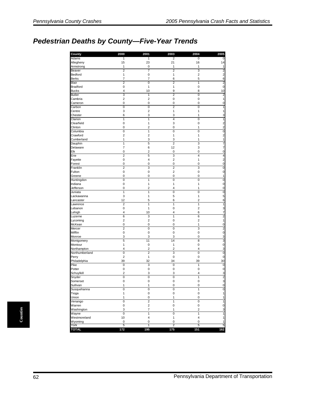## *Pedestrian Deaths by County—Five-Year Trends*

| County             | 2000                    | 2001                    | 2003                | 2004                | 2005                                      |
|--------------------|-------------------------|-------------------------|---------------------|---------------------|-------------------------------------------|
| Adams              | 1                       | 1                       | 2                   | 0                   | 0                                         |
| Allegheny          | 15                      | 23                      | 21                  | 16                  | 14                                        |
| Armstrong          | 1                       | 0                       | 1                   | 1                   | 1                                         |
| Beaver             | $\overline{2}$          | $\overline{7}$          | $\overline{2}$      | 3                   | $\overline{\mathbf{c}}$                   |
| Bedford            | 1                       | 0                       | 1                   | $\overline{c}$      | $\overline{\mathbf{c}}$                   |
| <b>Berks</b>       | 7                       | 7                       | 6                   | 5                   | 6                                         |
| Blair              | $\overline{2}$          | $\overline{0}$          | $\overline{2}$      | $\overline{1}$      | $\overline{\mathbf{c}}$                   |
| <b>Bradford</b>    | 0                       | 1                       | 1                   | 0                   | $\mathbf 0$                               |
| <b>Bucks</b>       | 4                       | 10                      | 9                   | 8                   | 10                                        |
| <b>Butler</b>      | 3                       | 1                       | 2                   | 0                   | $\overline{\mathbf{c}}$                   |
| Cambria            | $\overline{2}$          | $\overline{2}$          | 0                   | $\mathbf 0$         | 1                                         |
| Cameron            | $\mathbf 0$             | 0                       | 0                   | $\mathbf{0}$        | 0                                         |
| Carbon             | 0                       | 0                       | $\overline{2}$      | 0                   | 1                                         |
| Centre             | 3                       | $\overline{\mathbf{c}}$ | 1                   | 1                   | 1                                         |
| Chester            | 6                       | 3                       | 3                   | 1                   | 3                                         |
| Clarion            | $\overline{1}$          | $\overline{1}$          | $\overline{4}$      | $\overline{0}$      | $\overline{1}$                            |
| Clearfield         | 0                       | 1                       | 3                   | 0                   | $\overline{\mathbf{c}}$<br>$\overline{c}$ |
| Clinton            | 0                       | $\overline{2}$          | 0                   | 1                   |                                           |
| Columbia           | $\overline{0}$          | 1                       | 0                   | $\overline{0}$      | 0                                         |
| Crawford           | $\overline{\mathbf{c}}$ | 2                       | 1                   | 1                   | 2                                         |
| Cumberland         | 1                       | 3                       | 3                   | 1                   | 1                                         |
| Dauphin            | 1                       | 5                       | $\overline{2}$      | 3                   | 7                                         |
| Delaware           | $\overline{7}$          | 6                       | 12                  | 3                   | 7                                         |
| Elk                | 0                       | $\overline{2}$          | 0                   | 0<br>$\overline{4}$ | 0                                         |
| Erie               | $\overline{2}$          | 5                       | 3                   |                     | 4                                         |
| Fayette            | 0<br>0                  | 4<br>$\mathbf 0$        | $\overline{2}$<br>0 | 1                   | $\overline{\mathbf{c}}$                   |
| Forest             | $\overline{2}$          |                         |                     | 0<br>3              | 0                                         |
| Franklin<br>Fulton |                         | 3<br>$\mathbf 0$        | 2<br>$\overline{2}$ | $\mathbf 0$         | 0                                         |
| Greene             | 0<br>0                  | $\mathbf 0$             | 0                   | $\mathbf 0$         | 0                                         |
| Huntingdon         | 0                       | 1                       | 0                   | 0                   | 1<br>0                                    |
| Indiana            | 0                       | 1                       | 1                   | 1                   | 0                                         |
| Jefferson          | 0                       | $\overline{2}$          | 4                   | 1                   | 0                                         |
| Juniata            | $\overline{1}$          | $\overline{1}$          | $\overline{0}$      | $\overline{0}$      | $\overline{0}$                            |
| Lackawanna         | 3                       | 1                       | 5                   | 1                   | 5                                         |
| Lancaster          | 12                      | 5                       | 6                   | 2                   | 6                                         |
| Lawrence           | $\overline{2}$          | $\mathbf{1}$            | 1                   | 1                   | 1                                         |
| Lebanon            | 0                       | 1                       | 0                   | $\overline{2}$      | 3                                         |
| Lehigh             | 4                       | 10                      | 4                   | 6                   | 7                                         |
| Luzerne            | 6                       | 3                       | 1                   | 6                   | $\overline{c}$                            |
| Lycoming           | $\overline{2}$          | $\overline{2}$          | 0                   | $\overline{2}$      | 1                                         |
| McKean             | 0                       | 0                       | 0                   | 1                   | 0                                         |
| Mercer             | $\overline{2}$          | $\overline{0}$          | Ō                   | 3                   | 2                                         |
| Mifflin            | 0                       | $\mathbf 0$             | 0                   | 0                   | 0                                         |
| Monroe             | 3                       | 3                       | 3                   | 0                   | 3                                         |
| Montgomery         | 5                       | 11                      | 14                  | 8                   | 3                                         |
| Montour            | 1                       | 0                       | 1                   | 0                   | 0                                         |
| Northampton        | 4                       | $\overline{2}$          | $\overline{2}$      | 4                   | 3                                         |
| Northumberland     | 0                       | $\overline{2}$          | 3                   | 0                   | 0                                         |
| Perry              | $\overline{\mathbf{c}}$ | 1                       | 0                   | 0                   | $\pmb{0}$                                 |
| Philadelphia       | 39                      | 32                      | 34                  | 39                  | 30                                        |
| Pike               | $\overline{0}$          | 3                       | 0                   | $\overline{1}$      | 0                                         |
| Potter             | 0                       | 0                       | 0                   | 0                   | 0                                         |
| Schuylkill         | $\overline{\mathbf{c}}$ | 3                       | 3                   | 4                   | 3                                         |
| Snyder             | $\mathbf 0$             | $\mathbf 0$             | $\overline{0}$      | $\mathbf{1}$        | $\overline{\mathbf{c}}$                   |
| Somerset           | 0                       | 0                       | 0                   | 0                   | з                                         |
| Sullivan           | 1                       | 1                       | 0                   | 0                   | $\mathbf 0$                               |
| Susquehanna        | $\mathbf 0$             | $\mathbf 0$             | 0                   | $\mathbf{1}$        | $\mathbf 0$                               |
| Tioga              | $\mathbf{1}$            | $\pmb{0}$               | $\pmb{0}$           | $\pmb{0}$           | $\mathbf{1}$                              |
| Union              | 1                       | 0                       | 1                   | 0                   | $\mathbf{1}$                              |
| Venango            | $\overline{0}$          | $\overline{2}$          | $\overline{1}$      | 0                   | 1                                         |
| Warren             | 0                       | $\overline{2}$          | 0                   | 0                   | $\circ$                                   |
| Washington         | 3                       | 7                       | 1                   | $\overline{c}$      | $\overline{\mathbf{3}}$                   |
| Wayne              | 0                       | 1                       | 0                   | $\mathbf{1}$        | 1                                         |
| Westmoreland       | 10                      | 4                       | $\mathbf{1}$        | 4                   | $\mathbf{1}$                              |
| Wyoming            | 0                       | 0                       | 0                   | 0                   | 1                                         |
| York               | 5                       | 1                       | 2                   | 5                   | 5                                         |
| <b>TOTAL</b>       | 172                     | 195                     | 175                 | 151                 | 162                                       |

Counties **Counties**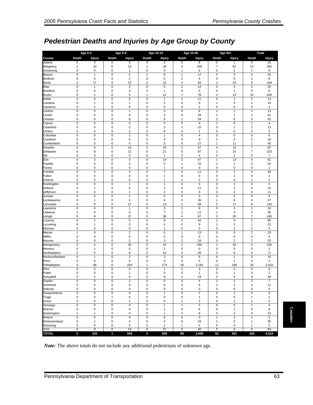# *Pedestrian Deaths and Injuries by Age Group by County*

|                         | <b>Age 0-4</b>                |                                        |                                        | <b>Age 5-9</b>                         |                               | Age 10-14                |                                | Age 15-59            |                                          | Age 60+                      |                              | <b>Total</b>            |
|-------------------------|-------------------------------|----------------------------------------|----------------------------------------|----------------------------------------|-------------------------------|--------------------------|--------------------------------|----------------------|------------------------------------------|------------------------------|------------------------------|-------------------------|
| County                  | Death                         | <b>Injury</b>                          | Death                                  | <b>Injury</b>                          | Death                         | <b>Injury</b>            | Death                          | <b>Injury</b>        | Death                                    | <b>Injury</b>                | Death                        | <b>Injury</b>           |
| Adams                   | 0                             | 0                                      | 0                                      | 5                                      | 0                             | 2                        | 0                              | 8                    | 0                                        | 1                            | $\overline{0}$               | 16                      |
| Allegheny               | $\overline{\mathbf{c}}$       | 10                                     | 0                                      | 23                                     | $\mathbf{1}$                  | 39                       | 4                              | 259                  | 7                                        | 61                           | 14                           | 392                     |
| Armstrong               | 0                             | $\mathbf 0$                            | 0                                      | $\mathbf{1}$                           | $\mathbf 0$                   | $\mathbf 0$              | 1                              | 6                    | 0                                        | 2                            | 1                            | 9                       |
| Beaver                  | $\overline{0}$<br>$\pmb{0}$   | $\overline{1}$<br>$\mathbf 0$          | $\overline{0}$<br>$\pmb{0}$            | $\overline{2}$<br>$\overline{c}$       | 1<br>$\mathbf 0$              | $\pmb{0}$<br>$\mathbf 0$ | 1<br>$\overline{2}$            | 17                   | $\mathbf 0$<br>$\pmb{0}$                 | 3<br>$\pmb{0}$               | $\overline{2}$<br>$\sqrt{2}$ | 23                      |
| Bedford<br><b>Berks</b> | 0                             | 17                                     | 0                                      | 23                                     | $\mathbf 0$                   | 22                       | 4                              | 4<br>83              | $\overline{\mathbf{c}}$                  | 24                           | 6                            | 6<br>169                |
| Blair                   | 0                             | 1                                      | $\pmb{0}$                              | $\sqrt{2}$                             | $\mathbf 0$                   | 5                        | $\overline{\mathbf{c}}$        | 14                   | 0                                        | 3                            | $\sqrt{2}$                   | 25                      |
| <b>Bradford</b>         | $\mathbf 0$                   | $\mathbf 0$                            | $\mathbf 0$                            | $\sqrt{2}$                             | $\mathbf 0$                   | $\mathbf{1}$             | $\mathbf 0$                    | 4                    | $\mathsf 0$                              | 1                            | $\pmb{0}$                    | 8                       |
| <b>Bucks</b>            | $\mathbf 0$                   | $\mathbf{1}$                           | $\mathbf 0$                            | 5                                      | $\mathbf{1}$                  | 12                       | $\overline{7}$                 | 78                   | $\overline{2}$                           | 13                           | 10                           | 109                     |
| <b>Butler</b>           | 0                             | $\pmb{0}$                              | 0                                      | $\pmb{0}$                              | $\mathbf 0$                   | $\mathbf{1}$             | $\overline{\mathbf{c}}$        | 11                   | $\mathbf 0$                              | 1                            | $\overline{\mathbf{c}}$      | 13                      |
| Cambria                 | 0                             | $\mathbf{1}$                           | $\mathbf 0$                            | $\overline{1}$                         | $\mathbf 0$                   | $\sqrt{2}$               | 0                              | 9                    | 1                                        | 3                            | $\mathbf{1}$                 | 16                      |
| Cameron<br>Carbon       | 0<br>$\overline{0}$           | 1<br>$\mathbf 0$                       | $\mathbf 0$<br>0                       | $\mathbf 0$<br>$\mathbf{1}$            | $\mathbf 0$<br>$\mathbf 0$    | 0<br>3                   | $\mathbf 0$<br>0               | $\overline{2}$<br>8  | 0<br>1                                   | 0<br>1                       | $\mathsf 0$<br>$\mathbf{1}$  | 3<br>13                 |
| Centre                  | 0                             | $\mathbf 0$                            | $\pmb{0}$                              | $\mathbf 0$                            | $\mathbf 0$                   | $\overline{2}$           | 0                              | 28                   | 1                                        | 1                            | $\mathbf{1}$                 | 31                      |
| Chester                 | 0                             | $\mathbf 0$                            | 0                                      | 6                                      | $\mathbf 0$                   | 9                        | 1                              | 34                   | $\overline{2}$                           | 6                            | 3                            | 55                      |
| Clarion                 | $\mathbf 0$                   | $\mathbf 0$                            | 0                                      | $\mathbf 0$                            | $\mathbf 0$                   | $\mathbf 0$              | 0                              | 4                    | 1                                        | 0                            | $\mathbf{1}$                 | $\overline{4}$          |
| Clearfield              | 0                             | $\mathbf 0$                            | 0                                      | $\mathbf 0$                            | $\mathbf 0$                   | $\overline{\mathbf{c}}$  | $\overline{\mathbf{c}}$        | 10                   | $\mathbf 0$                              | 1                            | $\overline{\mathbf{c}}$      | 13                      |
| Clinton                 | 0                             | $\pmb{0}$                              | 0                                      | $\overline{2}$                         | $\mathbf 0$                   | $\mathbf 0$              | $\overline{2}$                 | 1                    | $\pmb{0}$                                | 0                            | $\sqrt{2}$                   | 3                       |
| Columbia                | $\overline{0}$                | $\overline{0}$                         | $\overline{0}$                         | $\mathbf{1}$                           | $\overline{0}$                | $\mathbf{1}$             | $\overline{0}$                 | $\overline{4}$       | $\overline{0}$                           | $\pmb{0}$                    | $\overline{0}$               | $6\phantom{1}6$         |
| Crawford<br>Cumberland  | 0<br>0                        | $\mathbf 0$<br>$\mathbf 0$             | 0<br>$\pmb{0}$                         | $\mathbf 0$<br>4                       | $\mathbf 0$<br>$\mathbf 0$    | $\overline{4}$<br>3      | 0<br>$\mathbf 0$               | 9<br>27              | $\overline{\mathbf{c}}$<br>1             | 3<br>11                      | $\overline{\mathbf{c}}$<br>1 | 16<br>45                |
| Dauphin                 | $\overline{0}$                | $6\phantom{a}$                         | $\overline{0}$                         | 14                                     | $\mathbf 0$                   | 10                       | 3                              | 37                   | $\overline{4}$                           | 15                           | $\overline{7}$               | 82                      |
| Delaware                | 0                             | 8                                      | 0                                      | 22                                     | $\mathbf 0$                   | 21                       | 5                              | 87                   | $\overline{\mathbf{c}}$                  | 15                           | 7                            | 153                     |
| Elk                     | 0                             | $\pmb{0}$                              | 0                                      | $\pmb{0}$                              | $\pmb{0}$                     | $\mathbf{1}$             | $\mathbf 0$                    | 4                    | $\pmb{0}$                                | 2                            | $\pmb{0}$                    | 7                       |
| Erie                    | 0                             | 3                                      | 0                                      | $\sqrt{4}$                             | $\mathbf 0$                   | 14                       | 3                              | 47                   | $\mathbf{1}$                             | 13                           | $\overline{4}$               | 81                      |
| Fayette                 | 0                             | $\mathbf 0$                            | $\mathbf 0$                            | $\overline{2}$                         | $\mathbf 0$                   | $\overline{2}$           | 1                              | 15                   | 1                                        | 1                            | $\overline{2}$               | 20                      |
| Forest                  | $\mathbf 0$                   | $\mathbf 0$                            | 0                                      | $\mathbf 0$                            | 0                             | $\mathbf{1}$             | 0                              | 0                    | $\mathbf 0$                              | 0                            | $\mathsf 0$                  | $\mathbf{1}$            |
| Franklin<br>Fulton      | 0<br>0                        | $\overline{\mathbf{c}}$<br>$\mathbf 0$ | 0<br>0                                 | $\overline{4}$<br>$\pmb{0}$            | $\mathbf 0$<br>$\mathbf 0$    | 7<br>$\mathbf{1}$        | $\mathbf 0$<br>0               | 11<br>0              | $\pmb{0}$<br>0                           | $\overline{\mathbf{c}}$<br>1 | $\pmb{0}$<br>$\mathsf 0$     | 26<br>$\overline{2}$    |
| Greene                  | 0                             | $\mathbf 0$                            | 0                                      | $\mathbf 0$                            | $\mathbf 0$                   | $\mathbf{1}$             | 1                              | $\overline{2}$       | 0                                        | 0                            | $\mathbf{1}$                 | 3                       |
| Huntingdon              | 0                             | $\mathbf 0$                            | 0                                      | $\overline{1}$                         | $\mathbf 0$                   | $\mathbf{1}$             | $\mathbf 0$                    | 0                    | $\pmb{0}$                                | 1                            | $\mathsf 0$                  | 3                       |
| Indiana                 | 0                             | $\mathbf{1}$                           | $\pmb{0}$                              | $\pmb{0}$                              | $\mathbf 0$                   | $\mathbf{1}$             | 0                              | 11                   | $\pmb{0}$                                | $\overline{\mathbf{c}}$      | $\pmb{0}$                    | 15                      |
| Jefferson               | 0                             | $\mathbf 0$                            | 0                                      | $\mathbf{1}$                           | $\mathbf 0$                   | $\overline{\mathbf{c}}$  | 0                              | 5                    | 0                                        | 3                            | $\mathsf 0$                  | 11                      |
| Juniata                 | $\mathbf 0$                   | $\mathbf 0$                            | $\mathbf 0$                            | $\overline{1}$                         | $\mathbf 0$                   | $\mathbf 0$              | $\mathbf 0$                    | 3                    | $\pmb{0}$                                | $\overline{2}$               | $\mathsf 0$                  | 6                       |
| Lackawanna              | 0                             | $\mathbf{1}$                           | $\pmb{0}$                              | 6                                      | $\mathbf 0$                   | 6                        | 3                              | 36                   | 1                                        | 8                            | 4                            | 57                      |
| Lancaster<br>Lawrence   | 0<br>$\overline{0}$           | 9<br>$\overline{0}$                    | 0<br>$\overline{0}$                    | 27<br>$\overline{1}$                   | $\mathbf 0$<br>$\overline{0}$ | 13<br>$\overline{3}$     | 1<br>1                         | 68<br>$\overline{9}$ | 5<br>$\overline{0}$                      | 17<br>3                      | 6<br>$\overline{1}$          | 134<br>16               |
| Lebanon                 | 1                             | $\mathbf 0$                            | 0                                      | 5                                      | $\mathbf 0$                   | 7                        | 1                              | 11                   | $\mathbf{1}$                             | 3                            | 3                            | 26                      |
| Lehigh                  | 0                             | 8                                      | 0                                      | 27                                     | $\mathbf 0$                   | 38                       | 4                              | 87                   | 3                                        | 20                           | 7                            | 180                     |
| Luzerne                 | $\mathbf 0$                   | 1                                      | $\mathbf 0$                            | 5                                      | $\mathbf 0$                   | 8                        | $\overline{1}$                 | 42                   | $\mathbf{1}$                             | 9                            | $\overline{2}$               | 65                      |
| Lycoming                | 0                             | $\mathbf{1}$                           | 0                                      | 5                                      | $\mathbf 0$                   | 4                        | 0                              | 9                    | 1                                        | 3                            | 1                            | 22                      |
| McKean                  | 0                             | $\mathbf 0$                            | 0                                      | $\mathbf 0$                            | 0                             | 1                        | 0                              | 3                    | 0                                        | 1                            | $\pmb{0}$                    | 5                       |
| Mercer                  | 1                             | $\overline{0}$                         | $\mathbf 0$                            | $\overline{c}$                         | $\mathbf 0$                   | 5                        | 1                              | 13                   | 0                                        | 3                            | $\overline{c}$               | 23                      |
| Mifflin<br>Monroe       | $\mathbf 0$<br>0              | $\mathbf 0$<br>0                       | $\mathbf 0$<br>0                       | $\mathbf 0$<br>$\overline{\mathbf{c}}$ | $\mathbf 0$<br>$\mathbf 0$    | $\mathbf 0$<br>3         | 0<br>2                         | $\mathbf 0$<br>18    | 0<br>0                                   | 0<br>$\overline{2}$          | $\pmb{0}$<br>2               | $\pmb{0}$<br>25         |
| Montgomery              | 0                             | 4                                      | 0                                      | 20                                     | $\mathbf 0$                   | 24                       | $\overline{c}$                 | 160                  | $\mathbf{1}$                             | 18                           | 3                            | 226                     |
| Montour                 | 0                             | $\mathbf{1}$                           | 0                                      | $\pmb{0}$                              | $\mathbf 0$                   | $\overline{1}$           | 0                              | $\mathbf 0$          | $\pmb{0}$                                | 0                            | $\pmb{0}$                    | $\overline{\mathbf{c}}$ |
| Northampton             | 0                             | 5                                      | 0                                      | 8                                      | $\mathbf 0$                   | 10                       | 0                              | 39                   | 3                                        | 9                            | 3                            | 71                      |
| Northumberland          | 0                             | 1                                      | 0                                      | $\overline{2}$                         | $\mathbf 0$                   | 3                        | $\mathbf 0$                    | 9                    | 0                                        | 1                            | $\pmb{0}$                    | 16                      |
| Perry                   | 0                             | $\pmb{0}$                              | $\pmb{0}$                              | $\mathbf 0$                            | $\mathbf 0$                   | 0                        | $\mathbf 0$                    | 3                    | $\pmb{0}$                                | $\mathbf{1}$                 | $\pmb{0}$                    | $\overline{4}$          |
| Philadelphia<br>Pike    | 0<br>$\overline{0}$           | 98<br>$\overline{0}$                   | 0<br>$\overline{0}$                    | 284<br>$\pmb{0}$                       | 1<br>$\mathbf 0$              | 273<br>$\mathbf{1}$      | 18<br>0                        | 1,181<br>3           | 11<br>$\pmb{0}$                          | 188<br>$\overline{2}$        | 30<br>$\mathsf 0$            | 2,024<br>6              |
| Potter                  | 0                             | $\mathbf 0$                            | 0                                      | $\mathbf{1}$                           | $\mathbf 0$                   | $\mathbf 0$              | $\mathbf 0$                    | 1                    | $\pmb{0}$                                | 1                            | $\pmb{0}$                    | 3                       |
| Schuylkill              | $\Omega$                      | $\overline{2}$                         | $\mathbf 0$                            | $\overline{4}$                         | $\Omega$                      | 9                        | 1                              | 19                   | $\overline{2}$                           | 4                            | 3                            | 38                      |
| Snyder                  | 0                             | $\pmb{0}$                              | 0                                      | $\overline{2}$                         | $\pmb{0}$                     | 0                        | 0                              | 4                    | $\overline{c}$                           | 1                            | $\overline{c}$               | $\overline{7}$          |
| Somerset                | $\mathbf 0$                   | $\pmb{0}$                              | $\pmb{0}$                              | $\mathbf 0$                            | $\pmb{0}$                     | $\mathbf 0$              | $\sqrt{2}$                     | 9                    | 1                                        | $\overline{\mathbf{c}}$      | 3                            | 11                      |
| Sullivan                | 0                             | $\pmb{0}$                              | $\mathbf 0$                            | $\pmb{0}$                              | $\pmb{0}$                     | $\pmb{0}$                | $\pmb{0}$                      | 0                    | 0                                        | 0                            | $\pmb{0}$                    | $\pmb{0}$               |
| Susquehanna             | $\overline{\text{o}}$         | $\pmb{0}$                              | $\pmb{0}$                              | $\pmb{0}$                              | $\mathbf 0$                   | $\mathbf{1}$             | $\mathbf 0$                    | $\overline{c}$       | 0                                        | $\mathbf{1}$                 | $\pmb{0}$                    | 4                       |
| Tioga<br>Union          | $\pmb{0}$<br>$\mathbf 0$      | $\pmb{0}$<br>$\pmb{0}$                 | $\mathbf{1}$<br>$\mathbf 0$            | $\mathbf 0$<br>$\mathbf{1}$            | $\mathbf 0$<br>$\pmb{0}$      | $\mathbf 0$<br>$\pmb{0}$ | $\pmb{0}$<br>$\mathbf{1}$      | 1<br>3               | 0<br>$\pmb{0}$                           | $\pmb{0}$<br>$\mathbf{1}$    | $\mathbf{1}$<br>$\mathbf{1}$ | $\mathbf{1}$<br>5       |
| Venango                 | $\pmb{0}$                     | $\mathbf 0$                            | $\mathbf 0$                            | $\pmb{0}$                              | $\mathbf 0$                   | $\mathbf{1}$             | $\overline{1}$                 | 3                    | $\mathsf 0$                              | $\mathbf 0$                  | $\mathbf{1}$                 | 4                       |
| Warren                  | $\pmb{0}$                     | $\pmb{0}$                              | $\pmb{0}$                              | $\mathbf 0$                            | $\mathbf 0$                   | $\mathbf{1}$             | $\mathbf 0$                    | 6                    | $\mathsf 0$                              | $\mathbf{1}$                 | $\mathbf 0$                  | 8                       |
| Washington              | 1                             | 1                                      | $\mathbf 0$                            | $\pmb{0}$                              | $\pmb{0}$                     | $\mathbf{1}$             | $\mathbf 2$                    | 8                    | 0                                        | 2                            | 3                            | 12                      |
| Wayne                   | $\overline{\mathfrak{o}}$     | $\overline{0}$                         | $\overline{0}$                         | $\pmb{0}$                              | $\mathbf 0$                   | $\mathbf 0$              | 0                              | 3                    | $\mathbf{1}$                             | $\overline{\mathbf{2}}$      | $\mathbf{1}$                 | 5                       |
| Westmoreland            | $\pmb{0}$                     | $\mathbf{1}$                           | $\pmb{0}$                              | $\sqrt{4}$                             | $\pmb{0}$                     | $\overline{4}$           | $\pmb{0}$                      | 24                   | $\mathbf{1}$                             | $\overline{\mathbf{c}}$      | $\mathbf{1}$                 | 35                      |
| Wyoming<br>York         | $\mathbf 0$<br>$\overline{0}$ | $\mathbf 0$<br>$\overline{9}$          | $\pmb{0}$<br>$\overline{\mathfrak{o}}$ | $\mathbf 0$<br>14                      | $\mathbf 0$<br>$\overline{0}$ | $\mathbf{1}$<br>21       | $\mathbf{1}$<br>$\overline{5}$ | 4<br>46              | $\mathbf 0$<br>$\overline{\mathfrak{o}}$ | 0<br>$\overline{4}$          | $\mathbf{1}$<br>5            | 5<br>94                 |
| <b>TOTAL</b>            | 5                             | 194                                    | 1                                      | 549                                    | 4                             | 609                      | 88                             | 2,666                | 62                                       | 501                          | 160                          | 4,519                   |

**Counties Counties** 

*Note:* The above totals do not include any additional pedestrians of unknown age.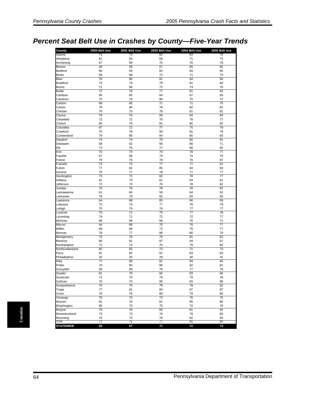# *Percent Seat Belt Use in Crashes by County—Five-Year Trends*

| County           | 2000 Belt Use   | 2001 Belt Use   | 2003 Belt Use   | 2004 Belt Use | 2005 Belt Use |
|------------------|-----------------|-----------------|-----------------|---------------|---------------|
| Adams            | 71              | 73              | 82              | 83            | 78            |
| Allegheny        | 61              | 63              | 68              | 71            | 73            |
| Armstrong        | 67              | 69              | 75              | 76            | 78            |
| Beaver           | 49              | 56              | 57              | 65            | 65            |
| <b>Bedford</b>   | 80              | 83              | 82              | 84            | 85            |
| <b>Berks</b>     | 66              | 66              | 72              | 71            | 73            |
| Blair            | 78              | 80              | 81              | 84            | 84            |
| <b>Bradford</b>  | 75              | 78              | 79              | 81            | 83            |
| <b>Bucks</b>     | 71              | 69              | 72              | 74            | 76            |
| <b>Butler</b>    | 72              | 76              | 77              | 81            | 83            |
| Cambria          | 65              | 65              | 64              | 67            | 69            |
| Cameron          | 70              | 79              | 80              | 75            | 72            |
| Carbon           | 68              | 66              | 71              | 71            | 75            |
| Centre           | 79              | 80              | 79              | 82            | 82            |
| Chester          | 76              | 75              | 78              | 81            | 81            |
| Clarion          | 79              | 79              | 84              | 84            | 84            |
| Clearfield       | 72              | 72              | 76              | 76            | 77            |
| Clinton          | 80              | 79              | 81              | 85            | 82            |
| Columbia         | 67              | $\overline{72}$ | $\overline{77}$ | 75            | 78            |
| Crawford         | 75              | 78              | 80              | 81            | 79            |
| Cumberland       | 79              | 80              | 84              | 85            | 83            |
| Dauphin          | 74              | 74              | 79              | 80            | 81            |
| Delaware         | 58              | 62              | 66              | 66            | 71            |
| Elk              | 73              | 76              | 77              | 80            | 82            |
| Erie             | 70              | 74              | 74              | 78            | 77            |
| Fayette          | 67              | 68              | 74              | 74            | 78            |
| Forest           | 79              | 76              | 78              | 70            | 87            |
| Franklin         | 75              | 75              | 77              | 77            | 81            |
| Fulton           | 77              | 82              | 85              | 84            | 83            |
| Greene           | 75              | 77              | 78              | 77            | 77            |
| Huntingdon       | 73              | 73              | 82              | 78            | 77            |
| Indiana          | 81              | 79              | 81              | 83            | 81            |
| Jefferson        | 72              | 73              | 76              | 78            | 82            |
| Juniata          | 70              | 76              | 78              | 78            | 82            |
| Lackawanna       | 61              | 60              | 59              | 64            | 62            |
| Lancaster        | 78              | 79              | 82              | 83            | 83            |
| Lawrence         | 64              | 68              | 65              | 66            | 69            |
| Lebanon          | 72              | 74              | 77              | 78            | 79            |
| Lehigh           | 75              | 76              | 76              | 77            | 77            |
| Luzerne          | 70              | 71              | 75              | 77            | 78            |
| Lycoming         | 74              | 71              | 72              | 72            | 77            |
| McKean           | 68              | 69              | 68              | 76            | 71            |
| Mercer           | 64              | 68              | 70              | 76            | 77            |
| Mifflin          | 68              | 69              | 72              | 76            | 77            |
| Monroe           | 78              | 77              | 80              | 80            | 79            |
| Montgomery       | 75              | 76              | 79              | 81            | 82            |
| Montour          | 80              | 81              | 87              | 84            | 87            |
| Northampton      | 72              | 73              | 75              | 79            | 80            |
| Northumberland   | 65              | 65              | 73              | 71            | 73            |
| Perry            | 81              | 82              | 81              | 83            | 83            |
| Philadelphia     | 20              | 25              | 29              | 30            | 31            |
| Pike             | $\overline{77}$ | 80              | 81              | 84            | 84            |
| Potter           | 79              | 80              | 80              | 82            | 81            |
| Schuylkill       | 69              | 69              | 79              | 77            | 78            |
| Snyder           | 81              | 76              | 82              | 83            | 84            |
| Somerset         | 72              | 70              | 79              | 79            | 78            |
| Sullivan         | 76              | 70              | 80              | 83            | 88            |
| Susquehanna      | 75              | 75              | 79              | 79            | 82            |
| Tioga            | 77              | 81              | 84              | 87            | 87            |
| Union            | 76              | 76              | 80              | 79            | 85            |
| Venango          | 70              | 70              | 73              | 76            | 75            |
| Warren           | 81              | 78              | 81              | 85            | 86            |
| Washington       | 69              | 70              | 75              | 72            | 78            |
| Wayne            | 79              | 76              | 83              | 81            | 82            |
| Westmoreland     | 73              | 73              | 76              | 78            | 80            |
| Wyoming          | 75              | 73              | 78              | 82            | 83            |
| York             | 73              | 75              | 77              | 81            | 80            |
| <b>STATEWIDE</b> | 65              | 67              | 71              | 72            | 73            |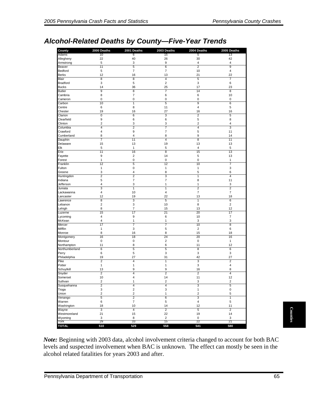# *Alcohol-Related Deaths by County—Five-Year Trends*

| 40<br>3<br>$\,$ 5 $\,$<br>$\overline{7}$<br>16<br>8<br>$\sqrt{5}$<br>36<br>$\overline{8}$<br>$\overline{7}$<br>0<br>$\mathbf{1}$<br>8<br>16<br>6<br>6<br>3<br>$\overline{\mathbf{c}}$<br>9<br>$\overline{\mathbf{4}}$<br>11<br>13<br>$\mathbf{1}$<br>16<br>$\overline{\mathbf{c}}$<br>0<br>5<br>0<br>$\overline{\mathbf{4}}$<br>$\overline{2}$<br>$\overline{7}$<br>3<br>1<br>10<br>19 | 26<br>$\boldsymbol{9}$<br>6<br>$\overline{7}$<br>13<br>$\overline{4}$<br>$\overline{c}$<br>25<br>7<br>6<br>$\pmb{0}$<br>5<br>11<br>27<br>$\sqrt{3}$<br>$\,6\,$<br>3<br>$\overline{7}$<br>$\overline{7}$<br>8<br>4<br>19<br>5<br>$\bf8$<br>14<br>$\pmb{0}$<br>12<br>1<br>8<br>3<br>$\overline{\mathcal{I}}$<br>$\mathbf{1}$ | 30<br>$\overline{4}$<br>$\overline{2}$<br>10<br>21<br>$\overline{5}$<br>3<br>17<br>14<br>$\,6\,$<br>$\mathbf 0$<br>9<br>$\overline{4}$<br>16<br>$\overline{c}$<br>$\sqrt{5}$<br>$\overline{2}$<br>$\overline{4}$<br>$\sqrt{5}$<br>9<br>8<br>13<br>$\overline{4}$<br>15<br>5<br>$\pmb{0}$<br>10<br>$\mathbf{1}$<br>$\sqrt{5}$<br>$\mathbf{1}$<br>8 | 42<br>$\overline{4}$<br>$\boldsymbol{9}$<br>$\overline{4}$<br>22<br>$\overline{7}$<br>6<br>23<br>8<br>10<br>$\pmb{0}$<br>6<br>$\sqrt{5}$<br>16<br>$\sqrt{5}$<br>8<br>$\overline{\mathbf{4}}$<br>$\overline{3}$<br>11<br>14<br>11<br>13<br>5<br>13<br>13<br>$\mathbf{1}$<br>7<br>$\ensuremath{\mathsf{3}}$<br>$\,6\,$<br>$\overline{4}$ |                                                                                                                                                          |
|----------------------------------------------------------------------------------------------------------------------------------------------------------------------------------------------------------------------------------------------------------------------------------------------------------------------------------------------------------------------------------------|----------------------------------------------------------------------------------------------------------------------------------------------------------------------------------------------------------------------------------------------------------------------------------------------------------------------------|---------------------------------------------------------------------------------------------------------------------------------------------------------------------------------------------------------------------------------------------------------------------------------------------------------------------------------------------------|----------------------------------------------------------------------------------------------------------------------------------------------------------------------------------------------------------------------------------------------------------------------------------------------------------------------------------------|----------------------------------------------------------------------------------------------------------------------------------------------------------|
|                                                                                                                                                                                                                                                                                                                                                                                        |                                                                                                                                                                                                                                                                                                                            |                                                                                                                                                                                                                                                                                                                                                   |                                                                                                                                                                                                                                                                                                                                        |                                                                                                                                                          |
|                                                                                                                                                                                                                                                                                                                                                                                        |                                                                                                                                                                                                                                                                                                                            |                                                                                                                                                                                                                                                                                                                                                   |                                                                                                                                                                                                                                                                                                                                        |                                                                                                                                                          |
|                                                                                                                                                                                                                                                                                                                                                                                        |                                                                                                                                                                                                                                                                                                                            |                                                                                                                                                                                                                                                                                                                                                   |                                                                                                                                                                                                                                                                                                                                        |                                                                                                                                                          |
|                                                                                                                                                                                                                                                                                                                                                                                        |                                                                                                                                                                                                                                                                                                                            |                                                                                                                                                                                                                                                                                                                                                   |                                                                                                                                                                                                                                                                                                                                        |                                                                                                                                                          |
|                                                                                                                                                                                                                                                                                                                                                                                        |                                                                                                                                                                                                                                                                                                                            |                                                                                                                                                                                                                                                                                                                                                   |                                                                                                                                                                                                                                                                                                                                        |                                                                                                                                                          |
|                                                                                                                                                                                                                                                                                                                                                                                        |                                                                                                                                                                                                                                                                                                                            |                                                                                                                                                                                                                                                                                                                                                   |                                                                                                                                                                                                                                                                                                                                        |                                                                                                                                                          |
|                                                                                                                                                                                                                                                                                                                                                                                        |                                                                                                                                                                                                                                                                                                                            |                                                                                                                                                                                                                                                                                                                                                   |                                                                                                                                                                                                                                                                                                                                        |                                                                                                                                                          |
|                                                                                                                                                                                                                                                                                                                                                                                        |                                                                                                                                                                                                                                                                                                                            |                                                                                                                                                                                                                                                                                                                                                   |                                                                                                                                                                                                                                                                                                                                        |                                                                                                                                                          |
|                                                                                                                                                                                                                                                                                                                                                                                        |                                                                                                                                                                                                                                                                                                                            |                                                                                                                                                                                                                                                                                                                                                   |                                                                                                                                                                                                                                                                                                                                        |                                                                                                                                                          |
|                                                                                                                                                                                                                                                                                                                                                                                        |                                                                                                                                                                                                                                                                                                                            |                                                                                                                                                                                                                                                                                                                                                   |                                                                                                                                                                                                                                                                                                                                        |                                                                                                                                                          |
|                                                                                                                                                                                                                                                                                                                                                                                        |                                                                                                                                                                                                                                                                                                                            |                                                                                                                                                                                                                                                                                                                                                   |                                                                                                                                                                                                                                                                                                                                        |                                                                                                                                                          |
|                                                                                                                                                                                                                                                                                                                                                                                        |                                                                                                                                                                                                                                                                                                                            |                                                                                                                                                                                                                                                                                                                                                   |                                                                                                                                                                                                                                                                                                                                        |                                                                                                                                                          |
|                                                                                                                                                                                                                                                                                                                                                                                        |                                                                                                                                                                                                                                                                                                                            |                                                                                                                                                                                                                                                                                                                                                   |                                                                                                                                                                                                                                                                                                                                        |                                                                                                                                                          |
|                                                                                                                                                                                                                                                                                                                                                                                        |                                                                                                                                                                                                                                                                                                                            |                                                                                                                                                                                                                                                                                                                                                   |                                                                                                                                                                                                                                                                                                                                        |                                                                                                                                                          |
|                                                                                                                                                                                                                                                                                                                                                                                        |                                                                                                                                                                                                                                                                                                                            |                                                                                                                                                                                                                                                                                                                                                   |                                                                                                                                                                                                                                                                                                                                        |                                                                                                                                                          |
|                                                                                                                                                                                                                                                                                                                                                                                        |                                                                                                                                                                                                                                                                                                                            |                                                                                                                                                                                                                                                                                                                                                   |                                                                                                                                                                                                                                                                                                                                        |                                                                                                                                                          |
|                                                                                                                                                                                                                                                                                                                                                                                        |                                                                                                                                                                                                                                                                                                                            |                                                                                                                                                                                                                                                                                                                                                   |                                                                                                                                                                                                                                                                                                                                        |                                                                                                                                                          |
|                                                                                                                                                                                                                                                                                                                                                                                        |                                                                                                                                                                                                                                                                                                                            |                                                                                                                                                                                                                                                                                                                                                   |                                                                                                                                                                                                                                                                                                                                        |                                                                                                                                                          |
|                                                                                                                                                                                                                                                                                                                                                                                        |                                                                                                                                                                                                                                                                                                                            |                                                                                                                                                                                                                                                                                                                                                   |                                                                                                                                                                                                                                                                                                                                        |                                                                                                                                                          |
|                                                                                                                                                                                                                                                                                                                                                                                        |                                                                                                                                                                                                                                                                                                                            |                                                                                                                                                                                                                                                                                                                                                   |                                                                                                                                                                                                                                                                                                                                        |                                                                                                                                                          |
|                                                                                                                                                                                                                                                                                                                                                                                        |                                                                                                                                                                                                                                                                                                                            |                                                                                                                                                                                                                                                                                                                                                   |                                                                                                                                                                                                                                                                                                                                        |                                                                                                                                                          |
|                                                                                                                                                                                                                                                                                                                                                                                        |                                                                                                                                                                                                                                                                                                                            |                                                                                                                                                                                                                                                                                                                                                   |                                                                                                                                                                                                                                                                                                                                        |                                                                                                                                                          |
|                                                                                                                                                                                                                                                                                                                                                                                        |                                                                                                                                                                                                                                                                                                                            |                                                                                                                                                                                                                                                                                                                                                   |                                                                                                                                                                                                                                                                                                                                        |                                                                                                                                                          |
|                                                                                                                                                                                                                                                                                                                                                                                        |                                                                                                                                                                                                                                                                                                                            |                                                                                                                                                                                                                                                                                                                                                   |                                                                                                                                                                                                                                                                                                                                        |                                                                                                                                                          |
|                                                                                                                                                                                                                                                                                                                                                                                        |                                                                                                                                                                                                                                                                                                                            |                                                                                                                                                                                                                                                                                                                                                   |                                                                                                                                                                                                                                                                                                                                        |                                                                                                                                                          |
|                                                                                                                                                                                                                                                                                                                                                                                        |                                                                                                                                                                                                                                                                                                                            |                                                                                                                                                                                                                                                                                                                                                   |                                                                                                                                                                                                                                                                                                                                        |                                                                                                                                                          |
|                                                                                                                                                                                                                                                                                                                                                                                        |                                                                                                                                                                                                                                                                                                                            |                                                                                                                                                                                                                                                                                                                                                   |                                                                                                                                                                                                                                                                                                                                        |                                                                                                                                                          |
|                                                                                                                                                                                                                                                                                                                                                                                        |                                                                                                                                                                                                                                                                                                                            |                                                                                                                                                                                                                                                                                                                                                   |                                                                                                                                                                                                                                                                                                                                        |                                                                                                                                                          |
|                                                                                                                                                                                                                                                                                                                                                                                        |                                                                                                                                                                                                                                                                                                                            |                                                                                                                                                                                                                                                                                                                                                   |                                                                                                                                                                                                                                                                                                                                        |                                                                                                                                                          |
|                                                                                                                                                                                                                                                                                                                                                                                        |                                                                                                                                                                                                                                                                                                                            |                                                                                                                                                                                                                                                                                                                                                   | 11                                                                                                                                                                                                                                                                                                                                     |                                                                                                                                                          |
|                                                                                                                                                                                                                                                                                                                                                                                        |                                                                                                                                                                                                                                                                                                                            | $\mathbf{1}$                                                                                                                                                                                                                                                                                                                                      | 3                                                                                                                                                                                                                                                                                                                                      |                                                                                                                                                          |
|                                                                                                                                                                                                                                                                                                                                                                                        | $\mathbf{1}$                                                                                                                                                                                                                                                                                                               | $\overline{c}$                                                                                                                                                                                                                                                                                                                                    | $\overline{2}$                                                                                                                                                                                                                                                                                                                         |                                                                                                                                                          |
|                                                                                                                                                                                                                                                                                                                                                                                        | $\overline{4}$                                                                                                                                                                                                                                                                                                             | $\overline{7}$                                                                                                                                                                                                                                                                                                                                    | $\overline{7}$                                                                                                                                                                                                                                                                                                                         |                                                                                                                                                          |
|                                                                                                                                                                                                                                                                                                                                                                                        | 22                                                                                                                                                                                                                                                                                                                         | 13                                                                                                                                                                                                                                                                                                                                                | 18                                                                                                                                                                                                                                                                                                                                     |                                                                                                                                                          |
| 3                                                                                                                                                                                                                                                                                                                                                                                      | 5                                                                                                                                                                                                                                                                                                                          | $\mathbf{1}$                                                                                                                                                                                                                                                                                                                                      | 6                                                                                                                                                                                                                                                                                                                                      |                                                                                                                                                          |
| 3                                                                                                                                                                                                                                                                                                                                                                                      | 10                                                                                                                                                                                                                                                                                                                         | 8                                                                                                                                                                                                                                                                                                                                                 | $\overline{2}$                                                                                                                                                                                                                                                                                                                         |                                                                                                                                                          |
| 7                                                                                                                                                                                                                                                                                                                                                                                      | 15                                                                                                                                                                                                                                                                                                                         | 13                                                                                                                                                                                                                                                                                                                                                | 12                                                                                                                                                                                                                                                                                                                                     |                                                                                                                                                          |
|                                                                                                                                                                                                                                                                                                                                                                                        |                                                                                                                                                                                                                                                                                                                            |                                                                                                                                                                                                                                                                                                                                                   |                                                                                                                                                                                                                                                                                                                                        |                                                                                                                                                          |
|                                                                                                                                                                                                                                                                                                                                                                                        |                                                                                                                                                                                                                                                                                                                            |                                                                                                                                                                                                                                                                                                                                                   |                                                                                                                                                                                                                                                                                                                                        |                                                                                                                                                          |
|                                                                                                                                                                                                                                                                                                                                                                                        |                                                                                                                                                                                                                                                                                                                            |                                                                                                                                                                                                                                                                                                                                                   |                                                                                                                                                                                                                                                                                                                                        |                                                                                                                                                          |
|                                                                                                                                                                                                                                                                                                                                                                                        |                                                                                                                                                                                                                                                                                                                            |                                                                                                                                                                                                                                                                                                                                                   |                                                                                                                                                                                                                                                                                                                                        |                                                                                                                                                          |
|                                                                                                                                                                                                                                                                                                                                                                                        |                                                                                                                                                                                                                                                                                                                            |                                                                                                                                                                                                                                                                                                                                                   |                                                                                                                                                                                                                                                                                                                                        |                                                                                                                                                          |
|                                                                                                                                                                                                                                                                                                                                                                                        |                                                                                                                                                                                                                                                                                                                            |                                                                                                                                                                                                                                                                                                                                                   |                                                                                                                                                                                                                                                                                                                                        |                                                                                                                                                          |
|                                                                                                                                                                                                                                                                                                                                                                                        |                                                                                                                                                                                                                                                                                                                            |                                                                                                                                                                                                                                                                                                                                                   |                                                                                                                                                                                                                                                                                                                                        |                                                                                                                                                          |
|                                                                                                                                                                                                                                                                                                                                                                                        |                                                                                                                                                                                                                                                                                                                            |                                                                                                                                                                                                                                                                                                                                                   |                                                                                                                                                                                                                                                                                                                                        |                                                                                                                                                          |
|                                                                                                                                                                                                                                                                                                                                                                                        |                                                                                                                                                                                                                                                                                                                            |                                                                                                                                                                                                                                                                                                                                                   |                                                                                                                                                                                                                                                                                                                                        |                                                                                                                                                          |
|                                                                                                                                                                                                                                                                                                                                                                                        |                                                                                                                                                                                                                                                                                                                            |                                                                                                                                                                                                                                                                                                                                                   |                                                                                                                                                                                                                                                                                                                                        |                                                                                                                                                          |
|                                                                                                                                                                                                                                                                                                                                                                                        |                                                                                                                                                                                                                                                                                                                            |                                                                                                                                                                                                                                                                                                                                                   |                                                                                                                                                                                                                                                                                                                                        |                                                                                                                                                          |
|                                                                                                                                                                                                                                                                                                                                                                                        |                                                                                                                                                                                                                                                                                                                            |                                                                                                                                                                                                                                                                                                                                                   |                                                                                                                                                                                                                                                                                                                                        |                                                                                                                                                          |
|                                                                                                                                                                                                                                                                                                                                                                                        |                                                                                                                                                                                                                                                                                                                            |                                                                                                                                                                                                                                                                                                                                                   |                                                                                                                                                                                                                                                                                                                                        |                                                                                                                                                          |
|                                                                                                                                                                                                                                                                                                                                                                                        |                                                                                                                                                                                                                                                                                                                            |                                                                                                                                                                                                                                                                                                                                                   |                                                                                                                                                                                                                                                                                                                                        |                                                                                                                                                          |
|                                                                                                                                                                                                                                                                                                                                                                                        |                                                                                                                                                                                                                                                                                                                            |                                                                                                                                                                                                                                                                                                                                                   | 4                                                                                                                                                                                                                                                                                                                                      |                                                                                                                                                          |
|                                                                                                                                                                                                                                                                                                                                                                                        |                                                                                                                                                                                                                                                                                                                            |                                                                                                                                                                                                                                                                                                                                                   |                                                                                                                                                                                                                                                                                                                                        |                                                                                                                                                          |
| 1                                                                                                                                                                                                                                                                                                                                                                                      |                                                                                                                                                                                                                                                                                                                            |                                                                                                                                                                                                                                                                                                                                                   |                                                                                                                                                                                                                                                                                                                                        |                                                                                                                                                          |
| 4                                                                                                                                                                                                                                                                                                                                                                                      | 4                                                                                                                                                                                                                                                                                                                          | 3                                                                                                                                                                                                                                                                                                                                                 | 5                                                                                                                                                                                                                                                                                                                                      |                                                                                                                                                          |
| $\overline{\mathbf{c}}$                                                                                                                                                                                                                                                                                                                                                                | 3                                                                                                                                                                                                                                                                                                                          | $\mathbf{1}$                                                                                                                                                                                                                                                                                                                                      | $\pmb{0}$                                                                                                                                                                                                                                                                                                                              |                                                                                                                                                          |
|                                                                                                                                                                                                                                                                                                                                                                                        | 1                                                                                                                                                                                                                                                                                                                          | $\overline{2}$                                                                                                                                                                                                                                                                                                                                    | 5                                                                                                                                                                                                                                                                                                                                      |                                                                                                                                                          |
| 2                                                                                                                                                                                                                                                                                                                                                                                      |                                                                                                                                                                                                                                                                                                                            | 3                                                                                                                                                                                                                                                                                                                                                 | $\mathbf{1}$                                                                                                                                                                                                                                                                                                                           |                                                                                                                                                          |
| $\overline{2}$                                                                                                                                                                                                                                                                                                                                                                         |                                                                                                                                                                                                                                                                                                                            |                                                                                                                                                                                                                                                                                                                                                   |                                                                                                                                                                                                                                                                                                                                        |                                                                                                                                                          |
| $\overline{7}$                                                                                                                                                                                                                                                                                                                                                                         | 5                                                                                                                                                                                                                                                                                                                          | $\overline{4}$                                                                                                                                                                                                                                                                                                                                    | 5                                                                                                                                                                                                                                                                                                                                      |                                                                                                                                                          |
| 10                                                                                                                                                                                                                                                                                                                                                                                     | 14                                                                                                                                                                                                                                                                                                                         | 12                                                                                                                                                                                                                                                                                                                                                | 11                                                                                                                                                                                                                                                                                                                                     |                                                                                                                                                          |
| $\overline{\mathbf{4}}$                                                                                                                                                                                                                                                                                                                                                                | $\overline{2}$                                                                                                                                                                                                                                                                                                             | 5                                                                                                                                                                                                                                                                                                                                                 | $\overline{2}$                                                                                                                                                                                                                                                                                                                         |                                                                                                                                                          |
| 15                                                                                                                                                                                                                                                                                                                                                                                     | 22                                                                                                                                                                                                                                                                                                                         | 19                                                                                                                                                                                                                                                                                                                                                | 14                                                                                                                                                                                                                                                                                                                                     |                                                                                                                                                          |
| 8                                                                                                                                                                                                                                                                                                                                                                                      | $\overline{c}$                                                                                                                                                                                                                                                                                                             | 0                                                                                                                                                                                                                                                                                                                                                 | 3                                                                                                                                                                                                                                                                                                                                      |                                                                                                                                                          |
| 33<br>510<br>529                                                                                                                                                                                                                                                                                                                                                                       | 15<br>558                                                                                                                                                                                                                                                                                                                  | 22<br>541                                                                                                                                                                                                                                                                                                                                         | 21<br>580                                                                                                                                                                                                                                                                                                                              |                                                                                                                                                          |
|                                                                                                                                                                                                                                                                                                                                                                                        | 17<br>9<br>1<br>$\overline{7}$<br>3<br>16<br>18<br>$\mathbf 0$<br>8<br>5<br>$\sqrt{5}$<br>27<br>$\overline{\mathbf{4}}$<br>$\mathbf{1}$<br>9<br>4<br>4                                                                                                                                                                     | 21<br>6<br>$\mathbf{1}$<br>$\overline{7}$<br>5<br>8<br>24<br>$\overline{\mathbf{c}}$<br>6<br>5<br>3<br>31<br>$\overline{1}$<br>$\mathbf{1}$<br>9<br>2<br>14<br>2<br>6                                                                                                                                                                             | 20<br>10<br>$\mathsf 3$<br>10<br>$\overline{2}$<br>15<br>20<br>$\pmb{0}$<br>11<br>8<br>$\mathsf 3$<br>42<br>$\overline{3}$<br>3<br>16<br>$\overline{2}$<br>11<br>3                                                                                                                                                                     | 17<br>$\overline{7}$<br>3<br>$\overline{8}$<br>6<br>18<br>16<br>1<br>12<br>$\,6$<br>3<br>27<br>$\overline{2}$<br>$\overline{\mathbf{4}}$<br>8<br>12<br>2 |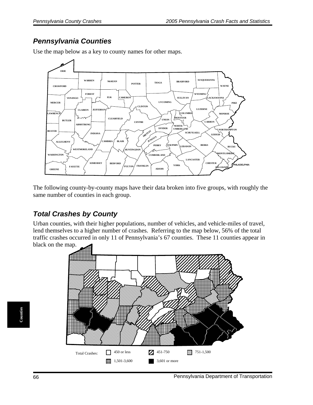### *Pennsylvania Counties*



Use the map below as a key to county names for other maps.

The following county-by-county maps have their data broken into five groups, with roughly the same number of counties in each group.

### *Total Crashes by County*

Urban counties, with their higher populations, number of vehicles, and vehicle-miles of travel, lend themselves to a higher number of crashes. Referring to the map below, 56% of the total traffic crashes occurred in only 11 of Pennsylvania's 67 counties. These 11 counties appear in black on the map.

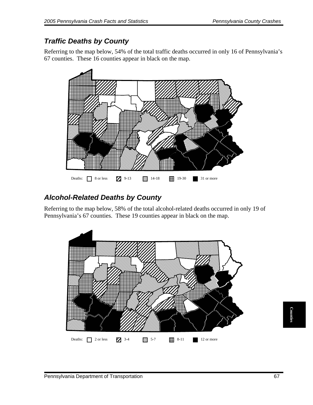### *Traffic Deaths by County*

Referring to the map below, 54% of the total traffic deaths occurred in only 16 of Pennsylvania's 67 counties. These 16 counties appear in black on the map.



### *Alcohol-Related Deaths by County*

Referring to the map below, 58% of the total alcohol-related deaths occurred in only 19 of Pennsylvania's 67 counties. These 19 counties appear in black on the map.

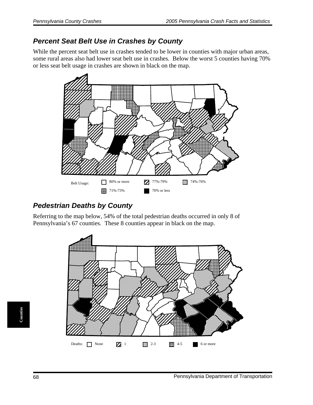#### *Percent Seat Belt Use in Crashes by County*

While the percent seat belt use in crashes tended to be lower in counties with major urban areas, some rural areas also had lower seat belt use in crashes. Below the worst 5 counties having 70% or less seat belt usage in crashes are shown in black on the map.



### *Pedestrian Deaths by County*

Referring to the map below, 54% of the total pedestrian deaths occurred in only 8 of Pennsylvania's 67 counties. These 8 counties appear in black on the map.

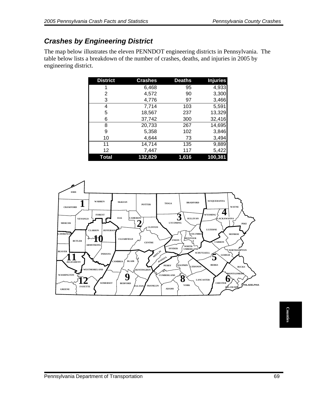## *Crashes by Engineering District*

The map below illustrates the eleven PENNDOT engineering districts in Pennsylvania. The table below lists a breakdown of the number of crashes, deaths, and injuries in 2005 by engineering district.

| <b>District</b> | <b>Crashes</b> | <b>Deaths</b> | <b>Injuries</b> |
|-----------------|----------------|---------------|-----------------|
|                 | 6,468          | 95            | 4,933           |
| 2               | 4,572          | 90            | 3,300           |
| 3               | 4,776          | 97            | 3,466           |
| 4               | 7,714          | 103           | 5,591           |
| 5               | 18,567         | 237           | 13,329          |
| 6               | 37,742         | 300           | 32,416          |
| 8               | 20,733         | 267           | 14,695          |
| 9               | 5,358          | 102           | 3,846           |
| 10              | 4,644          | 73            | 3,494           |
| 11              | 14,714         | 135           | 9,889           |
| 12              | 7,447          | 117           | 5,422           |
| Total           | 132,829        | 1,616         | 100,381         |

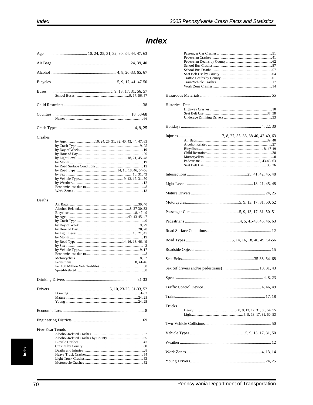#### Buses .... Counties Crashes  $\ldots$  20 by Month............ .......12 Deaths by Sex ........ Drivers. Five-Year Trends Alcohol-Related Crashes......

### **Index**

| <b>Historical Data</b> |  |
|------------------------|--|
|                        |  |
|                        |  |
|                        |  |
|                        |  |
|                        |  |
|                        |  |
|                        |  |
|                        |  |
|                        |  |
|                        |  |
|                        |  |
|                        |  |
|                        |  |
|                        |  |
|                        |  |
|                        |  |
|                        |  |
|                        |  |
|                        |  |
|                        |  |
|                        |  |
|                        |  |
|                        |  |
|                        |  |
| Trucks                 |  |
|                        |  |
|                        |  |
|                        |  |
|                        |  |
|                        |  |
|                        |  |

 $ndex$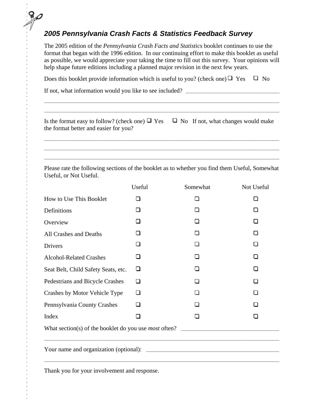## *2005 Pennsylvania Crash Facts & Statistics Feedback Survey*

The 2005 edition of the *Pennsylvania Crash Facts and Statistics* booklet continues to use the format that began with the 1996 edition. In our continuing effort to make this booklet as useful as possible, we would appreciate your taking the time to fill out this survey. Your opinions will help shape future editions including a planned major revision in the next few years.

Does this booklet provide information which is useful to you? (check one)  $\Box$  Yes  $\Box$  No

If not, what information would you like to see included? \_\_\_\_\_\_\_\_\_\_\_\_\_\_\_\_\_\_\_\_\_\_\_\_\_\_\_\_\_\_\_\_\_\_\_\_\_\_\_\_\_\_\_\_\_\_

| Is the format easy to follow? (check one) $\Box$ Yes $\Box$ No If not, what changes would make |  |
|------------------------------------------------------------------------------------------------|--|
| the format better and easier for you?                                                          |  |

\_\_\_\_\_\_\_\_\_\_\_\_\_\_\_\_\_\_\_\_\_\_\_\_\_\_\_\_\_\_\_\_\_\_\_\_\_\_\_\_\_\_\_\_\_\_\_\_\_\_\_\_\_\_\_\_\_\_\_\_\_\_\_\_\_\_\_\_\_\_\_\_\_\_\_\_\_\_\_\_\_\_\_\_\_\_\_\_\_\_\_\_\_\_\_\_\_\_\_\_\_\_\_\_\_\_\_\_\_\_\_\_\_\_\_ \_\_\_\_\_\_\_\_\_\_\_\_\_\_\_\_\_\_\_\_\_\_\_\_\_\_\_\_\_\_\_\_\_\_\_\_\_\_\_\_\_\_\_\_\_\_\_\_\_\_\_\_\_\_\_\_\_\_\_\_\_\_\_\_\_\_\_\_\_\_\_\_\_\_\_\_\_\_\_\_\_\_\_\_\_\_\_\_\_\_\_\_\_\_\_\_\_\_\_\_\_\_\_\_\_\_\_\_\_\_\_\_\_\_\_ \_\_\_\_\_\_\_\_\_\_\_\_\_\_\_\_\_\_\_\_\_\_\_\_\_\_\_\_\_\_\_\_\_\_\_\_\_\_\_\_\_\_\_\_\_\_\_\_\_\_\_\_\_\_\_\_\_\_\_\_\_\_\_\_\_\_\_\_\_\_\_\_\_\_\_\_\_\_\_\_\_\_\_\_\_\_\_\_\_\_\_\_\_\_\_\_\_\_\_\_\_\_\_\_\_\_\_\_\_\_\_\_\_\_\_

 $\_$  , and the set of the set of the set of the set of the set of the set of the set of the set of the set of the set of the set of the set of the set of the set of the set of the set of the set of the set of the set of th  $\_$  , and the set of the set of the set of the set of the set of the set of the set of the set of the set of the set of the set of the set of the set of the set of the set of the set of the set of the set of the set of th

Please rate the following sections of the booklet as to whether you find them Useful, Somewhat Useful, or Not Useful.

|                                     | Useful | Somewhat | Not Useful   |  |  |
|-------------------------------------|--------|----------|--------------|--|--|
| How to Use This Booklet             | ◻      | □        | П            |  |  |
| Definitions                         | П      | П        |              |  |  |
| Overview                            | П      | П        | П            |  |  |
| All Crashes and Deaths              | П      | П        | $\mathsf{I}$ |  |  |
| Drivers                             | ப      | □        |              |  |  |
| <b>Alcohol-Related Crashes</b>      | $\Box$ | П        | $\mathsf{I}$ |  |  |
| Seat Belt, Child Safety Seats, etc. | ❏      | П        | П            |  |  |
| Pedestrians and Bicycle Crashes     | □      |          |              |  |  |
| Crashes by Motor Vehicle Type       | ❏      | П        | П            |  |  |
| Pennsylvania County Crashes         | □      | П        | $\mathsf{L}$ |  |  |
| Index                               | П      | П        | l 1          |  |  |
|                                     |        |          |              |  |  |
|                                     |        |          |              |  |  |

Thank you for your involvement and response.